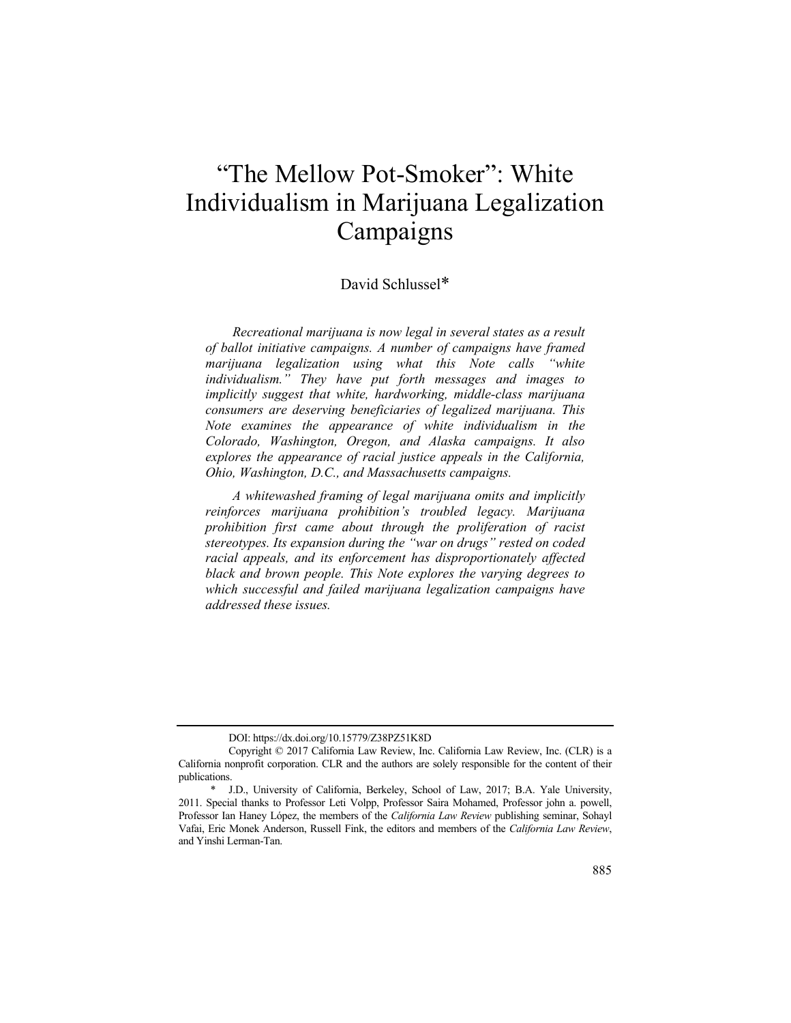# "The Mellow Pot-Smoker": White Individualism in Marijuana Legalization Campaigns

## David Schlussel\*

*Recreational marijuana is now legal in several states as a result of ballot initiative campaigns. A number of campaigns have framed marijuana legalization using what this Note calls "white individualism." They have put forth messages and images to implicitly suggest that white, hardworking, middle-class marijuana consumers are deserving beneficiaries of legalized marijuana. This Note examines the appearance of white individualism in the Colorado, Washington, Oregon, and Alaska campaigns. It also explores the appearance of racial justice appeals in the California, Ohio, Washington, D.C., and Massachusetts campaigns.* 

*A whitewashed framing of legal marijuana omits and implicitly reinforces marijuana prohibition's troubled legacy. Marijuana prohibition first came about through the proliferation of racist stereotypes. Its expansion during the "war on drugs" rested on coded racial appeals, and its enforcement has disproportionately affected black and brown people. This Note explores the varying degrees to which successful and failed marijuana legalization campaigns have addressed these issues.* 

DOI: https://dx.doi.org/10.15779/Z38PZ51K8D

Copyright © 2017 California Law Review, Inc. California Law Review, Inc. (CLR) is a California nonprofit corporation. CLR and the authors are solely responsible for the content of their publications.

<sup>\*</sup> J.D., University of California, Berkeley, School of Law, 2017; B.A. Yale University, 2011. Special thanks to Professor Leti Volpp, Professor Saira Mohamed, Professor john a. powell, Professor Ian Haney López, the members of the *California Law Review* publishing seminar, Sohayl Vafai, Eric Monek Anderson, Russell Fink, the editors and members of the *California Law Review*, and Yinshi Lerman-Tan.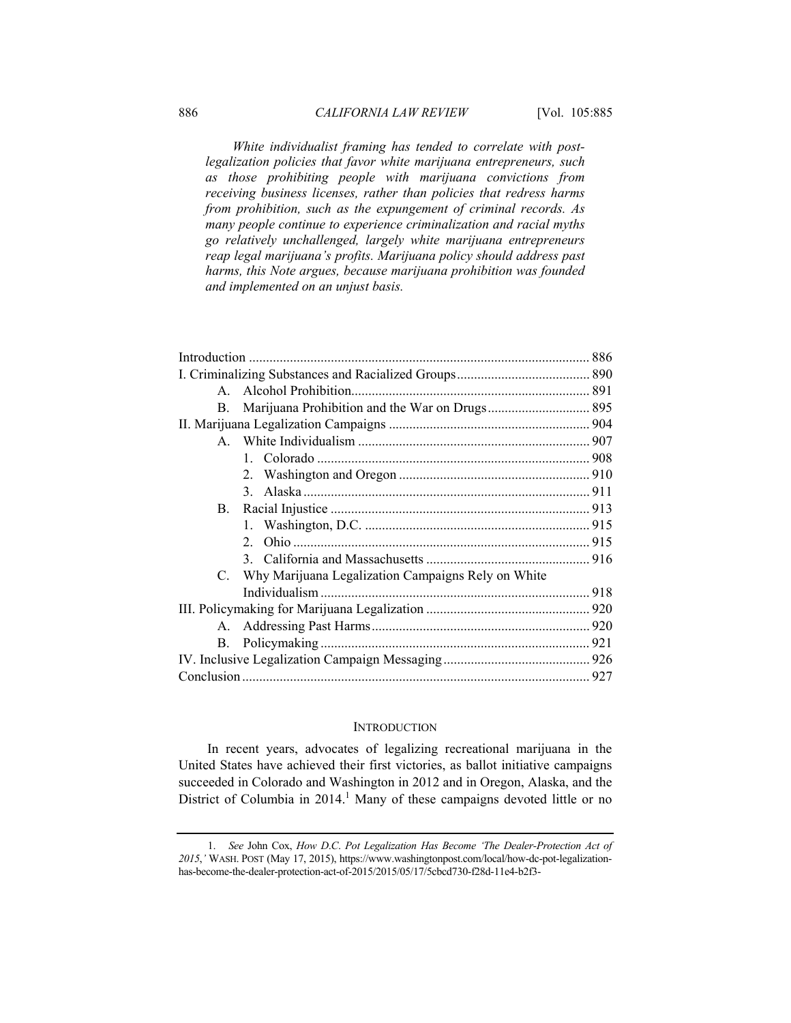*White individualist framing has tended to correlate with postlegalization policies that favor white marijuana entrepreneurs, such as those prohibiting people with marijuana convictions from receiving business licenses, rather than policies that redress harms from prohibition, such as the expungement of criminal records. As many people continue to experience criminalization and racial myths go relatively unchallenged, largely white marijuana entrepreneurs reap legal marijuana's profits. Marijuana policy should address past harms, this Note argues, because marijuana prohibition was founded and implemented on an unjust basis.* 

#### **INTRODUCTION**

In recent years, advocates of legalizing recreational marijuana in the United States have achieved their first victories, as ballot initiative campaigns succeeded in Colorado and Washington in 2012 and in Oregon, Alaska, and the District of Columbia in 2014.<sup>1</sup> Many of these campaigns devoted little or no

<sup>1.</sup> *See* John Cox, *How D*.*C*. *Pot Legalization Has Become 'The Dealer-Protection Act of 2015*,*'* WASH. POST (May 17, 2015), https://www.washingtonpost.com/local/how-dc-pot-legalizationhas-become-the-dealer-protection-act-of-2015/2015/05/17/5cbcd730-f28d-11e4-b2f3-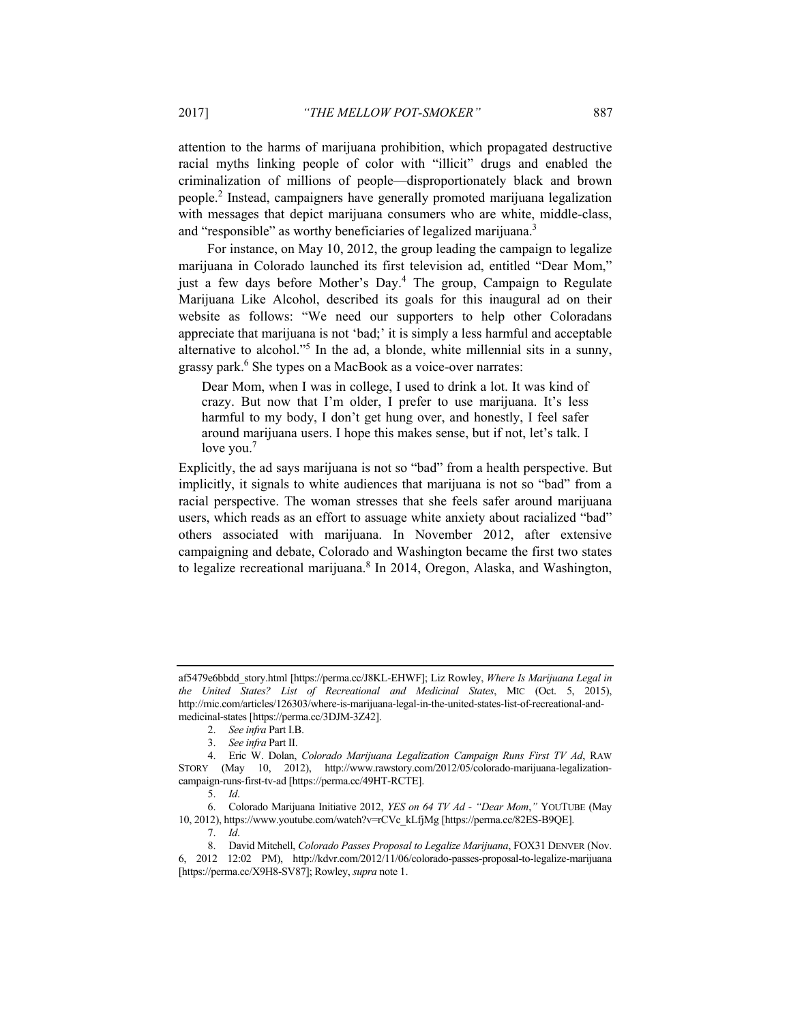attention to the harms of marijuana prohibition, which propagated destructive racial myths linking people of color with "illicit" drugs and enabled the criminalization of millions of people—disproportionately black and brown people.2 Instead, campaigners have generally promoted marijuana legalization with messages that depict marijuana consumers who are white, middle-class, and "responsible" as worthy beneficiaries of legalized marijuana.<sup>3</sup>

For instance, on May 10, 2012, the group leading the campaign to legalize marijuana in Colorado launched its first television ad, entitled "Dear Mom," just a few days before Mother's Day.<sup>4</sup> The group, Campaign to Regulate Marijuana Like Alcohol, described its goals for this inaugural ad on their website as follows: "We need our supporters to help other Coloradans appreciate that marijuana is not 'bad;' it is simply a less harmful and acceptable alternative to alcohol."<sup>5</sup> In the ad, a blonde, white millennial sits in a sunny, grassy park.<sup>6</sup> She types on a MacBook as a voice-over narrates:

Dear Mom, when I was in college, I used to drink a lot. It was kind of crazy. But now that I'm older, I prefer to use marijuana. It's less harmful to my body, I don't get hung over, and honestly, I feel safer around marijuana users. I hope this makes sense, but if not, let's talk. I love you.<sup>7</sup>

Explicitly, the ad says marijuana is not so "bad" from a health perspective. But implicitly, it signals to white audiences that marijuana is not so "bad" from a racial perspective. The woman stresses that she feels safer around marijuana users, which reads as an effort to assuage white anxiety about racialized "bad" others associated with marijuana. In November 2012, after extensive campaigning and debate, Colorado and Washington became the first two states to legalize recreational marijuana.<sup>8</sup> In 2014, Oregon, Alaska, and Washington,

af5479e6bbdd\_story.html [https://perma.cc/J8KL-EHWF]; Liz Rowley, *Where Is Marijuana Legal in the United States? List of Recreational and Medicinal States*, MIC (Oct. 5, 2015), http://mic.com/articles/126303/where-is-marijuana-legal-in-the-united-states-list-of-recreational-andmedicinal-states [https://perma.cc/3DJM-3Z42].

<sup>2.</sup> *See infra* Part I.B.

<sup>3.</sup> *See infra* Part II.

 <sup>4.</sup> Eric W. Dolan, *Colorado Marijuana Legalization Campaign Runs First TV Ad*, RAW STORY (May 10, 2012), http://www.rawstory.com/2012/05/colorado-marijuana-legalizationcampaign-runs-first-tv-ad [https://perma.cc/49HT-RCTE].

<sup>5.</sup> *Id*.

 <sup>6.</sup> Colorado Marijuana Initiative 2012, *YES on 64 TV Ad - "Dear Mom*,*"* YOUTUBE (May 10, 2012), https://www.youtube.com/watch?v=rCVc\_kLfjMg [https://perma.cc/82ES-B9QE].

<sup>7.</sup> *Id*.

 <sup>8.</sup> David Mitchell, *Colorado Passes Proposal to Legalize Marijuana*, FOX31 DENVER (Nov.

<sup>6, 2012 12:02</sup> PM), http://kdvr.com/2012/11/06/colorado-passes-proposal-to-legalize-marijuana [https://perma.cc/X9H8-SV87]; Rowley, *supra* note 1.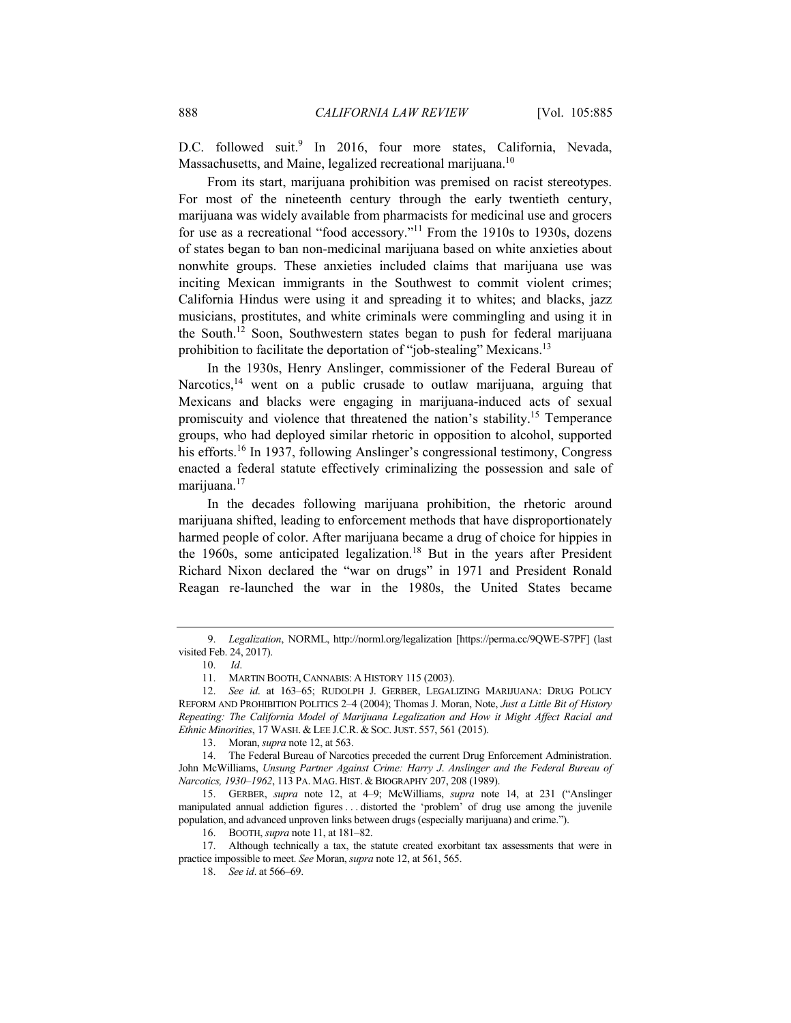D.C. followed suit.<sup>9</sup> In 2016, four more states, California, Nevada, Massachusetts, and Maine, legalized recreational marijuana.<sup>10</sup>

From its start, marijuana prohibition was premised on racist stereotypes. For most of the nineteenth century through the early twentieth century, marijuana was widely available from pharmacists for medicinal use and grocers for use as a recreational "food accessory."<sup>11</sup> From the 1910s to 1930s, dozens of states began to ban non-medicinal marijuana based on white anxieties about nonwhite groups. These anxieties included claims that marijuana use was inciting Mexican immigrants in the Southwest to commit violent crimes; California Hindus were using it and spreading it to whites; and blacks, jazz musicians, prostitutes, and white criminals were commingling and using it in the South.12 Soon, Southwestern states began to push for federal marijuana prohibition to facilitate the deportation of "job-stealing" Mexicans.<sup>13</sup>

In the 1930s, Henry Anslinger, commissioner of the Federal Bureau of Narcotics,<sup>14</sup> went on a public crusade to outlaw marijuana, arguing that Mexicans and blacks were engaging in marijuana-induced acts of sexual promiscuity and violence that threatened the nation's stability.15 Temperance groups, who had deployed similar rhetoric in opposition to alcohol, supported his efforts.<sup>16</sup> In 1937, following Anslinger's congressional testimony, Congress enacted a federal statute effectively criminalizing the possession and sale of marijuana.<sup>17</sup>

In the decades following marijuana prohibition, the rhetoric around marijuana shifted, leading to enforcement methods that have disproportionately harmed people of color. After marijuana became a drug of choice for hippies in the 1960s, some anticipated legalization.<sup>18</sup> But in the years after President Richard Nixon declared the "war on drugs" in 1971 and President Ronald Reagan re-launched the war in the 1980s, the United States became

<sup>9.</sup> *Legalization*, NORML, http://norml.org/legalization [https://perma.cc/9QWE-S7PF] (last visited Feb. 24, 2017).

 <sup>10.</sup> *Id*.

 <sup>11.</sup> MARTIN BOOTH, CANNABIS: A HISTORY 115 (2003).

<sup>12.</sup> *See id*. at 163–65; RUDOLPH J. GERBER, LEGALIZING MARIJUANA: DRUG POLICY REFORM AND PROHIBITION POLITICS 2–4 (2004); Thomas J. Moran, Note, *Just a Little Bit of History Repeating: The California Model of Marijuana Legalization and How it Might Affect Racial and Ethnic Minorities*, 17 WASH. & LEE J.C.R. & SOC.JUST. 557, 561 (2015).

 <sup>13.</sup> Moran, *supra* note 12, at 563.

 <sup>14.</sup> The Federal Bureau of Narcotics preceded the current Drug Enforcement Administration. John McWilliams, *Unsung Partner Against Crime: Harry J*. *Anslinger and the Federal Bureau of Narcotics, 1930–1962*, 113 PA. MAG. HIST. & BIOGRAPHY 207, 208 (1989).

 <sup>15.</sup> GERBER, *supra* note 12, at 4–9; McWilliams, *supra* note 14, at 231 ("Anslinger manipulated annual addiction figures . . . distorted the 'problem' of drug use among the juvenile population, and advanced unproven links between drugs (especially marijuana) and crime.").

 <sup>16.</sup> BOOTH, *supra* note 11, at 181–82.

 <sup>17.</sup> Although technically a tax, the statute created exorbitant tax assessments that were in practice impossible to meet. *See* Moran, *supra* note 12, at 561, 565.

<sup>18.</sup> *See id*. at 566–69.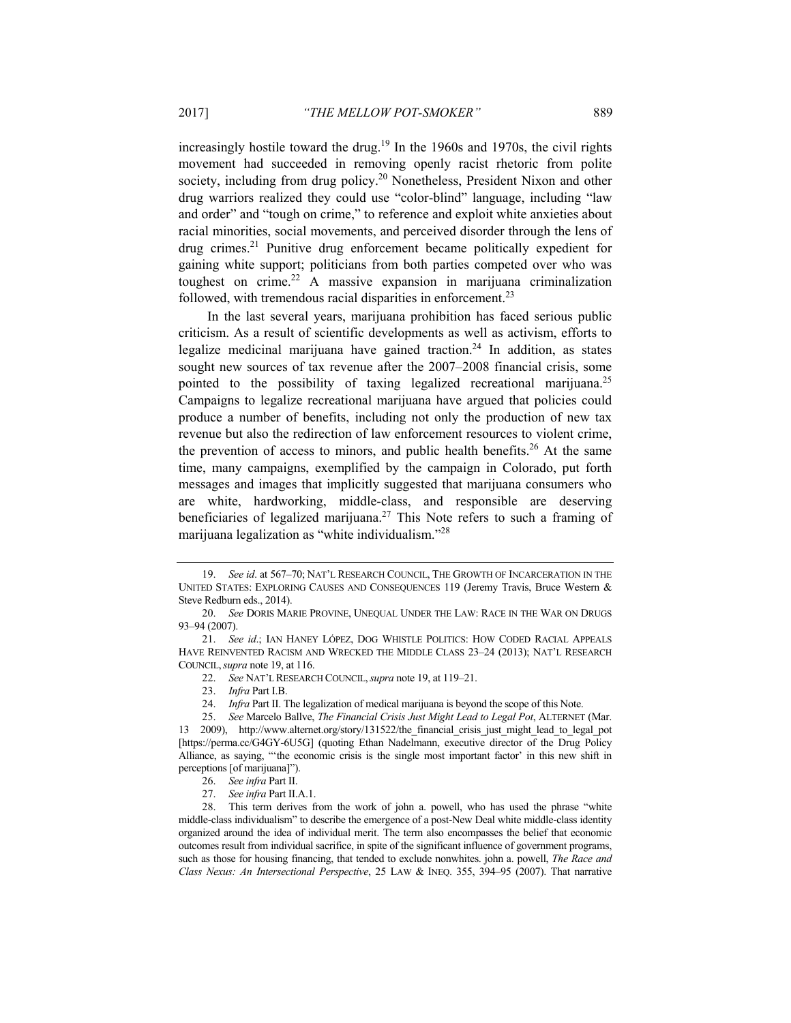increasingly hostile toward the drug.<sup>19</sup> In the 1960s and 1970s, the civil rights movement had succeeded in removing openly racist rhetoric from polite society, including from drug policy.<sup>20</sup> Nonetheless, President Nixon and other drug warriors realized they could use "color-blind" language, including "law and order" and "tough on crime," to reference and exploit white anxieties about racial minorities, social movements, and perceived disorder through the lens of drug crimes.21 Punitive drug enforcement became politically expedient for gaining white support; politicians from both parties competed over who was toughest on crime.22 A massive expansion in marijuana criminalization followed, with tremendous racial disparities in enforcement.<sup>23</sup>

In the last several years, marijuana prohibition has faced serious public criticism. As a result of scientific developments as well as activism, efforts to legalize medicinal marijuana have gained traction.<sup>24</sup> In addition, as states sought new sources of tax revenue after the 2007–2008 financial crisis, some pointed to the possibility of taxing legalized recreational marijuana.<sup>25</sup> Campaigns to legalize recreational marijuana have argued that policies could produce a number of benefits, including not only the production of new tax revenue but also the redirection of law enforcement resources to violent crime, the prevention of access to minors, and public health benefits.<sup>26</sup> At the same time, many campaigns, exemplified by the campaign in Colorado, put forth messages and images that implicitly suggested that marijuana consumers who are white, hardworking, middle-class, and responsible are deserving beneficiaries of legalized marijuana.27 This Note refers to such a framing of marijuana legalization as "white individualism."28

<sup>19.</sup> *See id*. at 567–70; NAT'L RESEARCH COUNCIL, THE GROWTH OF INCARCERATION IN THE UNITED STATES: EXPLORING CAUSES AND CONSEQUENCES 119 (Jeremy Travis, Bruce Western & Steve Redburn eds., 2014).

<sup>20.</sup> *See* DORIS MARIE PROVINE, UNEQUAL UNDER THE LAW: RACE IN THE WAR ON DRUGS 93–94 (2007).

<sup>21.</sup> *See id*.; IAN HANEY LÓPEZ, DOG WHISTLE POLITICS: HOW CODED RACIAL APPEALS HAVE REINVENTED RACISM AND WRECKED THE MIDDLE CLASS 23-24 (2013); NAT'L RESEARCH COUNCIL,*supra* note 19, at 116.

<sup>22.</sup> *See* NAT'L RESEARCH COUNCIL,*supra* note 19, at 119–21.

<sup>23.</sup> *Infra* Part I.B.

<sup>24.</sup> *Infra* Part II. The legalization of medical marijuana is beyond the scope of this Note.

<sup>25.</sup> *See* Marcelo Ballve, *The Financial Crisis Just Might Lead to Legal Pot*, ALTERNET (Mar. 13 2009), http://www.alternet.org/story/131522/the\_financial\_crisis\_just\_might\_lead\_to\_legal\_pot [https://perma.cc/G4GY-6U5G] (quoting Ethan Nadelmann, executive director of the Drug Policy Alliance, as saying, "'the economic crisis is the single most important factor' in this new shift in perceptions [of marijuana]").

<sup>26.</sup> *See infra* Part II.

<sup>27.</sup> *See infra* Part II.A.1.

 <sup>28.</sup> This term derives from the work of john a. powell, who has used the phrase "white middle-class individualism" to describe the emergence of a post-New Deal white middle-class identity organized around the idea of individual merit. The term also encompasses the belief that economic outcomes result from individual sacrifice, in spite of the significant influence of government programs, such as those for housing financing, that tended to exclude nonwhites. john a. powell, *The Race and Class Nexus: An Intersectional Perspective*, 25 LAW & INEQ. 355, 394–95 (2007). That narrative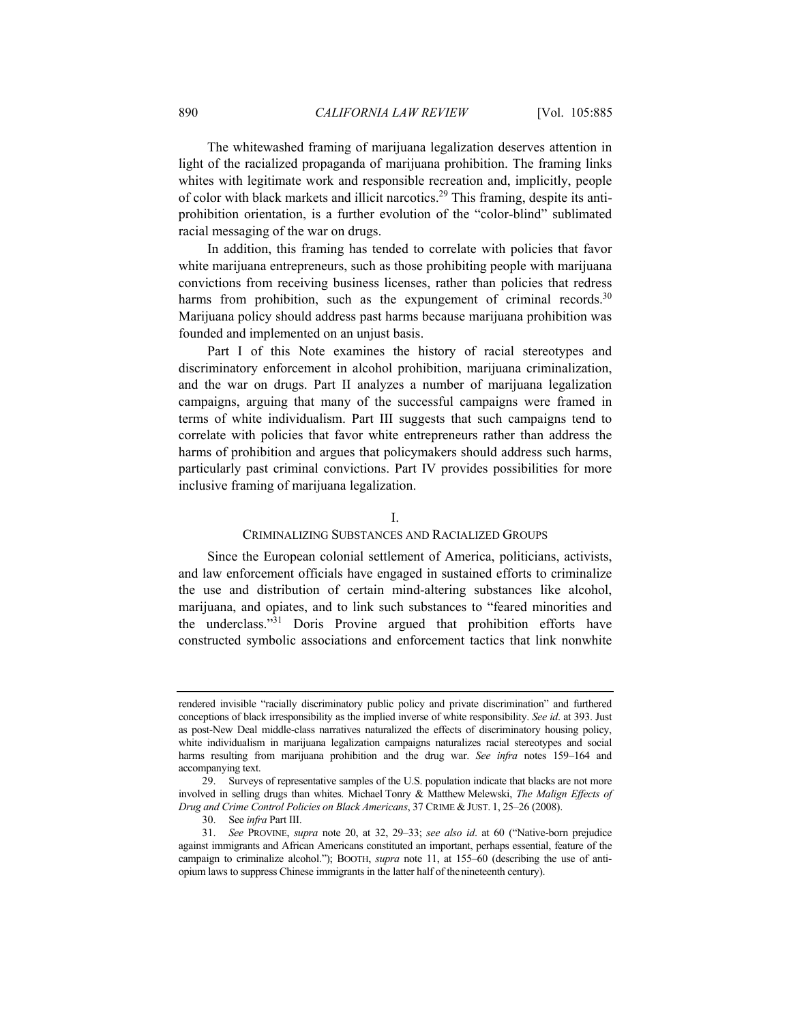The whitewashed framing of marijuana legalization deserves attention in light of the racialized propaganda of marijuana prohibition. The framing links whites with legitimate work and responsible recreation and, implicitly, people of color with black markets and illicit narcotics.<sup>29</sup> This framing, despite its antiprohibition orientation, is a further evolution of the "color-blind" sublimated racial messaging of the war on drugs.

In addition, this framing has tended to correlate with policies that favor white marijuana entrepreneurs, such as those prohibiting people with marijuana convictions from receiving business licenses, rather than policies that redress harms from prohibition, such as the expungement of criminal records.<sup>30</sup> Marijuana policy should address past harms because marijuana prohibition was founded and implemented on an unjust basis.

Part I of this Note examines the history of racial stereotypes and discriminatory enforcement in alcohol prohibition, marijuana criminalization, and the war on drugs. Part II analyzes a number of marijuana legalization campaigns, arguing that many of the successful campaigns were framed in terms of white individualism. Part III suggests that such campaigns tend to correlate with policies that favor white entrepreneurs rather than address the harms of prohibition and argues that policymakers should address such harms, particularly past criminal convictions. Part IV provides possibilities for more inclusive framing of marijuana legalization.

## I.

## CRIMINALIZING SUBSTANCES AND RACIALIZED GROUPS

Since the European colonial settlement of America, politicians, activists, and law enforcement officials have engaged in sustained efforts to criminalize the use and distribution of certain mind-altering substances like alcohol, marijuana, and opiates, and to link such substances to "feared minorities and the underclass."31 Doris Provine argued that prohibition efforts have constructed symbolic associations and enforcement tactics that link nonwhite

rendered invisible "racially discriminatory public policy and private discrimination" and furthered conceptions of black irresponsibility as the implied inverse of white responsibility. *See id*. at 393. Just as post-New Deal middle-class narratives naturalized the effects of discriminatory housing policy, white individualism in marijuana legalization campaigns naturalizes racial stereotypes and social harms resulting from marijuana prohibition and the drug war. *See infra* notes 159–164 and accompanying text.

 <sup>29.</sup> Surveys of representative samples of the U.S. population indicate that blacks are not more involved in selling drugs than whites. Michael Tonry & Matthew Melewski, *The Malign Effects of Drug and Crime Control Policies on Black Americans*, 37 CRIME & JUST. 1, 25–26 (2008).

 <sup>30.</sup> See *infra* Part III.

<sup>31.</sup> *See* PROVINE, *supra* note 20, at 32, 29–33; *see also id*. at 60 ("Native-born prejudice against immigrants and African Americans constituted an important, perhaps essential, feature of the campaign to criminalize alcohol."); BOOTH, *supra* note 11, at 155–60 (describing the use of antiopium laws to suppress Chinese immigrants in the latter half of thenineteenth century).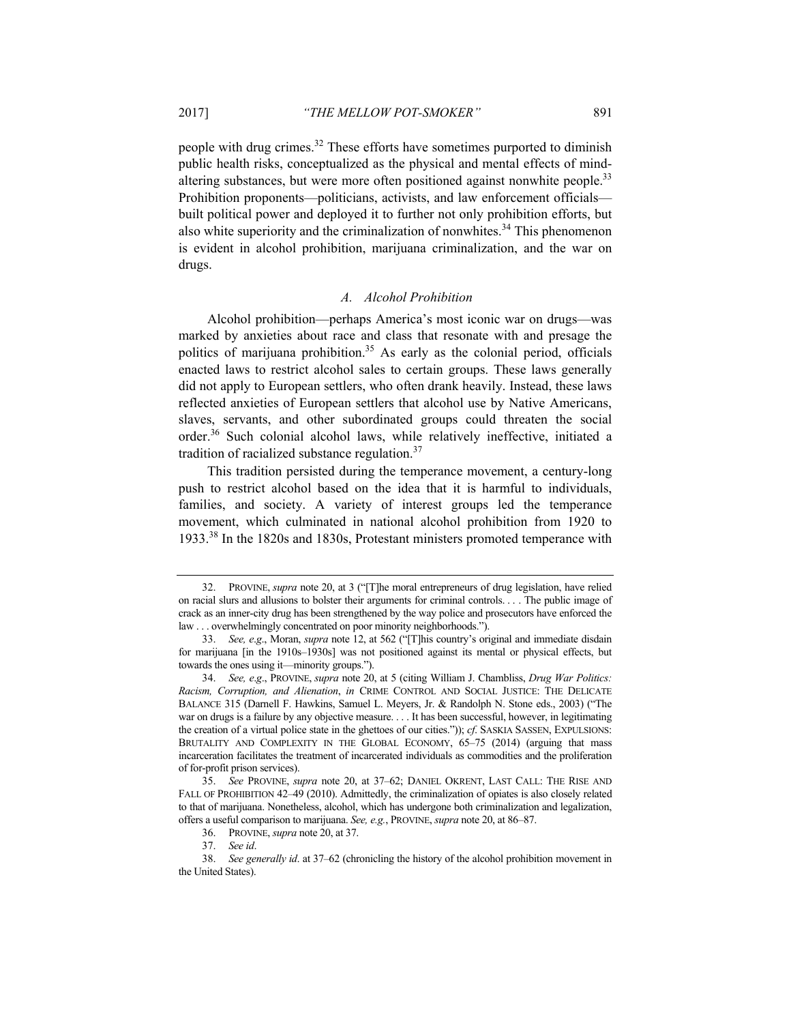people with drug crimes.32 These efforts have sometimes purported to diminish public health risks, conceptualized as the physical and mental effects of mindaltering substances, but were more often positioned against nonwhite people.<sup>33</sup> Prohibition proponents—politicians, activists, and law enforcement officials built political power and deployed it to further not only prohibition efforts, but also white superiority and the criminalization of nonwhites.<sup>34</sup> This phenomenon is evident in alcohol prohibition, marijuana criminalization, and the war on drugs.

## *A. Alcohol Prohibition*

Alcohol prohibition—perhaps America's most iconic war on drugs—was marked by anxieties about race and class that resonate with and presage the politics of marijuana prohibition.<sup>35</sup> As early as the colonial period, officials enacted laws to restrict alcohol sales to certain groups. These laws generally did not apply to European settlers, who often drank heavily. Instead, these laws reflected anxieties of European settlers that alcohol use by Native Americans, slaves, servants, and other subordinated groups could threaten the social order.36 Such colonial alcohol laws, while relatively ineffective, initiated a tradition of racialized substance regulation.<sup>37</sup>

This tradition persisted during the temperance movement, a century-long push to restrict alcohol based on the idea that it is harmful to individuals, families, and society. A variety of interest groups led the temperance movement, which culminated in national alcohol prohibition from 1920 to 1933.38 In the 1820s and 1830s, Protestant ministers promoted temperance with

 <sup>32.</sup> PROVINE, *supra* note 20, at 3 ("[T]he moral entrepreneurs of drug legislation, have relied on racial slurs and allusions to bolster their arguments for criminal controls. . . . The public image of crack as an inner-city drug has been strengthened by the way police and prosecutors have enforced the law . . . overwhelmingly concentrated on poor minority neighborhoods.").

<sup>33.</sup> *See, e*.*g*., Moran, *supra* note 12, at 562 ("[T]his country's original and immediate disdain for marijuana [in the 1910s–1930s] was not positioned against its mental or physical effects, but towards the ones using it—minority groups.").

<sup>34.</sup> *See, e*.*g*., PROVINE, *supra* note 20, at 5 (citing William J. Chambliss, *Drug War Politics: Racism, Corruption, and Alienation*, *in* CRIME CONTROL AND SOCIAL JUSTICE: THE DELICATE BALANCE 315 (Darnell F. Hawkins, Samuel L. Meyers, Jr. & Randolph N. Stone eds., 2003) ("The war on drugs is a failure by any objective measure. . . . It has been successful, however, in legitimating the creation of a virtual police state in the ghettoes of our cities.")); *cf*. SASKIA SASSEN, EXPULSIONS: BRUTALITY AND COMPLEXITY IN THE GLOBAL ECONOMY, 65–75 (2014) (arguing that mass incarceration facilitates the treatment of incarcerated individuals as commodities and the proliferation of for-profit prison services).

<sup>35.</sup> *See* PROVINE, *supra* note 20, at 37–62; DANIEL OKRENT, LAST CALL: THE RISE AND FALL OF PROHIBITION 42–49 (2010). Admittedly, the criminalization of opiates is also closely related to that of marijuana. Nonetheless, alcohol, which has undergone both criminalization and legalization, offers a useful comparison to marijuana. *See, e.g.*, PROVINE, *supra* note 20, at 86–87.

 <sup>36.</sup> PROVINE, *supra* note 20, at 37.

<sup>37.</sup> *See id*.

<sup>38.</sup> *See generally id*. at 37–62 (chronicling the history of the alcohol prohibition movement in the United States).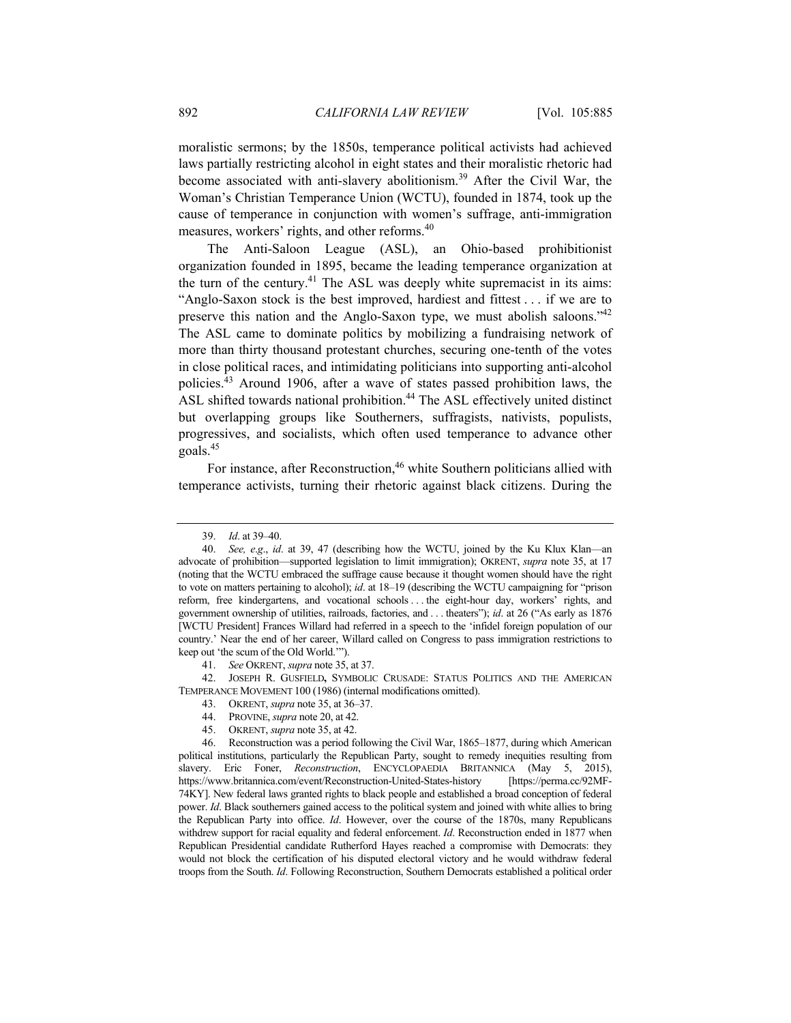moralistic sermons; by the 1850s, temperance political activists had achieved laws partially restricting alcohol in eight states and their moralistic rhetoric had become associated with anti-slavery abolitionism.39 After the Civil War, the Woman's Christian Temperance Union (WCTU), founded in 1874, took up the cause of temperance in conjunction with women's suffrage, anti-immigration measures, workers' rights, and other reforms.<sup>40</sup>

The Anti-Saloon League (ASL), an Ohio-based prohibitionist organization founded in 1895, became the leading temperance organization at the turn of the century.<sup>41</sup> The ASL was deeply white supremacist in its aims: "Anglo-Saxon stock is the best improved, hardiest and fittest . . . if we are to preserve this nation and the Anglo-Saxon type, we must abolish saloons."42 The ASL came to dominate politics by mobilizing a fundraising network of more than thirty thousand protestant churches, securing one-tenth of the votes in close political races, and intimidating politicians into supporting anti-alcohol policies.43 Around 1906, after a wave of states passed prohibition laws, the ASL shifted towards national prohibition.<sup>44</sup> The ASL effectively united distinct but overlapping groups like Southerners, suffragists, nativists, populists, progressives, and socialists, which often used temperance to advance other goals.45

For instance, after Reconstruction,<sup>46</sup> white Southern politicians allied with temperance activists, turning their rhetoric against black citizens. During the

41. *See* OKRENT, *supra* note 35, at 37.

 42. JOSEPH R. GUSFIELD**,** SYMBOLIC CRUSADE: STATUS POLITICS AND THE AMERICAN TEMPERANCE MOVEMENT 100 (1986) (internal modifications omitted).

- 43. OKRENT, *supra* note 35, at 36–37.
- 44. PROVINE, *supra* note 20, at 42.
- 45. OKRENT, *supra* note 35, at 42.

 46. Reconstruction was a period following the Civil War, 1865–1877, during which American political institutions, particularly the Republican Party, sought to remedy inequities resulting from slavery. Eric Foner, *Reconstruction*, ENCYCLOPAEDIA BRITANNICA (May 5, 2015), https://www.britannica.com/event/Reconstruction-United-States-history [https://perma.cc/92MF-74KY]. New federal laws granted rights to black people and established a broad conception of federal power. *Id*. Black southerners gained access to the political system and joined with white allies to bring the Republican Party into office. *Id*. However, over the course of the 1870s, many Republicans withdrew support for racial equality and federal enforcement. *Id*. Reconstruction ended in 1877 when Republican Presidential candidate Rutherford Hayes reached a compromise with Democrats: they would not block the certification of his disputed electoral victory and he would withdraw federal troops from the South. *Id*. Following Reconstruction, Southern Democrats established a political order

<sup>39.</sup> *Id*. at 39–40.

<sup>40.</sup> *See, e*.*g*., *id*. at 39, 47 (describing how the WCTU, joined by the Ku Klux Klan—an advocate of prohibition—supported legislation to limit immigration); OKRENT, *supra* note 35, at 17 (noting that the WCTU embraced the suffrage cause because it thought women should have the right to vote on matters pertaining to alcohol); *id*. at 18–19 (describing the WCTU campaigning for "prison reform, free kindergartens, and vocational schools . . . the eight-hour day, workers' rights, and government ownership of utilities, railroads, factories, and . . . theaters"); *id*. at 26 ("As early as 1876 [WCTU President] Frances Willard had referred in a speech to the 'infidel foreign population of our country.' Near the end of her career, Willard called on Congress to pass immigration restrictions to keep out 'the scum of the Old World.'").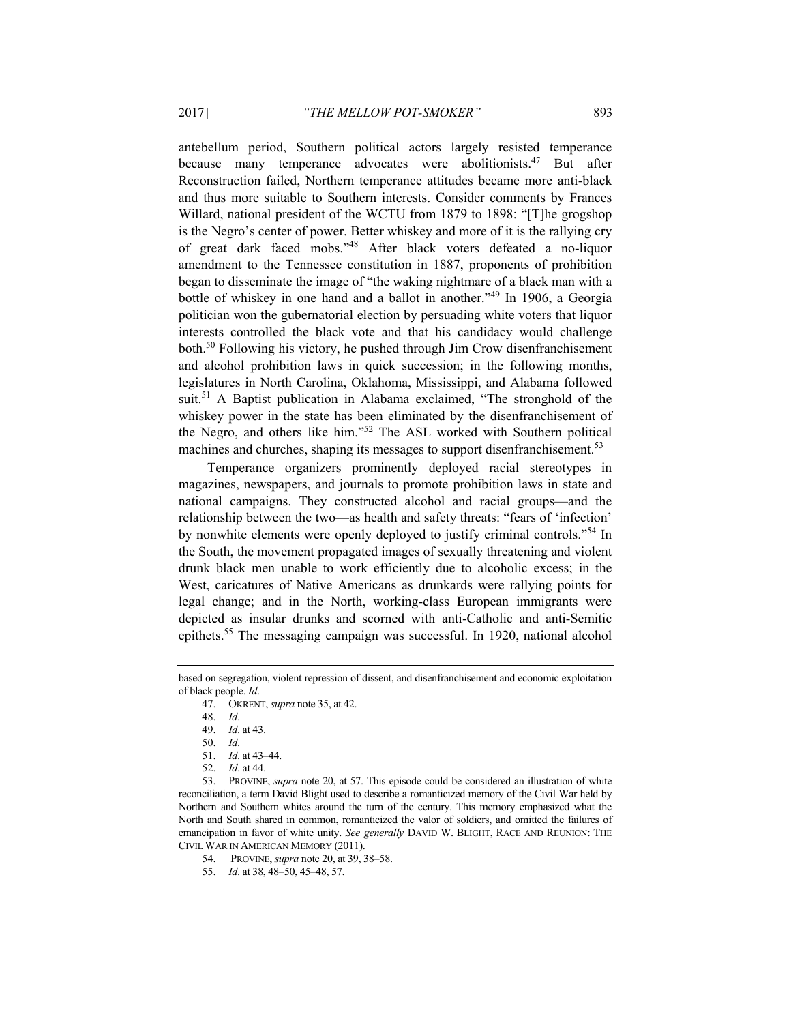antebellum period, Southern political actors largely resisted temperance because many temperance advocates were abolitionists.<sup>47</sup> But after Reconstruction failed, Northern temperance attitudes became more anti-black and thus more suitable to Southern interests. Consider comments by Frances Willard, national president of the WCTU from 1879 to 1898: "[T]he grogshop is the Negro's center of power. Better whiskey and more of it is the rallying cry of great dark faced mobs."48 After black voters defeated a no-liquor amendment to the Tennessee constitution in 1887, proponents of prohibition began to disseminate the image of "the waking nightmare of a black man with a bottle of whiskey in one hand and a ballot in another."49 In 1906, a Georgia politician won the gubernatorial election by persuading white voters that liquor interests controlled the black vote and that his candidacy would challenge both.50 Following his victory, he pushed through Jim Crow disenfranchisement and alcohol prohibition laws in quick succession; in the following months, legislatures in North Carolina, Oklahoma, Mississippi, and Alabama followed suit.<sup>51</sup> A Baptist publication in Alabama exclaimed, "The stronghold of the whiskey power in the state has been eliminated by the disenfranchisement of the Negro, and others like him."52 The ASL worked with Southern political machines and churches, shaping its messages to support disenfranchisement.<sup>53</sup>

Temperance organizers prominently deployed racial stereotypes in magazines, newspapers, and journals to promote prohibition laws in state and national campaigns. They constructed alcohol and racial groups—and the relationship between the two—as health and safety threats: "fears of 'infection' by nonwhite elements were openly deployed to justify criminal controls."54 In the South, the movement propagated images of sexually threatening and violent drunk black men unable to work efficiently due to alcoholic excess; in the West, caricatures of Native Americans as drunkards were rallying points for legal change; and in the North, working-class European immigrants were depicted as insular drunks and scorned with anti-Catholic and anti-Semitic epithets.55 The messaging campaign was successful. In 1920, national alcohol

48. *Id*.

based on segregation, violent repression of dissent, and disenfranchisement and economic exploitation of black people. *Id*.

 <sup>47.</sup> OKRENT, *supra* note 35, at 42.

<sup>49.</sup> *Id*. at 43.

<sup>50.</sup> *Id*.

<sup>51.</sup> *Id*. at 43–44.

<sup>52.</sup> *Id*. at 44.

 <sup>53.</sup> PROVINE, *supra* note 20, at 57. This episode could be considered an illustration of white reconciliation, a term David Blight used to describe a romanticized memory of the Civil War held by Northern and Southern whites around the turn of the century. This memory emphasized what the North and South shared in common, romanticized the valor of soldiers, and omitted the failures of emancipation in favor of white unity. *See generally* DAVID W. BLIGHT, RACE AND REUNION: THE CIVIL WAR IN AMERICAN MEMORY (2011).

 <sup>54.</sup> PROVINE, *supra* note 20, at 39, 38–58.

<sup>55.</sup> *Id*. at 38, 48–50, 45–48, 57.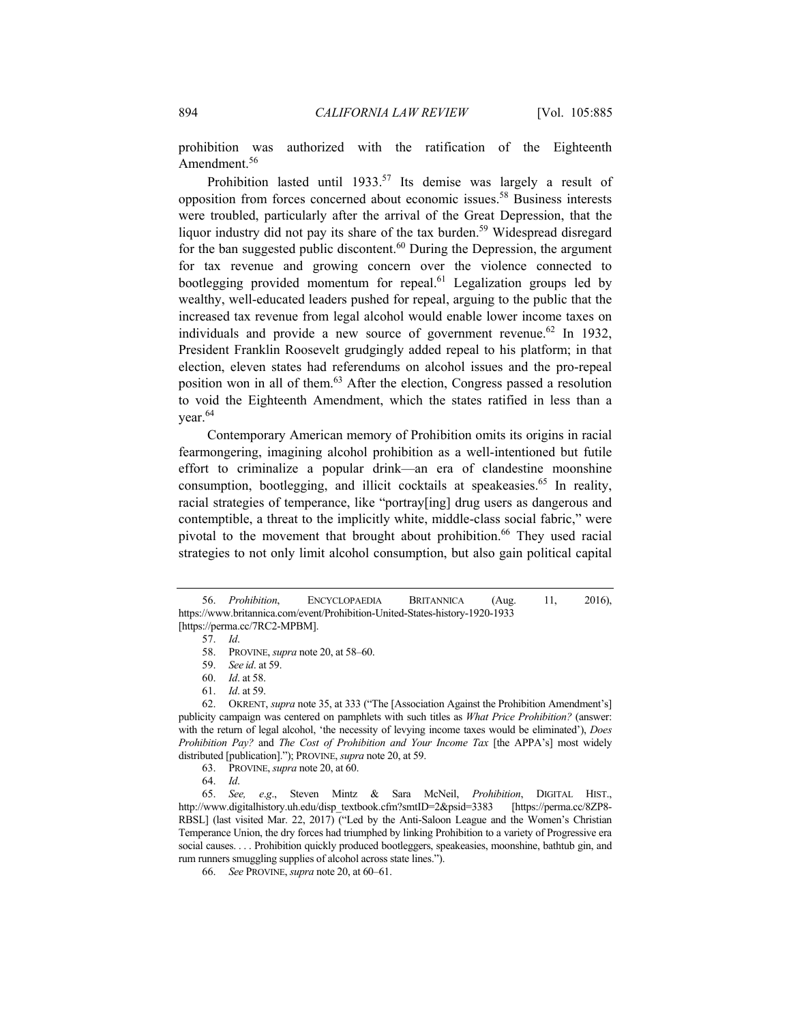prohibition was authorized with the ratification of the Eighteenth Amendment.<sup>56</sup>

Prohibition lasted until  $1933$ <sup>57</sup> Its demise was largely a result of opposition from forces concerned about economic issues.58 Business interests were troubled, particularly after the arrival of the Great Depression, that the liquor industry did not pay its share of the tax burden.<sup>59</sup> Widespread disregard for the ban suggested public discontent.<sup>60</sup> During the Depression, the argument for tax revenue and growing concern over the violence connected to bootlegging provided momentum for repeal.<sup>61</sup> Legalization groups led by wealthy, well-educated leaders pushed for repeal, arguing to the public that the increased tax revenue from legal alcohol would enable lower income taxes on individuals and provide a new source of government revenue.<sup>62</sup> In 1932, President Franklin Roosevelt grudgingly added repeal to his platform; in that election, eleven states had referendums on alcohol issues and the pro-repeal position won in all of them.63 After the election, Congress passed a resolution to void the Eighteenth Amendment, which the states ratified in less than a year.<sup>64</sup>

Contemporary American memory of Prohibition omits its origins in racial fearmongering, imagining alcohol prohibition as a well-intentioned but futile effort to criminalize a popular drink—an era of clandestine moonshine consumption, bootlegging, and illicit cocktails at speakeasies.<sup>65</sup> In reality, racial strategies of temperance, like "portray[ing] drug users as dangerous and contemptible, a threat to the implicitly white, middle-class social fabric," were pivotal to the movement that brought about prohibition.<sup>66</sup> They used racial strategies to not only limit alcohol consumption, but also gain political capital

<sup>56.</sup> *Prohibition*, ENCYCLOPAEDIA BRITANNICA (Aug. 11, 2016), https://www.britannica.com/event/Prohibition-United-States-history-1920-1933 [https://perma.cc/7RC2-MPBM].

<sup>57.</sup> *Id*.

 <sup>58.</sup> PROVINE, *supra* note 20, at 58–60.

<sup>59.</sup> *See id*. at 59.

<sup>60.</sup> *Id*. at 58.

<sup>61.</sup> *Id*. at 59.

 <sup>62.</sup> OKRENT, *supra* note 35, at 333 ("The [Association Against the Prohibition Amendment's] publicity campaign was centered on pamphlets with such titles as *What Price Prohibition?* (answer: with the return of legal alcohol, 'the necessity of levying income taxes would be eliminated'), *Does Prohibition Pay?* and *The Cost of Prohibition and Your Income Tax* [the APPA's] most widely distributed [publication]."); PROVINE, *supra* note 20, at 59.

 <sup>63.</sup> PROVINE, *supra* note 20, at 60.

<sup>64.</sup> *Id*.

<sup>65.</sup> *See, e*.*g*., Steven Mintz & Sara McNeil, *Prohibition*, DIGITAL HIST., http://www.digitalhistory.uh.edu/disp\_textbook.cfm?smtID=2&psid=3383 [https://perma.cc/8ZP8-RBSL] (last visited Mar. 22, 2017) ("Led by the Anti-Saloon League and the Women's Christian Temperance Union, the dry forces had triumphed by linking Prohibition to a variety of Progressive era social causes. . . . Prohibition quickly produced bootleggers, speakeasies, moonshine, bathtub gin, and rum runners smuggling supplies of alcohol across state lines.").

<sup>66.</sup> *See* PROVINE, *supra* note 20, at 60–61.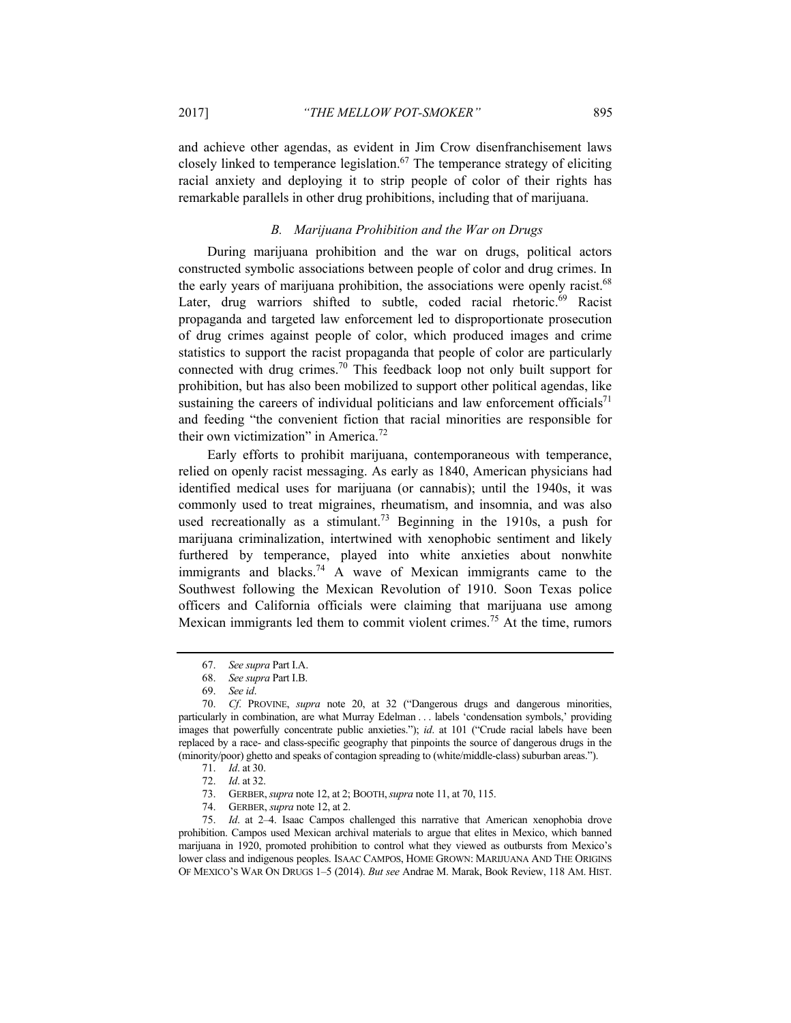and achieve other agendas, as evident in Jim Crow disenfranchisement laws closely linked to temperance legislation. $67$  The temperance strategy of eliciting racial anxiety and deploying it to strip people of color of their rights has remarkable parallels in other drug prohibitions, including that of marijuana.

## *B. Marijuana Prohibition and the War on Drugs*

During marijuana prohibition and the war on drugs, political actors constructed symbolic associations between people of color and drug crimes. In the early years of marijuana prohibition, the associations were openly racist.<sup>68</sup> Later, drug warriors shifted to subtle, coded racial rhetoric.<sup>69</sup> Racist propaganda and targeted law enforcement led to disproportionate prosecution of drug crimes against people of color, which produced images and crime statistics to support the racist propaganda that people of color are particularly connected with drug crimes.<sup>70</sup> This feedback loop not only built support for prohibition, but has also been mobilized to support other political agendas, like sustaining the careers of individual politicians and law enforcement officials<sup>71</sup> and feeding "the convenient fiction that racial minorities are responsible for their own victimization" in America.72

Early efforts to prohibit marijuana, contemporaneous with temperance, relied on openly racist messaging. As early as 1840, American physicians had identified medical uses for marijuana (or cannabis); until the 1940s, it was commonly used to treat migraines, rheumatism, and insomnia, and was also used recreationally as a stimulant.<sup>73</sup> Beginning in the 1910s, a push for marijuana criminalization, intertwined with xenophobic sentiment and likely furthered by temperance, played into white anxieties about nonwhite immigrants and blacks.<sup>74</sup> A wave of Mexican immigrants came to the Southwest following the Mexican Revolution of 1910. Soon Texas police officers and California officials were claiming that marijuana use among Mexican immigrants led them to commit violent crimes.<sup>75</sup> At the time, rumors

<sup>67.</sup> *See supra* Part I.A.

<sup>68.</sup> *See supra* Part I.B.

<sup>69.</sup> *See id*.

<sup>70.</sup> *Cf*. PROVINE, *supra* note 20, at 32 ("Dangerous drugs and dangerous minorities, particularly in combination, are what Murray Edelman . . . labels 'condensation symbols,' providing images that powerfully concentrate public anxieties."); *id*. at 101 ("Crude racial labels have been replaced by a race- and class-specific geography that pinpoints the source of dangerous drugs in the (minority/poor) ghetto and speaks of contagion spreading to (white/middle-class) suburban areas.").

<sup>71.</sup> *Id*. at 30.

<sup>72.</sup> *Id*. at 32.

 <sup>73.</sup> GERBER,*supra* note 12, at 2; BOOTH,*supra* note 11, at 70, 115.

 <sup>74.</sup> GERBER, *supra* note 12, at 2.

<sup>75.</sup> *Id*. at 2–4. Isaac Campos challenged this narrative that American xenophobia drove prohibition. Campos used Mexican archival materials to argue that elites in Mexico, which banned marijuana in 1920, promoted prohibition to control what they viewed as outbursts from Mexico's lower class and indigenous peoples. ISAAC CAMPOS, HOME GROWN: MARIJUANA AND THE ORIGINS OF MEXICO'S WAR ON DRUGS 1–5 (2014). *But see* Andrae M. Marak, Book Review, 118 AM. HIST.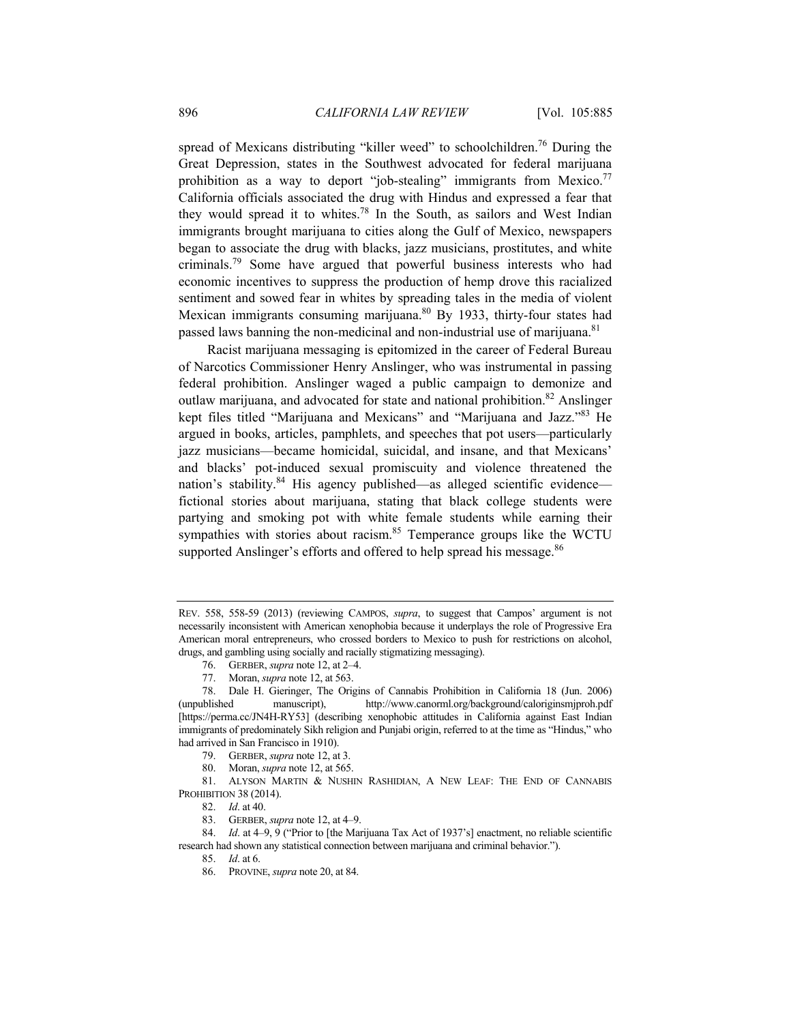spread of Mexicans distributing "killer weed" to schoolchildren.<sup>76</sup> During the Great Depression, states in the Southwest advocated for federal marijuana prohibition as a way to deport "job-stealing" immigrants from Mexico.<sup>77</sup> California officials associated the drug with Hindus and expressed a fear that they would spread it to whites.<sup>78</sup> In the South, as sailors and West Indian immigrants brought marijuana to cities along the Gulf of Mexico, newspapers began to associate the drug with blacks, jazz musicians, prostitutes, and white criminals.79 Some have argued that powerful business interests who had economic incentives to suppress the production of hemp drove this racialized sentiment and sowed fear in whites by spreading tales in the media of violent Mexican immigrants consuming marijuana.80 By 1933, thirty-four states had passed laws banning the non-medicinal and non-industrial use of marijuana.<sup>81</sup>

Racist marijuana messaging is epitomized in the career of Federal Bureau of Narcotics Commissioner Henry Anslinger, who was instrumental in passing federal prohibition. Anslinger waged a public campaign to demonize and outlaw marijuana, and advocated for state and national prohibition.82 Anslinger kept files titled "Marijuana and Mexicans" and "Marijuana and Jazz."83 He argued in books, articles, pamphlets, and speeches that pot users—particularly jazz musicians—became homicidal, suicidal, and insane, and that Mexicans' and blacks' pot-induced sexual promiscuity and violence threatened the nation's stability.<sup>84</sup> His agency published—as alleged scientific evidence fictional stories about marijuana, stating that black college students were partying and smoking pot with white female students while earning their sympathies with stories about racism.<sup>85</sup> Temperance groups like the WCTU supported Anslinger's efforts and offered to help spread his message.<sup>86</sup>

 81. ALYSON MARTIN & NUSHIN RASHIDIAN, A NEW LEAF: THE END OF CANNABIS PROHIBITION 38 (2014).

REV. 558, 558-59 (2013) (reviewing CAMPOS, *supra*, to suggest that Campos' argument is not necessarily inconsistent with American xenophobia because it underplays the role of Progressive Era American moral entrepreneurs, who crossed borders to Mexico to push for restrictions on alcohol, drugs, and gambling using socially and racially stigmatizing messaging).

 <sup>76.</sup> GERBER, *supra* note 12, at 2–4.

 <sup>77.</sup> Moran, *supra* note 12, at 563.

 <sup>78.</sup> Dale H. Gieringer, The Origins of Cannabis Prohibition in California 18 (Jun. 2006) (unpublished manuscript), http://www.canorml.org/background/caloriginsmjproh.pdf [https://perma.cc/JN4H-RY53] (describing xenophobic attitudes in California against East Indian immigrants of predominately Sikh religion and Punjabi origin, referred to at the time as "Hindus," who had arrived in San Francisco in 1910).

 <sup>79.</sup> GERBER, *supra* note 12, at 3.

 <sup>80.</sup> Moran, *supra* note 12, at 565.

<sup>82.</sup> *Id*. at 40.

 <sup>83.</sup> GERBER, *supra* note 12, at 4–9.

<sup>84.</sup> *Id.* at 4–9, 9 ("Prior to [the Marijuana Tax Act of 1937's] enactment, no reliable scientific research had shown any statistical connection between marijuana and criminal behavior.").

<sup>85.</sup> *Id*. at 6.

 <sup>86.</sup> PROVINE, *supra* note 20, at 84.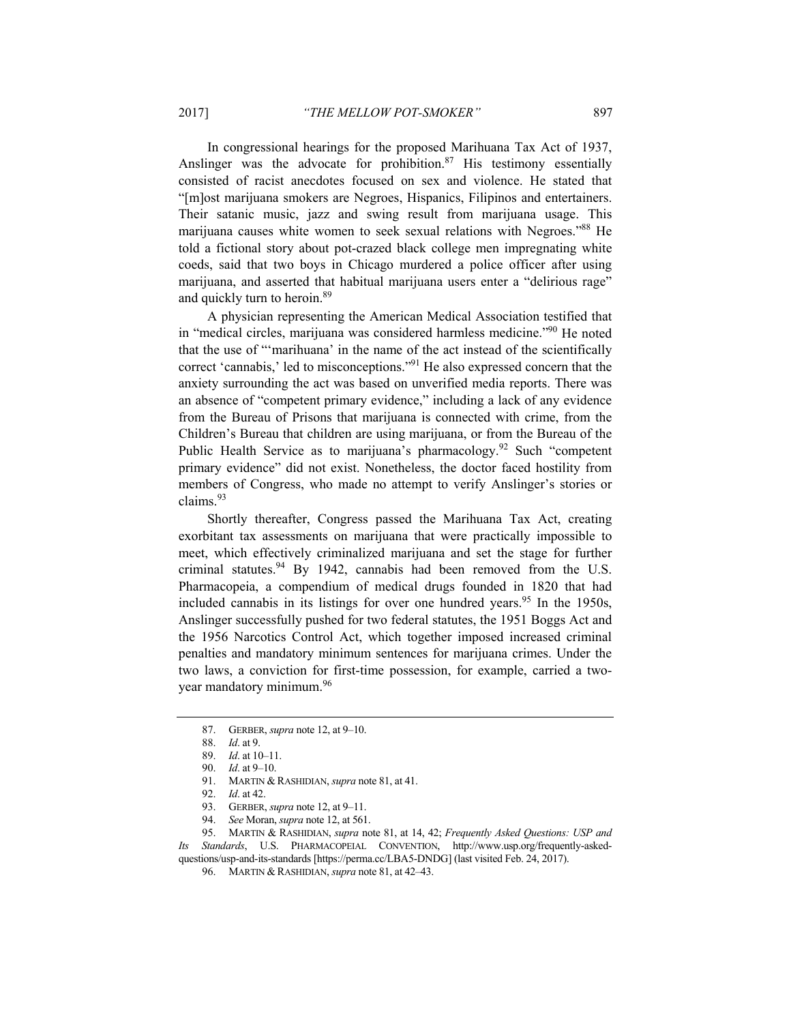In congressional hearings for the proposed Marihuana Tax Act of 1937, Anslinger was the advocate for prohibition. $87$  His testimony essentially consisted of racist anecdotes focused on sex and violence. He stated that "[m]ost marijuana smokers are Negroes, Hispanics, Filipinos and entertainers. Their satanic music, jazz and swing result from marijuana usage. This marijuana causes white women to seek sexual relations with Negroes."88 He told a fictional story about pot-crazed black college men impregnating white coeds, said that two boys in Chicago murdered a police officer after using marijuana, and asserted that habitual marijuana users enter a "delirious rage" and quickly turn to heroin.89

A physician representing the American Medical Association testified that in "medical circles, marijuana was considered harmless medicine."90 He noted that the use of "'marihuana' in the name of the act instead of the scientifically correct 'cannabis,' led to misconceptions."91 He also expressed concern that the anxiety surrounding the act was based on unverified media reports. There was an absence of "competent primary evidence," including a lack of any evidence from the Bureau of Prisons that marijuana is connected with crime, from the Children's Bureau that children are using marijuana, or from the Bureau of the Public Health Service as to marijuana's pharmacology.<sup>92</sup> Such "competent" primary evidence" did not exist. Nonetheless, the doctor faced hostility from members of Congress, who made no attempt to verify Anslinger's stories or claims.<sup>93</sup>

Shortly thereafter, Congress passed the Marihuana Tax Act, creating exorbitant tax assessments on marijuana that were practically impossible to meet, which effectively criminalized marijuana and set the stage for further criminal statutes.<sup>94</sup> By 1942, cannabis had been removed from the U.S. Pharmacopeia, a compendium of medical drugs founded in 1820 that had included cannabis in its listings for over one hundred years.<sup>95</sup> In the 1950s, Anslinger successfully pushed for two federal statutes, the 1951 Boggs Act and the 1956 Narcotics Control Act, which together imposed increased criminal penalties and mandatory minimum sentences for marijuana crimes. Under the two laws, a conviction for first-time possession, for example, carried a twoyear mandatory minimum.<sup>96</sup>

94. *See* Moran, *supra* note 12, at 561.

 95. MARTIN & RASHIDIAN, *supra* note 81, at 14, 42; *Frequently Asked Questions: USP and Its Standards*, U.S. PHARMACOPEIAL CONVENTION, http://www.usp.org/frequently-askedquestions/usp-and-its-standards [https://perma.cc/LBA5-DNDG] (last visited Feb. 24, 2017).

 <sup>87.</sup> GERBER, *supra* note 12, at 9–10.

<sup>88.</sup> *Id*. at 9.

<sup>89.</sup> *Id*. at 10–11.

<sup>90.</sup> *Id*. at 9–10.

 <sup>91.</sup> MARTIN & RASHIDIAN, *supra* note 81, at 41.

<sup>92.</sup> *Id*. at 42.

 <sup>93.</sup> GERBER, *supra* note 12, at 9–11.

 <sup>96.</sup> MARTIN & RASHIDIAN, *supra* note 81, at 42–43.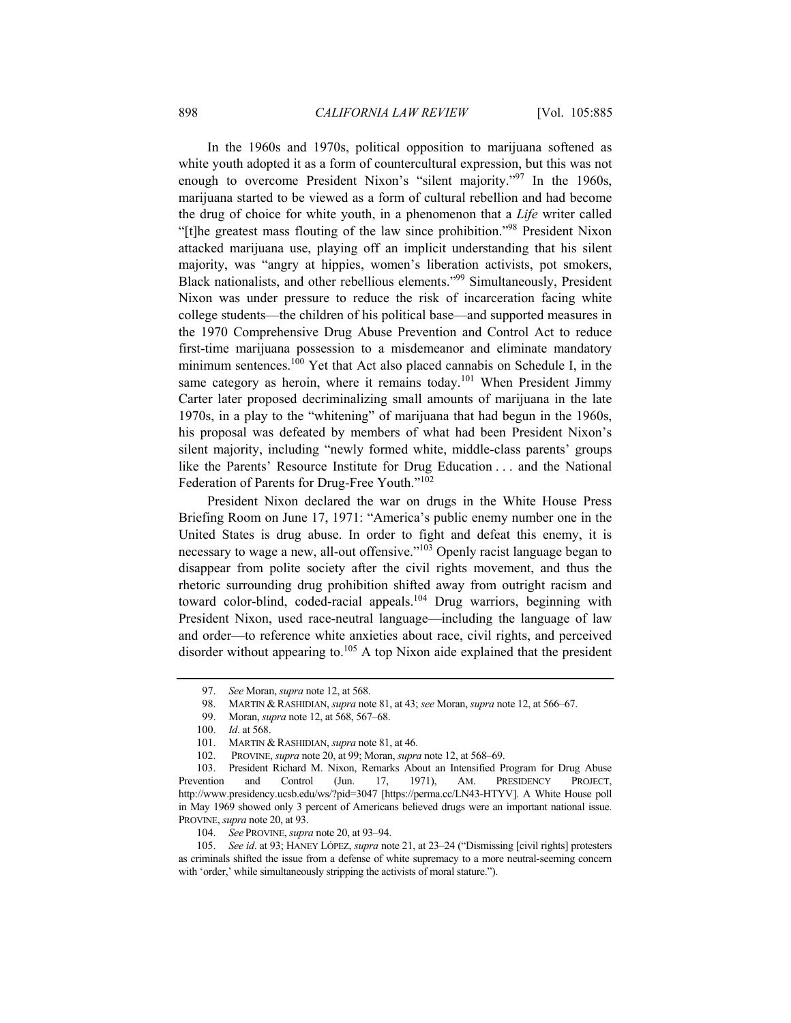In the 1960s and 1970s, political opposition to marijuana softened as white youth adopted it as a form of countercultural expression, but this was not enough to overcome President Nixon's "silent majority."97 In the 1960s, marijuana started to be viewed as a form of cultural rebellion and had become the drug of choice for white youth, in a phenomenon that a *Life* writer called "[t]he greatest mass flouting of the law since prohibition."98 President Nixon attacked marijuana use, playing off an implicit understanding that his silent majority, was "angry at hippies, women's liberation activists, pot smokers, Black nationalists, and other rebellious elements."99 Simultaneously, President Nixon was under pressure to reduce the risk of incarceration facing white college students—the children of his political base—and supported measures in the 1970 Comprehensive Drug Abuse Prevention and Control Act to reduce first-time marijuana possession to a misdemeanor and eliminate mandatory minimum sentences.<sup>100</sup> Yet that Act also placed cannabis on Schedule I, in the same category as heroin, where it remains today.<sup>101</sup> When President Jimmy Carter later proposed decriminalizing small amounts of marijuana in the late 1970s, in a play to the "whitening" of marijuana that had begun in the 1960s, his proposal was defeated by members of what had been President Nixon's silent majority, including "newly formed white, middle-class parents' groups like the Parents' Resource Institute for Drug Education . . . and the National Federation of Parents for Drug-Free Youth."102

President Nixon declared the war on drugs in the White House Press Briefing Room on June 17, 1971: "America's public enemy number one in the United States is drug abuse. In order to fight and defeat this enemy, it is necessary to wage a new, all-out offensive."103 Openly racist language began to disappear from polite society after the civil rights movement, and thus the rhetoric surrounding drug prohibition shifted away from outright racism and toward color-blind, coded-racial appeals.<sup>104</sup> Drug warriors, beginning with President Nixon, used race-neutral language—including the language of law and order—to reference white anxieties about race, civil rights, and perceived disorder without appearing to. $105$  A top Nixon aide explained that the president

<sup>97.</sup> *See* Moran, *supra* note 12, at 568.

 <sup>98.</sup> MARTIN & RASHIDIAN, *supra* note 81, at 43; *see* Moran, *supra* note 12, at 566–67.

 <sup>99.</sup> Moran, *supra* note 12, at 568, 567–68.

<sup>100.</sup> *Id*. at 568.

<sup>101.</sup> MARTIN & RASHIDIAN, *supra* note 81, at 46.

 <sup>102.</sup> PROVINE, *supra* note 20, at 99; Moran, *supra* note 12, at 568–69.

 <sup>103.</sup> President Richard M. Nixon, Remarks About an Intensified Program for Drug Abuse Prevention and Control (Jun. 17, 1971), AM. PRESIDENCY PROJECT, http://www.presidency.ucsb.edu/ws/?pid=3047 [https://perma.cc/LN43-HTYV]. A White House poll in May 1969 showed only 3 percent of Americans believed drugs were an important national issue. PROVINE, *supra* note 20, at 93.

<sup>104.</sup> *See* PROVINE, *supra* note 20, at 93–94.

<sup>105.</sup> *See id*. at 93; HANEY LÓPEZ, *supra* note 21, at 23–24 ("Dismissing [civil rights] protesters as criminals shifted the issue from a defense of white supremacy to a more neutral-seeming concern with 'order,' while simultaneously stripping the activists of moral stature.").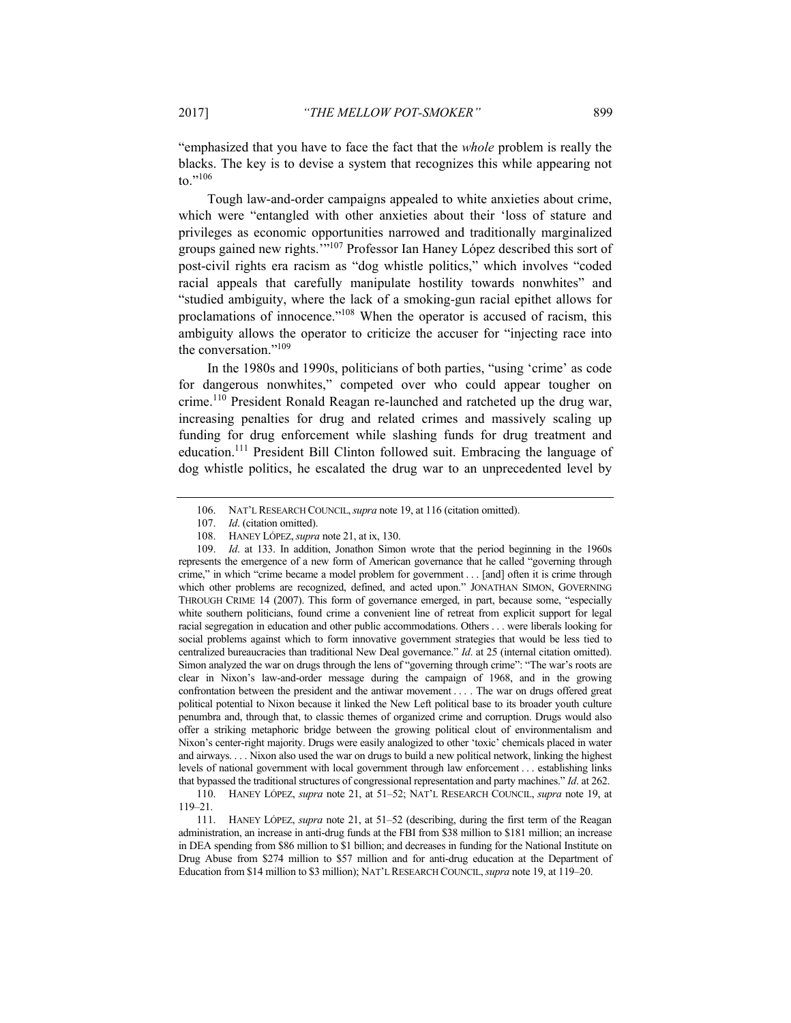"emphasized that you have to face the fact that the *whole* problem is really the blacks. The key is to devise a system that recognizes this while appearing not to."106

Tough law-and-order campaigns appealed to white anxieties about crime, which were "entangled with other anxieties about their 'loss of stature and privileges as economic opportunities narrowed and traditionally marginalized groups gained new rights.'"107 Professor Ian Haney López described this sort of post-civil rights era racism as "dog whistle politics," which involves "coded racial appeals that carefully manipulate hostility towards nonwhites" and "studied ambiguity, where the lack of a smoking-gun racial epithet allows for proclamations of innocence."108 When the operator is accused of racism, this ambiguity allows the operator to criticize the accuser for "injecting race into the conversation."109

In the 1980s and 1990s, politicians of both parties, "using 'crime' as code for dangerous nonwhites," competed over who could appear tougher on crime.110 President Ronald Reagan re-launched and ratcheted up the drug war, increasing penalties for drug and related crimes and massively scaling up funding for drug enforcement while slashing funds for drug treatment and education.111 President Bill Clinton followed suit. Embracing the language of dog whistle politics, he escalated the drug war to an unprecedented level by

 <sup>106.</sup> NAT'L RESEARCH COUNCIL,*supra* note 19, at 116 (citation omitted).

 <sup>107.</sup> *Id*. (citation omitted).

 <sup>108.</sup> HANEY LÓPEZ,*supra* note 21, at ix, 130.

<sup>109.</sup> *Id*. at 133. In addition, Jonathon Simon wrote that the period beginning in the 1960s represents the emergence of a new form of American governance that he called "governing through crime," in which "crime became a model problem for government . . . [and] often it is crime through which other problems are recognized, defined, and acted upon." JONATHAN SIMON, GOVERNING THROUGH CRIME 14 (2007). This form of governance emerged, in part, because some, "especially white southern politicians, found crime a convenient line of retreat from explicit support for legal racial segregation in education and other public accommodations. Others . . . were liberals looking for social problems against which to form innovative government strategies that would be less tied to centralized bureaucracies than traditional New Deal governance." *Id*. at 25 (internal citation omitted). Simon analyzed the war on drugs through the lens of "governing through crime": "The war's roots are clear in Nixon's law-and-order message during the campaign of 1968, and in the growing confrontation between the president and the antiwar movement . . . . The war on drugs offered great political potential to Nixon because it linked the New Left political base to its broader youth culture penumbra and, through that, to classic themes of organized crime and corruption. Drugs would also offer a striking metaphoric bridge between the growing political clout of environmentalism and Nixon's center-right majority. Drugs were easily analogized to other 'toxic' chemicals placed in water and airways. . . . Nixon also used the war on drugs to build a new political network, linking the highest levels of national government with local government through law enforcement . . . establishing links that bypassed the traditional structures of congressional representation and party machines." *Id*. at 262.

 <sup>110.</sup> HANEY LÓPEZ, *supra* note 21, at 51–52; NAT'L RESEARCH COUNCIL, *supra* note 19, at 119–21.

 <sup>111.</sup> HANEY LÓPEZ, *supra* note 21, at 51–52 (describing, during the first term of the Reagan administration, an increase in anti-drug funds at the FBI from \$38 million to \$181 million; an increase in DEA spending from \$86 million to \$1 billion; and decreases in funding for the National Institute on Drug Abuse from \$274 million to \$57 million and for anti-drug education at the Department of Education from \$14 million to \$3 million); NAT'L RESEARCH COUNCIL,*supra* note 19, at 119–20.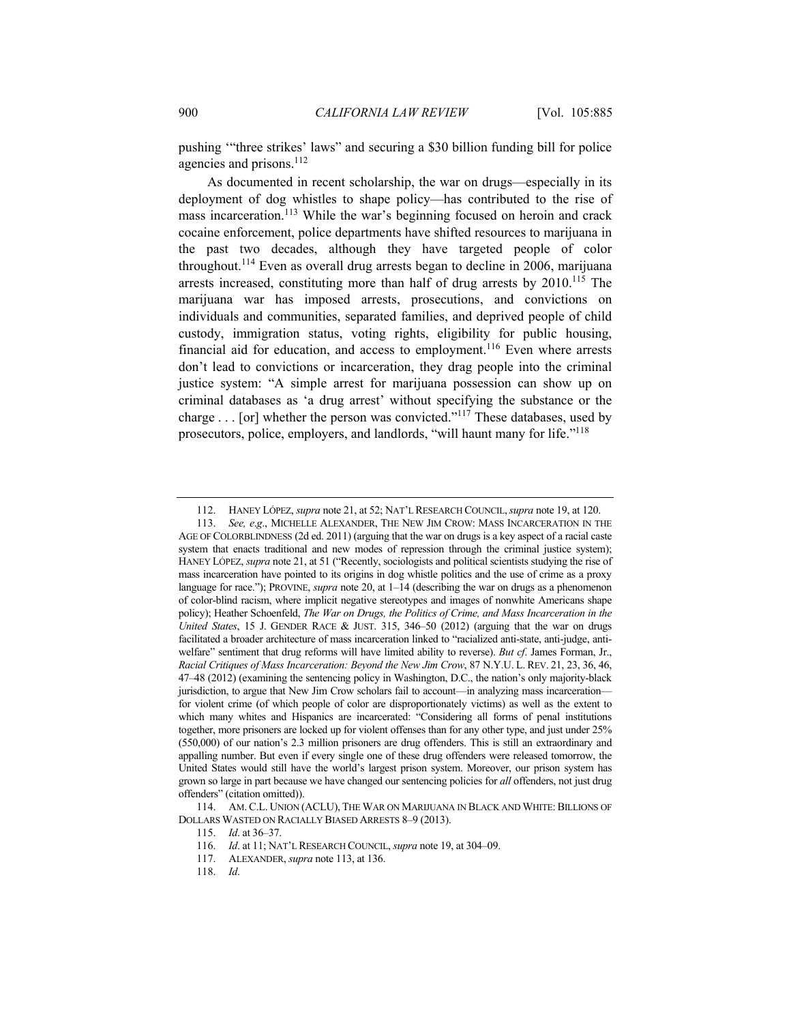pushing '"three strikes' laws" and securing a \$30 billion funding bill for police agencies and prisons.<sup>112</sup>

As documented in recent scholarship, the war on drugs—especially in its deployment of dog whistles to shape policy—has contributed to the rise of mass incarceration.<sup>113</sup> While the war's beginning focused on heroin and crack cocaine enforcement, police departments have shifted resources to marijuana in the past two decades, although they have targeted people of color throughout.<sup>114</sup> Even as overall drug arrests began to decline in 2006, marijuana arrests increased, constituting more than half of drug arrests by  $2010$ <sup>115</sup>. The marijuana war has imposed arrests, prosecutions, and convictions on individuals and communities, separated families, and deprived people of child custody, immigration status, voting rights, eligibility for public housing, financial aid for education, and access to employment.<sup>116</sup> Even where arrests don't lead to convictions or incarceration, they drag people into the criminal justice system: "A simple arrest for marijuana possession can show up on criminal databases as 'a drug arrest' without specifying the substance or the charge . . . [or] whether the person was convicted."117 These databases, used by prosecutors, police, employers, and landlords, "will haunt many for life."118

 114. AM. C.L. UNION (ACLU), THE WAR ON MARIJUANA IN BLACK AND WHITE: BILLIONS OF DOLLARS WASTED ON RACIALLY BIASED ARRESTS 8–9 (2013).

 <sup>112.</sup> HANEY LÓPEZ, *supra* note 21, at 52; NAT'L RESEARCH COUNCIL,*supra* note 19, at 120.

<sup>113.</sup> *See, e*.*g*., MICHELLE ALEXANDER, THE NEW JIM CROW: MASS INCARCERATION IN THE AGE OF COLORBLINDNESS (2d ed. 2011) (arguing that the war on drugs is a key aspect of a racial caste system that enacts traditional and new modes of repression through the criminal justice system); HANEY LÓPEZ, *supra* note 21, at 51 ("Recently, sociologists and political scientists studying the rise of mass incarceration have pointed to its origins in dog whistle politics and the use of crime as a proxy language for race."); PROVINE, *supra* note 20, at 1–14 (describing the war on drugs as a phenomenon of color-blind racism, where implicit negative stereotypes and images of nonwhite Americans shape policy); Heather Schoenfeld, *The War on Drugs, the Politics of Crime, and Mass Incarceration in the United States*, 15 J. GENDER RACE & JUST. 315, 346–50 (2012) (arguing that the war on drugs facilitated a broader architecture of mass incarceration linked to "racialized anti-state, anti-judge, antiwelfare" sentiment that drug reforms will have limited ability to reverse). *But cf*. James Forman, Jr., *Racial Critiques of Mass Incarceration: Beyond the New Jim Crow*, 87 N.Y.U. L. REV. 21, 23, 36, 46, 47–48 (2012) (examining the sentencing policy in Washington, D.C., the nation's only majority-black jurisdiction, to argue that New Jim Crow scholars fail to account—in analyzing mass incarceration for violent crime (of which people of color are disproportionately victims) as well as the extent to which many whites and Hispanics are incarcerated: "Considering all forms of penal institutions together, more prisoners are locked up for violent offenses than for any other type, and just under 25% (550,000) of our nation's 2.3 million prisoners are drug offenders. This is still an extraordinary and appalling number. But even if every single one of these drug offenders were released tomorrow, the United States would still have the world's largest prison system. Moreover, our prison system has grown so large in part because we have changed our sentencing policies for *all* offenders, not just drug offenders" (citation omitted)).

<sup>115.</sup> *Id*. at 36–37.

<sup>116.</sup> *Id*. at 11; NAT'L RESEARCH COUNCIL, *supra* note 19, at 304–09.

 <sup>117.</sup> ALEXANDER, *supra* note 113, at 136.

<sup>118.</sup> *Id*.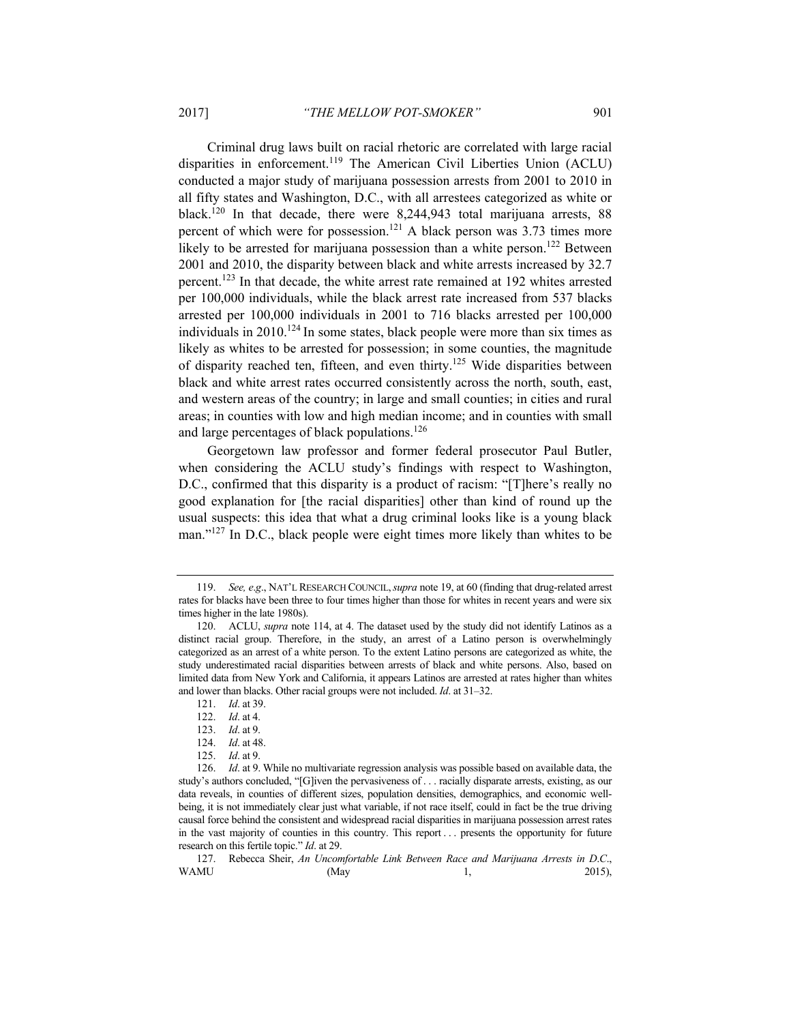Criminal drug laws built on racial rhetoric are correlated with large racial disparities in enforcement.<sup>119</sup> The American Civil Liberties Union (ACLU) conducted a major study of marijuana possession arrests from 2001 to 2010 in all fifty states and Washington, D.C., with all arrestees categorized as white or black.120 In that decade, there were 8,244,943 total marijuana arrests, 88 percent of which were for possession.121 A black person was 3.73 times more likely to be arrested for marijuana possession than a white person.<sup>122</sup> Between 2001 and 2010, the disparity between black and white arrests increased by 32.7 percent.123 In that decade, the white arrest rate remained at 192 whites arrested per 100,000 individuals, while the black arrest rate increased from 537 blacks arrested per 100,000 individuals in 2001 to 716 blacks arrested per 100,000 individuals in 2010.<sup>124</sup> In some states, black people were more than six times as likely as whites to be arrested for possession; in some counties, the magnitude of disparity reached ten, fifteen, and even thirty.125 Wide disparities between black and white arrest rates occurred consistently across the north, south, east, and western areas of the country; in large and small counties; in cities and rural areas; in counties with low and high median income; and in counties with small and large percentages of black populations.126

Georgetown law professor and former federal prosecutor Paul Butler, when considering the ACLU study's findings with respect to Washington, D.C., confirmed that this disparity is a product of racism: "[T]here's really no good explanation for [the racial disparities] other than kind of round up the usual suspects: this idea that what a drug criminal looks like is a young black man."<sup>127</sup> In D.C., black people were eight times more likely than whites to be

 127. Rebecca Sheir, *An Uncomfortable Link Between Race and Marijuana Arrests in D*.*C*.,  $WAMU$  (May 1, 2015),

<sup>119.</sup> *See, e*.*g*., NAT'L RESEARCH COUNCIL,*supra* note 19, at 60 (finding that drug-related arrest rates for blacks have been three to four times higher than those for whites in recent years and were six times higher in the late 1980s).

 <sup>120.</sup> ACLU, *supra* note 114, at 4. The dataset used by the study did not identify Latinos as a distinct racial group. Therefore, in the study, an arrest of a Latino person is overwhelmingly categorized as an arrest of a white person. To the extent Latino persons are categorized as white, the study underestimated racial disparities between arrests of black and white persons. Also, based on limited data from New York and California, it appears Latinos are arrested at rates higher than whites and lower than blacks. Other racial groups were not included. *Id*. at 31–32.

<sup>121.</sup> *Id*. at 39.

<sup>122.</sup> *Id*. at 4.

<sup>123.</sup> *Id*. at 9.

<sup>124.</sup> *Id*. at 48.

<sup>125.</sup> *Id*. at 9.

<sup>126.</sup> *Id*. at 9. While no multivariate regression analysis was possible based on available data, the study's authors concluded, "[G]iven the pervasiveness of . . . racially disparate arrests, existing, as our data reveals, in counties of different sizes, population densities, demographics, and economic wellbeing, it is not immediately clear just what variable, if not race itself, could in fact be the true driving causal force behind the consistent and widespread racial disparities in marijuana possession arrest rates in the vast majority of counties in this country. This report . . . presents the opportunity for future research on this fertile topic." *Id*. at 29.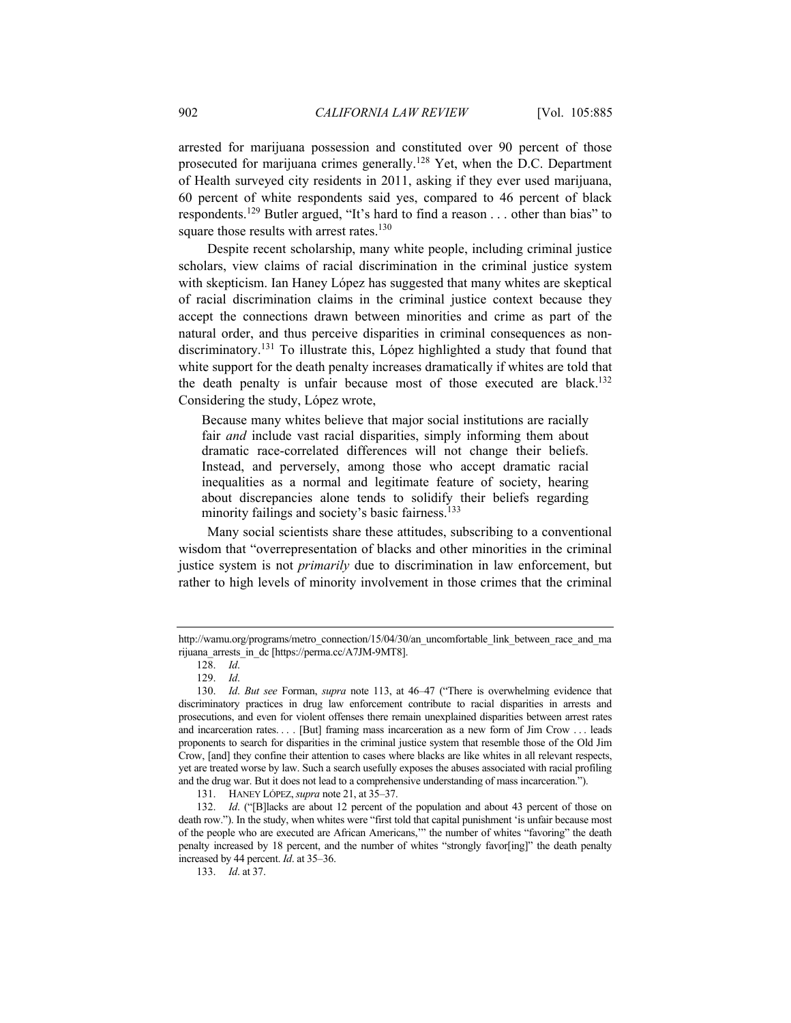arrested for marijuana possession and constituted over 90 percent of those prosecuted for marijuana crimes generally.<sup>128</sup> Yet, when the D.C. Department of Health surveyed city residents in 2011, asking if they ever used marijuana, 60 percent of white respondents said yes, compared to 46 percent of black respondents.129 Butler argued, "It's hard to find a reason . . . other than bias" to square those results with arrest rates.<sup>130</sup>

Despite recent scholarship, many white people, including criminal justice scholars, view claims of racial discrimination in the criminal justice system with skepticism. Ian Haney López has suggested that many whites are skeptical of racial discrimination claims in the criminal justice context because they accept the connections drawn between minorities and crime as part of the natural order, and thus perceive disparities in criminal consequences as nondiscriminatory.<sup>131</sup> To illustrate this, López highlighted a study that found that white support for the death penalty increases dramatically if whites are told that the death penalty is unfair because most of those executed are black.<sup>132</sup> Considering the study, López wrote,

Because many whites believe that major social institutions are racially fair *and* include vast racial disparities, simply informing them about dramatic race-correlated differences will not change their beliefs. Instead, and perversely, among those who accept dramatic racial inequalities as a normal and legitimate feature of society, hearing about discrepancies alone tends to solidify their beliefs regarding minority failings and society's basic fairness.<sup>133</sup>

Many social scientists share these attitudes, subscribing to a conventional wisdom that "overrepresentation of blacks and other minorities in the criminal justice system is not *primarily* due to discrimination in law enforcement, but rather to high levels of minority involvement in those crimes that the criminal

http://wamu.org/programs/metro\_connection/15/04/30/an\_uncomfortable\_link\_between\_race\_and\_ma rijuana\_arrests\_in\_dc [https://perma.cc/A7JM-9MT8].

<sup>128.</sup> *Id*.

<sup>129.</sup> *Id*.

<sup>130.</sup> *Id*. *But see* Forman, *supra* note 113, at 46–47 ("There is overwhelming evidence that discriminatory practices in drug law enforcement contribute to racial disparities in arrests and prosecutions, and even for violent offenses there remain unexplained disparities between arrest rates and incarceration rates. . . . [But] framing mass incarceration as a new form of Jim Crow . . . leads proponents to search for disparities in the criminal justice system that resemble those of the Old Jim Crow, [and] they confine their attention to cases where blacks are like whites in all relevant respects, yet are treated worse by law. Such a search usefully exposes the abuses associated with racial profiling and the drug war. But it does not lead to a comprehensive understanding of mass incarceration.").

 <sup>131.</sup> HANEY LÓPEZ,*supra* note 21, at 35–37.

<sup>132.</sup> *Id*. ("[B]lacks are about 12 percent of the population and about 43 percent of those on death row."). In the study, when whites were "first told that capital punishment 'is unfair because most of the people who are executed are African Americans,'" the number of whites "favoring" the death penalty increased by 18 percent, and the number of whites "strongly favor[ing]" the death penalty increased by 44 percent. *Id*. at 35–36.

<sup>133.</sup> *Id*. at 37.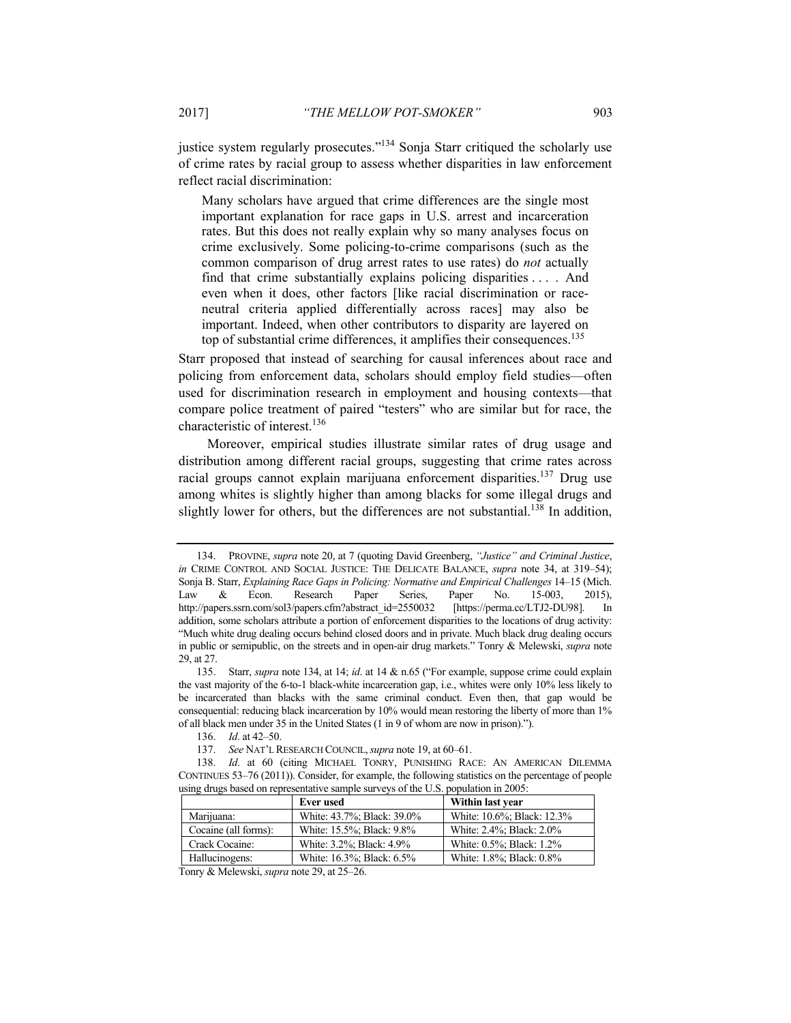justice system regularly prosecutes. $134$  Sonja Starr critiqued the scholarly use of crime rates by racial group to assess whether disparities in law enforcement reflect racial discrimination:

Many scholars have argued that crime differences are the single most important explanation for race gaps in U.S. arrest and incarceration rates. But this does not really explain why so many analyses focus on crime exclusively. Some policing-to-crime comparisons (such as the common comparison of drug arrest rates to use rates) do *not* actually find that crime substantially explains policing disparities . . . . And even when it does, other factors [like racial discrimination or raceneutral criteria applied differentially across races] may also be important. Indeed, when other contributors to disparity are layered on top of substantial crime differences, it amplifies their consequences.<sup>135</sup>

Starr proposed that instead of searching for causal inferences about race and policing from enforcement data, scholars should employ field studies—often used for discrimination research in employment and housing contexts—that compare police treatment of paired "testers" who are similar but for race, the characteristic of interest.136

Moreover, empirical studies illustrate similar rates of drug usage and distribution among different racial groups, suggesting that crime rates across racial groups cannot explain marijuana enforcement disparities.137 Drug use among whites is slightly higher than among blacks for some illegal drugs and slightly lower for others, but the differences are not substantial.<sup>138</sup> In addition,

136. *Id*. at 42–50.

<sup>138.</sup> *Id*. at 60 (citing MICHAEL TONRY, PUNISHING RACE: AN AMERICAN DILEMMA CONTINUES 53–76 (2011)). Consider, for example, the following statistics on the percentage of people using drugs based on representative sample surveys of the U.S. population in 2005:

|                      | Ever used                  | Within last year           |
|----------------------|----------------------------|----------------------------|
| Marijuana:           | White: 43.7%; Black: 39.0% | White: 10.6%; Black: 12.3% |
| Cocaine (all forms): | White: 15.5%; Black: 9.8%  | White: 2.4%; Black: 2.0%   |
| Crack Cocaine:       | White: 3.2%; Black: 4.9%   | White: 0.5%; Black: 1.2%   |
| Hallucinogens:       | White: 16.3%; Black: 6.5%  | White: 1.8%; Black: 0.8%   |

Tonry & Melewski, *supra* note 29, at 25–26.

 <sup>134.</sup> PROVINE, *supra* note 20, at 7 (quoting David Greenberg, *"Justice" and Criminal Justice*, *in* CRIME CONTROL AND SOCIAL JUSTICE: THE DELICATE BALANCE, *supra* note 34, at 319–54); Sonja B. Starr, *Explaining Race Gaps in Policing: Normative and Empirical Challenges* 14–15 (Mich. Law & Econ. Research Paper Series, Paper No. 15-003, 2015), http://papers.ssrn.com/sol3/papers.cfm?abstract\_id=2550032 [https://perma.cc/LTJ2-DU98]. In addition, some scholars attribute a portion of enforcement disparities to the locations of drug activity: "Much white drug dealing occurs behind closed doors and in private. Much black drug dealing occurs in public or semipublic, on the streets and in open-air drug markets." Tonry & Melewski, *supra* note 29, at 27.

 <sup>135.</sup> Starr, *supra* note 134, at 14; *id*. at 14 & n.65 ("For example, suppose crime could explain the vast majority of the 6-to-1 black-white incarceration gap, i.e., whites were only 10% less likely to be incarcerated than blacks with the same criminal conduct. Even then, that gap would be consequential: reducing black incarceration by 10% would mean restoring the liberty of more than 1% of all black men under 35 in the United States (1 in 9 of whom are now in prison).").

<sup>137.</sup> *See* NAT'L RESEARCH COUNCIL,*supra* note 19, at 60–61.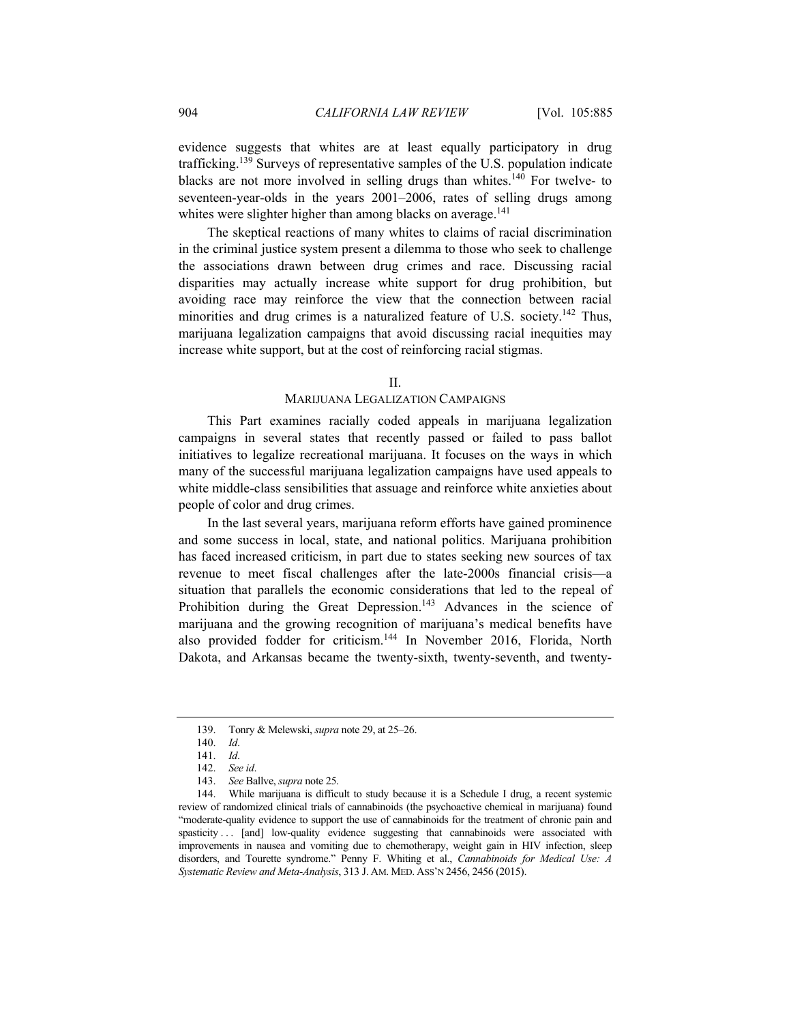evidence suggests that whites are at least equally participatory in drug trafficking.139 Surveys of representative samples of the U.S. population indicate blacks are not more involved in selling drugs than whites.<sup>140</sup> For twelve- to seventeen-year-olds in the years 2001–2006, rates of selling drugs among whites were slighter higher than among blacks on average.<sup>141</sup>

The skeptical reactions of many whites to claims of racial discrimination in the criminal justice system present a dilemma to those who seek to challenge the associations drawn between drug crimes and race. Discussing racial disparities may actually increase white support for drug prohibition, but avoiding race may reinforce the view that the connection between racial minorities and drug crimes is a naturalized feature of U.S. society.<sup>142</sup> Thus, marijuana legalization campaigns that avoid discussing racial inequities may increase white support, but at the cost of reinforcing racial stigmas.

#### $II$ .

## MARIJUANA LEGALIZATION CAMPAIGNS

This Part examines racially coded appeals in marijuana legalization campaigns in several states that recently passed or failed to pass ballot initiatives to legalize recreational marijuana. It focuses on the ways in which many of the successful marijuana legalization campaigns have used appeals to white middle-class sensibilities that assuage and reinforce white anxieties about people of color and drug crimes.

In the last several years, marijuana reform efforts have gained prominence and some success in local, state, and national politics. Marijuana prohibition has faced increased criticism, in part due to states seeking new sources of tax revenue to meet fiscal challenges after the late-2000s financial crisis—a situation that parallels the economic considerations that led to the repeal of Prohibition during the Great Depression.<sup>143</sup> Advances in the science of marijuana and the growing recognition of marijuana's medical benefits have also provided fodder for criticism.144 In November 2016, Florida, North Dakota, and Arkansas became the twenty-sixth, twenty-seventh, and twenty-

 <sup>139.</sup> Tonry & Melewski, *supra* note 29, at 25–26.

<sup>140.</sup> *Id*.

<sup>141.</sup> *Id*.

<sup>142.</sup> *See id*.

<sup>143.</sup> *See* Ballve, *supra* note 25.

 <sup>144.</sup> While marijuana is difficult to study because it is a Schedule I drug, a recent systemic review of randomized clinical trials of cannabinoids (the psychoactive chemical in marijuana) found "moderate-quality evidence to support the use of cannabinoids for the treatment of chronic pain and spasticity . . . [and] low-quality evidence suggesting that cannabinoids were associated with improvements in nausea and vomiting due to chemotherapy, weight gain in HIV infection, sleep disorders, and Tourette syndrome." Penny F. Whiting et al., *Cannabinoids for Medical Use: A Systematic Review and Meta-Analysis*, 313 J. AM. MED. ASS'N 2456, 2456 (2015).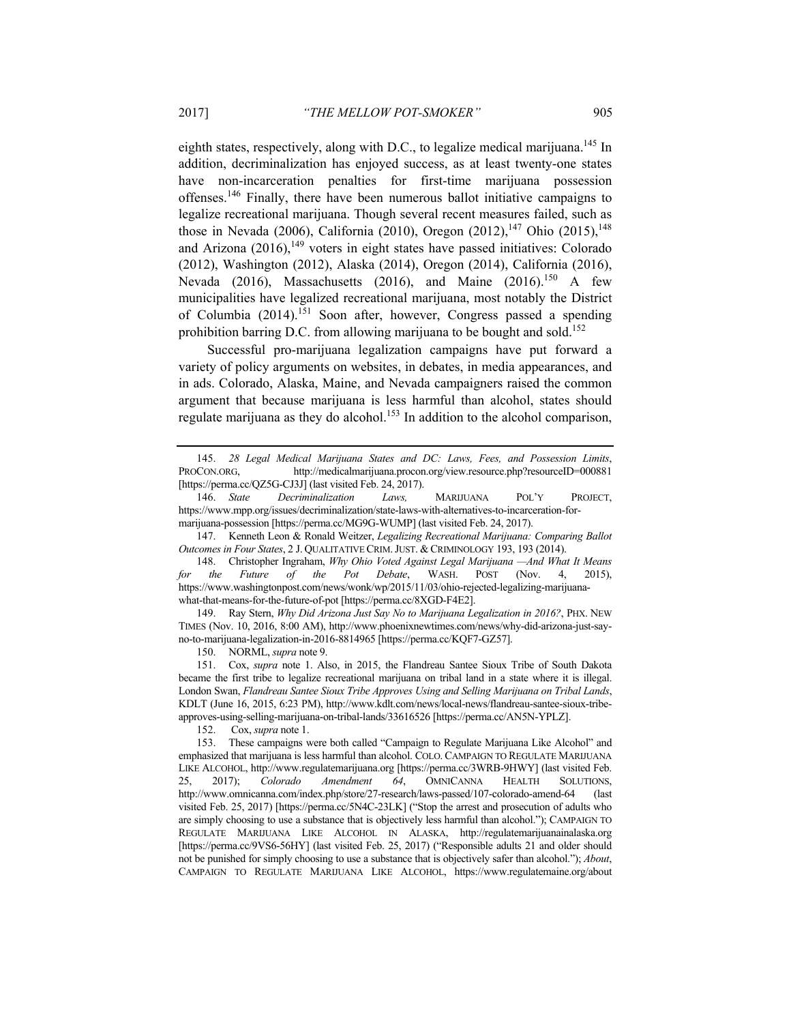eighth states, respectively, along with D.C., to legalize medical marijuana.<sup>145</sup> In addition, decriminalization has enjoyed success, as at least twenty-one states have non-incarceration penalties for first-time marijuana possession offenses.146 Finally, there have been numerous ballot initiative campaigns to legalize recreational marijuana. Though several recent measures failed, such as those in Nevada (2006), California (2010), Oregon (2012), <sup>147</sup> Ohio (2015), <sup>148</sup> and Arizona  $(2016)$ ,<sup>149</sup> voters in eight states have passed initiatives: Colorado (2012), Washington (2012), Alaska (2014), Oregon (2014), California (2016), Nevada (2016), Massachusetts (2016), and Maine (2016).<sup>150</sup> A few municipalities have legalized recreational marijuana, most notably the District of Columbia (2014).151 Soon after, however, Congress passed a spending prohibition barring D.C. from allowing marijuana to be bought and sold.152

Successful pro-marijuana legalization campaigns have put forward a variety of policy arguments on websites, in debates, in media appearances, and in ads. Colorado, Alaska, Maine, and Nevada campaigners raised the common argument that because marijuana is less harmful than alcohol, states should regulate marijuana as they do alcohol.<sup>153</sup> In addition to the alcohol comparison,

 147. Kenneth Leon & Ronald Weitzer, *Legalizing Recreational Marijuana: Comparing Ballot Outcomes in Four States*, 2 J. QUALITATIVE CRIM.JUST. & CRIMINOLOGY 193, 193 (2014).

 148. Christopher Ingraham, *Why Ohio Voted Against Legal Marijuana —And What It Means for the Future of the Pot Debate*, WASH. POST (Nov. 4, 2015), https://www.washingtonpost.com/news/wonk/wp/2015/11/03/ohio-rejected-legalizing-marijuanawhat-that-means-for-the-future-of-pot [https://perma.cc/8XGD-F4E2].

 149. Ray Stern, *Why Did Arizona Just Say No to Marijuana Legalization in 2016?*, PHX. NEW TIMES (Nov. 10, 2016, 8:00 AM), http://www.phoenixnewtimes.com/news/why-did-arizona-just-sayno-to-marijuana-legalization-in-2016-8814965 [https://perma.cc/KQF7-GZ57].

150. NORML, *supra* note 9.

 151. Cox, *supra* note 1. Also, in 2015, the Flandreau Santee Sioux Tribe of South Dakota became the first tribe to legalize recreational marijuana on tribal land in a state where it is illegal. London Swan, *Flandreau Santee Sioux Tribe Approves Using and Selling Marijuana on Tribal Lands*, KDLT (June 16, 2015, 6:23 PM), http://www.kdlt.com/news/local-news/flandreau-santee-sioux-tribeapproves-using-selling-marijuana-on-tribal-lands/33616526 [https://perma.cc/AN5N-YPLZ].

152. Cox, *supra* note 1.

<sup>145.</sup> *28 Legal Medical Marijuana States and DC: Laws, Fees, and Possession Limits*, PROCON.ORG, http://medicalmarijuana.procon.org/view.resource.php?resourceID=000881 [https://perma.cc/QZ5G-CJ3J] (last visited Feb. 24, 2017).

<sup>146.</sup> *State Decriminalization Laws,* MARIJUANA POL'Y PROJECT, https://www.mpp.org/issues/decriminalization/state-laws-with-alternatives-to-incarceration-formarijuana-possession [https://perma.cc/MG9G-WUMP] (last visited Feb. 24, 2017).

 <sup>153.</sup> These campaigns were both called "Campaign to Regulate Marijuana Like Alcohol" and emphasized that marijuana is less harmful than alcohol. COLO. CAMPAIGN TO REGULATE MARIJUANA LIKE ALCOHOL, http://www.regulatemarijuana.org [https://perma.cc/3WRB-9HWY] (last visited Feb. 25, 2017); *Colorado Amendment 64*, OMNICANNA HEALTH SOLUTIONS, http://www.omnicanna.com/index.php/store/27-research/laws-passed/107-colorado-amend-64 (last visited Feb. 25, 2017) [https://perma.cc/5N4C-23LK] ("Stop the arrest and prosecution of adults who are simply choosing to use a substance that is objectively less harmful than alcohol."); CAMPAIGN TO REGULATE MARIJUANA LIKE ALCOHOL IN ALASKA, http://regulatemarijuanainalaska.org [https://perma.cc/9VS6-56HY] (last visited Feb. 25, 2017) ("Responsible adults 21 and older should not be punished for simply choosing to use a substance that is objectively safer than alcohol."); *About*, CAMPAIGN TO REGULATE MARIJUANA LIKE ALCOHOL, https://www.regulatemaine.org/about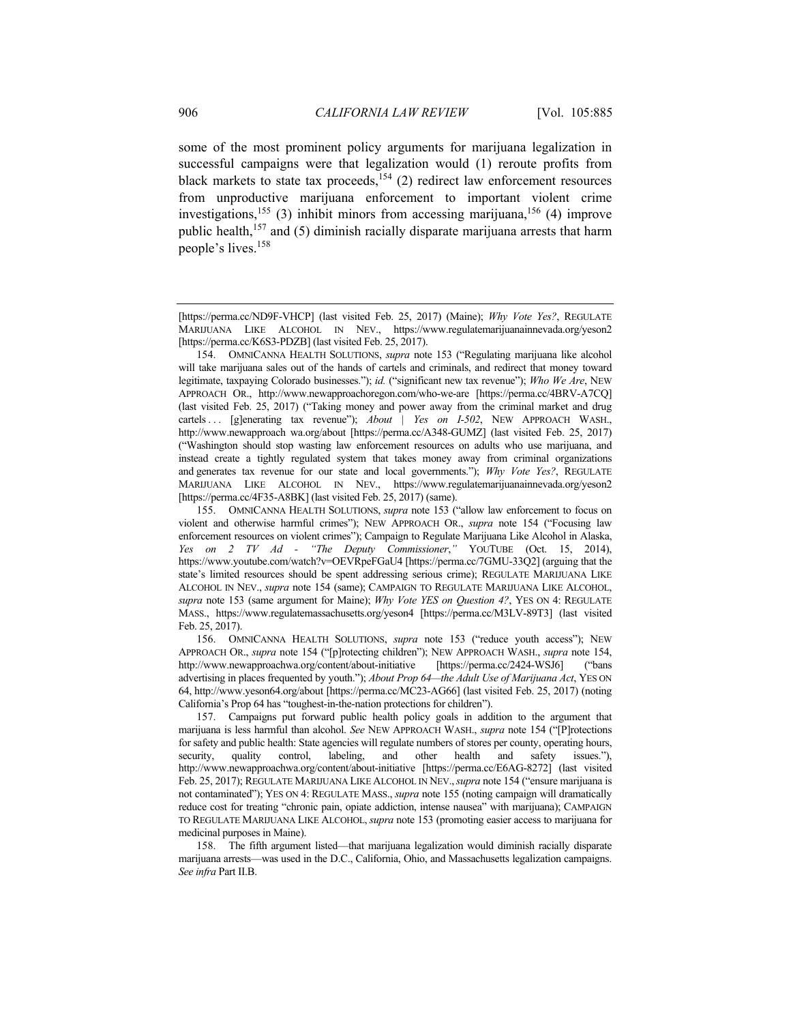some of the most prominent policy arguments for marijuana legalization in successful campaigns were that legalization would (1) reroute profits from black markets to state tax proceeds,<sup>154</sup> (2) redirect law enforcement resources from unproductive marijuana enforcement to important violent crime investigations,<sup>155</sup> (3) inhibit minors from accessing marijuana,<sup>156</sup> (4) improve public health,157 and (5) diminish racially disparate marijuana arrests that harm people's lives.158

 158. The fifth argument listed—that marijuana legalization would diminish racially disparate marijuana arrests—was used in the D.C., California, Ohio, and Massachusetts legalization campaigns. *See infra* Part II.B.

<sup>[</sup>https://perma.cc/ND9F-VHCP] (last visited Feb. 25, 2017) (Maine); *Why Vote Yes?*, REGULATE MARIJUANA LIKE ALCOHOL IN NEV., https://www.regulatemarijuanainnevada.org/yeson2 [https://perma.cc/K6S3-PDZB] (last visited Feb. 25, 2017).

 <sup>154.</sup> OMNICANNA HEALTH SOLUTIONS, *supra* note 153 ("Regulating marijuana like alcohol will take marijuana sales out of the hands of cartels and criminals, and redirect that money toward legitimate, taxpaying Colorado businesses."); *id.* ("significant new tax revenue"); *Who We Are*, NEW APPROACH OR., http://www.newapproachoregon.com/who-we-are [https://perma.cc/4BRV-A7CQ] (last visited Feb. 25, 2017) ("Taking money and power away from the criminal market and drug cartels ... [g]enerating tax revenue"); *About* | Yes on I-502, NEW APPROACH WASH., http://www.newapproach wa.org/about [https://perma.cc/A348-GUMZ] (last visited Feb. 25, 2017) ("Washington should stop wasting law enforcement resources on adults who use marijuana, and instead create a tightly regulated system that takes money away from criminal organizations and generates tax revenue for our state and local governments."); *Why Vote Yes?*, REGULATE MARIJUANA LIKE ALCOHOL IN NEV., https://www.regulatemarijuanainnevada.org/yeson2 [https://perma.cc/4F35-A8BK] (last visited Feb. 25, 2017) (same).

 <sup>155.</sup> OMNICANNA HEALTH SOLUTIONS, *supra* note 153 ("allow law enforcement to focus on violent and otherwise harmful crimes"); NEW APPROACH OR., *supra* note 154 ("Focusing law enforcement resources on violent crimes"); Campaign to Regulate Marijuana Like Alcohol in Alaska, *Yes on 2 TV Ad - "The Deputy Commissioner*,*"* YOUTUBE (Oct. 15, 2014), https://www.youtube.com/watch?v=OEVRpeFGaU4 [https://perma.cc/7GMU-33Q2] (arguing that the state's limited resources should be spent addressing serious crime); REGULATE MARIJUANA LIKE ALCOHOL IN NEV., *supra* note 154 (same); CAMPAIGN TO REGULATE MARIJUANA LIKE ALCOHOL, *supra* note 153 (same argument for Maine); *Why Vote YES on Question 4?*, YES ON 4: REGULATE MASS., https://www.regulatemassachusetts.org/yeson4 [https://perma.cc/M3LV-89T3] (last visited Feb. 25, 2017).

 <sup>156.</sup> OMNICANNA HEALTH SOLUTIONS, *supra* note 153 ("reduce youth access"); NEW APPROACH OR., *supra* note 154 ("[p]rotecting children"); NEW APPROACH WASH., *supra* note 154, http://www.newapproachwa.org/content/about-initiative [https://perma.cc/2424-WSJ6] ("bans advertising in places frequented by youth."); *About Prop 64—the Adult Use of Marijuana Act*, YES ON 64, http://www.yeson64.org/about [https://perma.cc/MC23-AG66] (last visited Feb. 25, 2017) (noting California's Prop 64 has "toughest-in-the-nation protections for children").

 <sup>157.</sup> Campaigns put forward public health policy goals in addition to the argument that marijuana is less harmful than alcohol. *See* NEW APPROACH WASH., *supra* note 154 ("[P]rotections for safety and public health: State agencies will regulate numbers of stores per county, operating hours, security, quality control, labeling, and other health and safety issues."), http://www.newapproachwa.org/content/about-initiative [https://perma.cc/E6AG-8272] (last visited Feb. 25, 2017); REGULATE MARIJUANA LIKE ALCOHOL IN NEV.,*supra* note 154 ("ensure marijuana is not contaminated"); YES ON 4: REGULATE MASS., *supra* note 155 (noting campaign will dramatically reduce cost for treating "chronic pain, opiate addiction, intense nausea" with marijuana); CAMPAIGN TO REGULATE MARIJUANA LIKE ALCOHOL, *supra* note 153 (promoting easier access to marijuana for medicinal purposes in Maine).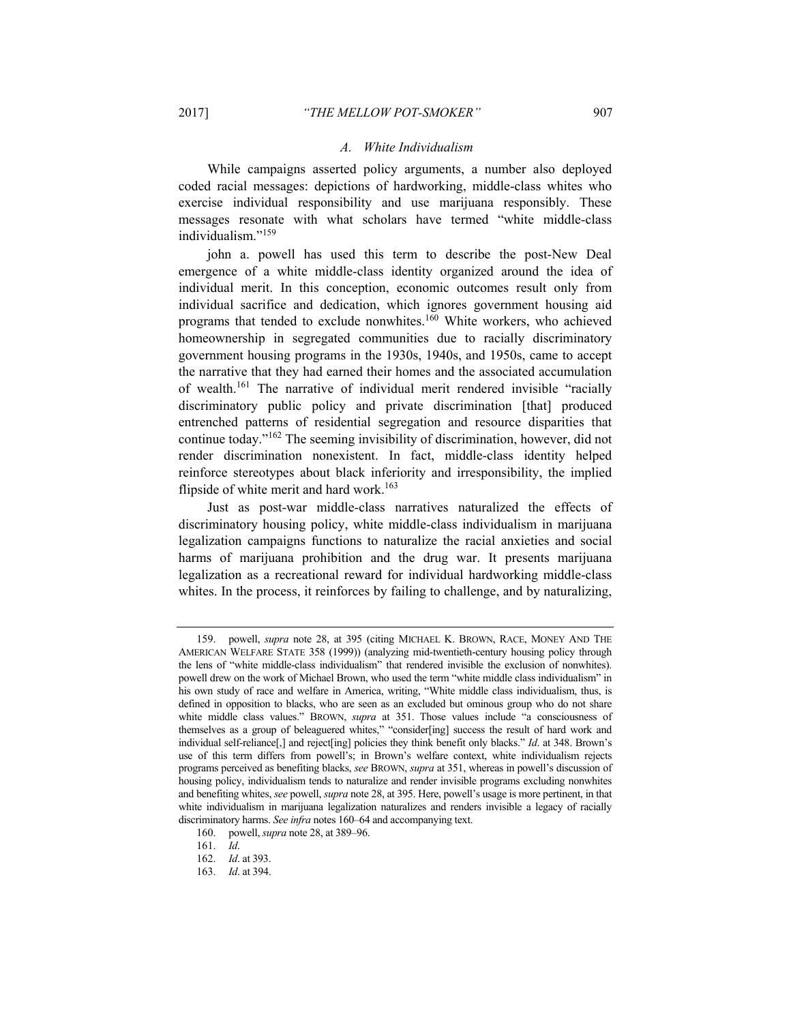#### *A. White Individualism*

While campaigns asserted policy arguments, a number also deployed coded racial messages: depictions of hardworking, middle-class whites who exercise individual responsibility and use marijuana responsibly. These messages resonate with what scholars have termed "white middle-class individualism."<sup>159</sup>

john a. powell has used this term to describe the post-New Deal emergence of a white middle-class identity organized around the idea of individual merit. In this conception, economic outcomes result only from individual sacrifice and dedication, which ignores government housing aid programs that tended to exclude nonwhites.160 White workers, who achieved homeownership in segregated communities due to racially discriminatory government housing programs in the 1930s, 1940s, and 1950s, came to accept the narrative that they had earned their homes and the associated accumulation of wealth.161 The narrative of individual merit rendered invisible "racially discriminatory public policy and private discrimination [that] produced entrenched patterns of residential segregation and resource disparities that continue today."162 The seeming invisibility of discrimination, however, did not render discrimination nonexistent. In fact, middle-class identity helped reinforce stereotypes about black inferiority and irresponsibility, the implied flipside of white merit and hard work.<sup>163</sup>

Just as post-war middle-class narratives naturalized the effects of discriminatory housing policy, white middle-class individualism in marijuana legalization campaigns functions to naturalize the racial anxieties and social harms of marijuana prohibition and the drug war. It presents marijuana legalization as a recreational reward for individual hardworking middle-class whites. In the process, it reinforces by failing to challenge, and by naturalizing,

 <sup>159.</sup> powell, *supra* note 28, at 395 (citing MICHAEL K. BROWN, RACE, MONEY AND THE AMERICAN WELFARE STATE 358 (1999)) (analyzing mid-twentieth-century housing policy through the lens of "white middle-class individualism" that rendered invisible the exclusion of nonwhites). powell drew on the work of Michael Brown, who used the term "white middle class individualism" in his own study of race and welfare in America, writing, "White middle class individualism, thus, is defined in opposition to blacks, who are seen as an excluded but ominous group who do not share white middle class values." BROWN, *supra* at 351. Those values include "a consciousness of themselves as a group of beleaguered whites," "consider[ing] success the result of hard work and individual self-reliance[,] and reject[ing] policies they think benefit only blacks." *Id*. at 348. Brown's use of this term differs from powell's; in Brown's welfare context, white individualism rejects programs perceived as benefiting blacks, *see* BROWN, *supra* at 351, whereas in powell's discussion of housing policy, individualism tends to naturalize and render invisible programs excluding nonwhites and benefiting whites, *see* powell, *supra* note 28, at 395. Here, powell's usage is more pertinent, in that white individualism in marijuana legalization naturalizes and renders invisible a legacy of racially discriminatory harms. *See infra* notes 160–64 and accompanying text.

 <sup>160.</sup> powell, *supra* note 28, at 389–96.

<sup>161.</sup> *Id*.

<sup>162.</sup> *Id*. at 393.

<sup>163.</sup> *Id*. at 394.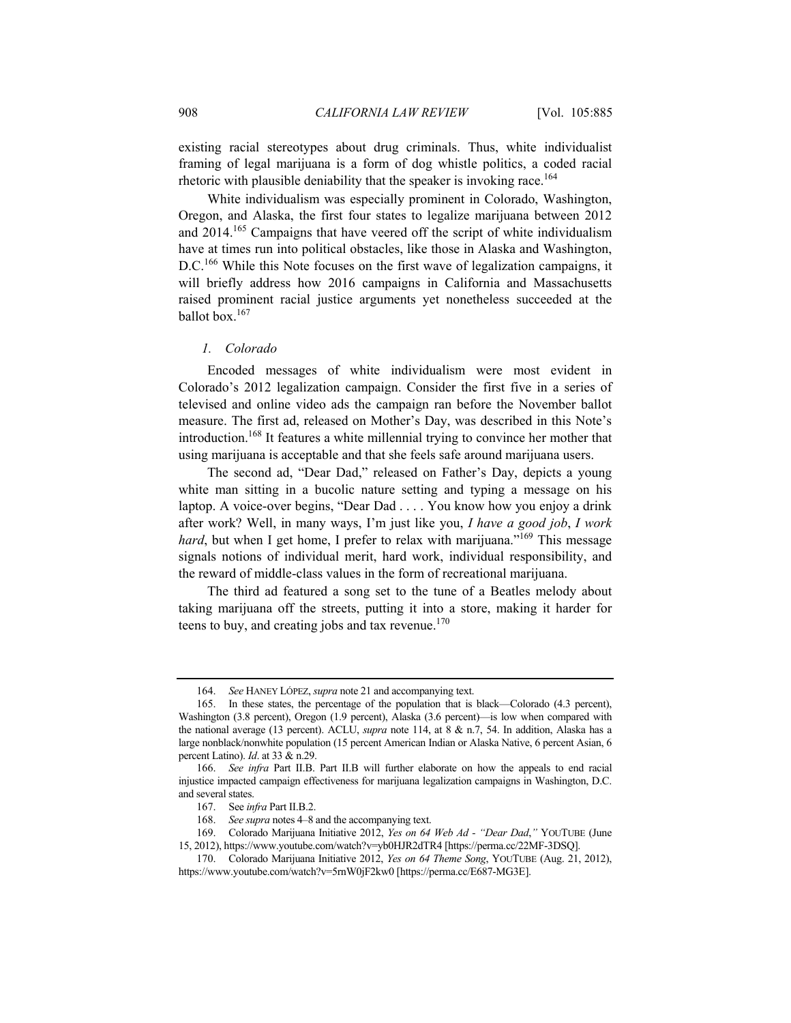existing racial stereotypes about drug criminals. Thus, white individualist framing of legal marijuana is a form of dog whistle politics, a coded racial rhetoric with plausible deniability that the speaker is invoking race.<sup>164</sup>

White individualism was especially prominent in Colorado, Washington, Oregon, and Alaska, the first four states to legalize marijuana between 2012 and 2014.165 Campaigns that have veered off the script of white individualism have at times run into political obstacles, like those in Alaska and Washington, D.C.<sup>166</sup> While this Note focuses on the first wave of legalization campaigns, it will briefly address how 2016 campaigns in California and Massachusetts raised prominent racial justice arguments yet nonetheless succeeded at the ballot box.167

## *1. Colorado*

Encoded messages of white individualism were most evident in Colorado's 2012 legalization campaign. Consider the first five in a series of televised and online video ads the campaign ran before the November ballot measure. The first ad, released on Mother's Day, was described in this Note's introduction.168 It features a white millennial trying to convince her mother that using marijuana is acceptable and that she feels safe around marijuana users.

The second ad, "Dear Dad," released on Father's Day, depicts a young white man sitting in a bucolic nature setting and typing a message on his laptop. A voice-over begins, "Dear Dad . . . . You know how you enjoy a drink after work? Well, in many ways, I'm just like you, *I have a good job*, *I work hard*, but when I get home, I prefer to relax with marijuana."<sup>169</sup> This message signals notions of individual merit, hard work, individual responsibility, and the reward of middle-class values in the form of recreational marijuana.

The third ad featured a song set to the tune of a Beatles melody about taking marijuana off the streets, putting it into a store, making it harder for teens to buy, and creating jobs and tax revenue.<sup>170</sup>

<sup>164.</sup> *See* HANEY LÓPEZ, *supra* note 21 and accompanying text.

 <sup>165.</sup> In these states, the percentage of the population that is black—Colorado (4.3 percent), Washington (3.8 percent), Oregon (1.9 percent), Alaska (3.6 percent)—is low when compared with the national average (13 percent). ACLU, *supra* note 114, at 8 & n.7, 54. In addition, Alaska has a large nonblack/nonwhite population (15 percent American Indian or Alaska Native, 6 percent Asian, 6 percent Latino). *Id*. at 33 & n.29.

<sup>166.</sup> *See infra* Part II.B. Part II.B will further elaborate on how the appeals to end racial injustice impacted campaign effectiveness for marijuana legalization campaigns in Washington, D.C. and several states.

 <sup>167.</sup> See *infra* Part II.B.2.

<sup>168.</sup> *See supra* notes 4–8 and the accompanying text.

 <sup>169.</sup> Colorado Marijuana Initiative 2012, *Yes on 64 Web Ad - "Dear Dad*,*"* YOUTUBE (June 15, 2012), https://www.youtube.com/watch?v=yb0HJR2dTR4 [https://perma.cc/22MF-3DSQ].

 <sup>170.</sup> Colorado Marijuana Initiative 2012, *Yes on 64 Theme Song*, YOUTUBE (Aug. 21, 2012), https://www.youtube.com/watch?v=5rnW0jF2kw0 [https://perma.cc/E687-MG3E].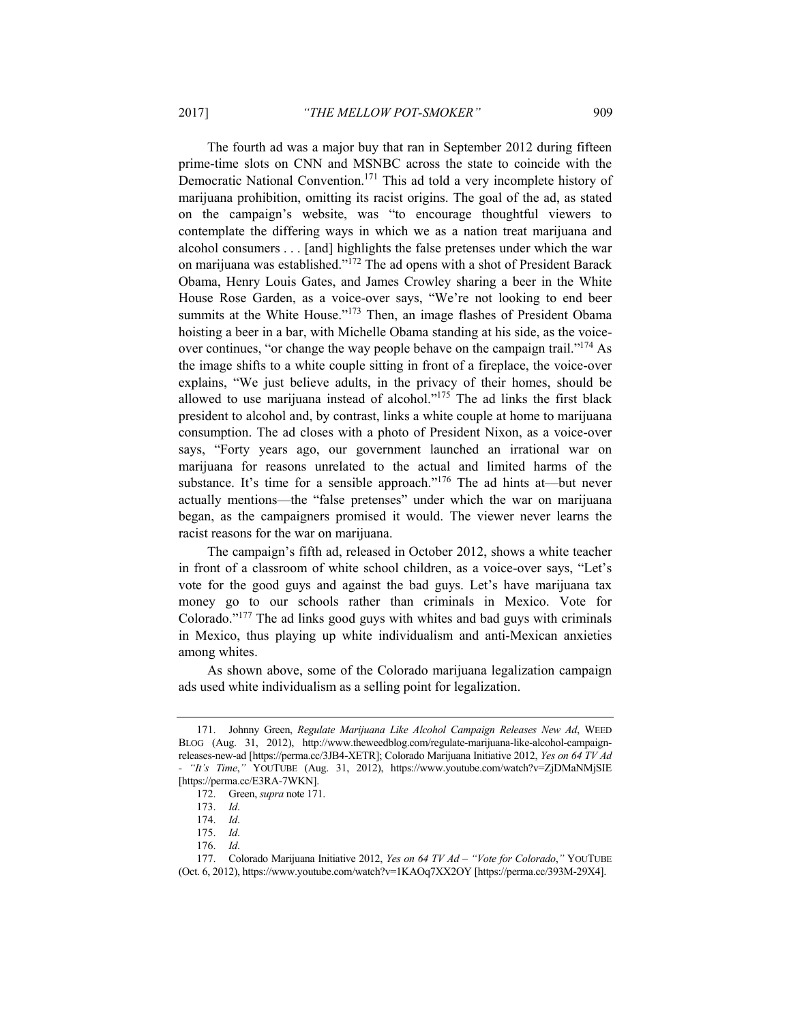The fourth ad was a major buy that ran in September 2012 during fifteen prime-time slots on CNN and MSNBC across the state to coincide with the Democratic National Convention.171 This ad told a very incomplete history of marijuana prohibition, omitting its racist origins. The goal of the ad, as stated on the campaign's website, was "to encourage thoughtful viewers to contemplate the differing ways in which we as a nation treat marijuana and alcohol consumers . . . [and] highlights the false pretenses under which the war on marijuana was established."172 The ad opens with a shot of President Barack Obama, Henry Louis Gates, and James Crowley sharing a beer in the White House Rose Garden, as a voice-over says, "We're not looking to end beer summits at the White House."<sup>173</sup> Then, an image flashes of President Obama hoisting a beer in a bar, with Michelle Obama standing at his side, as the voiceover continues, "or change the way people behave on the campaign trail."<sup>174</sup> As the image shifts to a white couple sitting in front of a fireplace, the voice-over explains, "We just believe adults, in the privacy of their homes, should be allowed to use marijuana instead of alcohol." $175$  The ad links the first black president to alcohol and, by contrast, links a white couple at home to marijuana consumption. The ad closes with a photo of President Nixon, as a voice-over says, "Forty years ago, our government launched an irrational war on marijuana for reasons unrelated to the actual and limited harms of the substance. It's time for a sensible approach."<sup>176</sup> The ad hints at—but never actually mentions—the "false pretenses" under which the war on marijuana began, as the campaigners promised it would. The viewer never learns the racist reasons for the war on marijuana.

The campaign's fifth ad, released in October 2012, shows a white teacher in front of a classroom of white school children, as a voice-over says, "Let's vote for the good guys and against the bad guys. Let's have marijuana tax money go to our schools rather than criminals in Mexico. Vote for Colorado."177 The ad links good guys with whites and bad guys with criminals in Mexico, thus playing up white individualism and anti-Mexican anxieties among whites.

As shown above, some of the Colorado marijuana legalization campaign ads used white individualism as a selling point for legalization.

 <sup>171.</sup> Johnny Green, *Regulate Marijuana Like Alcohol Campaign Releases New Ad*, WEED BLOG (Aug. 31, 2012), http://www.theweedblog.com/regulate-marijuana-like-alcohol-campaignreleases-new-ad [https://perma.cc/3JB4-XETR]; Colorado Marijuana Initiative 2012, *Yes on 64 TV Ad - "It's Time*,*"* YOUTUBE (Aug. 31, 2012), https://www.youtube.com/watch?v=ZjDMaNMjSIE [https://perma.cc/E3RA-7WKN].

 <sup>172.</sup> Green, *supra* note 171.

<sup>173.</sup> *Id*.

<sup>174.</sup> *Id*.

<sup>175.</sup> *Id*.

<sup>176.</sup> *Id*.

 <sup>177.</sup> Colorado Marijuana Initiative 2012, *Yes on 64 TV Ad – "Vote for Colorado*,*"* YOUTUBE (Oct. 6, 2012), https://www.youtube.com/watch?v=1KAOq7XX2OY [https://perma.cc/393M-29X4].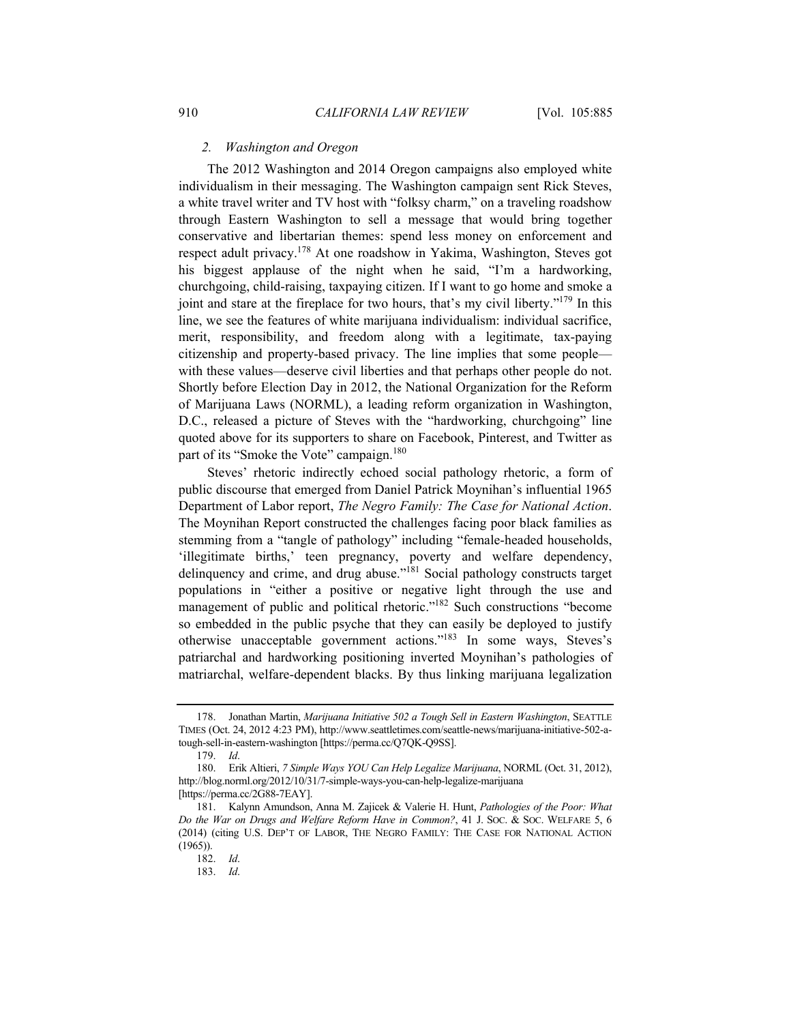#### *2. Washington and Oregon*

The 2012 Washington and 2014 Oregon campaigns also employed white individualism in their messaging. The Washington campaign sent Rick Steves, a white travel writer and TV host with "folksy charm," on a traveling roadshow through Eastern Washington to sell a message that would bring together conservative and libertarian themes: spend less money on enforcement and respect adult privacy.178 At one roadshow in Yakima, Washington, Steves got his biggest applause of the night when he said, "I'm a hardworking, churchgoing, child-raising, taxpaying citizen. If I want to go home and smoke a joint and stare at the fireplace for two hours, that's my civil liberty."<sup>179</sup> In this line, we see the features of white marijuana individualism: individual sacrifice, merit, responsibility, and freedom along with a legitimate, tax-paying citizenship and property-based privacy. The line implies that some people with these values—deserve civil liberties and that perhaps other people do not. Shortly before Election Day in 2012, the National Organization for the Reform of Marijuana Laws (NORML), a leading reform organization in Washington, D.C., released a picture of Steves with the "hardworking, churchgoing" line quoted above for its supporters to share on Facebook, Pinterest, and Twitter as part of its "Smoke the Vote" campaign.<sup>180</sup>

Steves' rhetoric indirectly echoed social pathology rhetoric, a form of public discourse that emerged from Daniel Patrick Moynihan's influential 1965 Department of Labor report, *The Negro Family: The Case for National Action*. The Moynihan Report constructed the challenges facing poor black families as stemming from a "tangle of pathology" including "female-headed households, 'illegitimate births,' teen pregnancy, poverty and welfare dependency, delinquency and crime, and drug abuse."181 Social pathology constructs target populations in "either a positive or negative light through the use and management of public and political rhetoric."<sup>182</sup> Such constructions "become so embedded in the public psyche that they can easily be deployed to justify otherwise unacceptable government actions."183 In some ways, Steves's patriarchal and hardworking positioning inverted Moynihan's pathologies of matriarchal, welfare-dependent blacks. By thus linking marijuana legalization

 <sup>178.</sup> Jonathan Martin, *Marijuana Initiative 502 a Tough Sell in Eastern Washington*, SEATTLE TIMES (Oct. 24, 2012 4:23 PM), http://www.seattletimes.com/seattle-news/marijuana-initiative-502-atough-sell-in-eastern-washington [https://perma.cc/Q7QK-Q9SS].

<sup>179.</sup> *Id*.

 <sup>180.</sup> Erik Altieri, *7 Simple Ways YOU Can Help Legalize Marijuana*, NORML (Oct. 31, 2012), http://blog.norml.org/2012/10/31/7-simple-ways-you-can-help-legalize-marijuana [https://perma.cc/2G88-7EAY].

 <sup>181.</sup> Kalynn Amundson, Anna M. Zajicek & Valerie H. Hunt, *Pathologies of the Poor: What Do the War on Drugs and Welfare Reform Have in Common?*, 41 J. SOC. & SOC. WELFARE 5, 6 (2014) (citing U.S. DEP'T OF LABOR, THE NEGRO FAMILY: THE CASE FOR NATIONAL ACTION (1965)).

<sup>182.</sup> *Id*.

<sup>183.</sup> *Id*.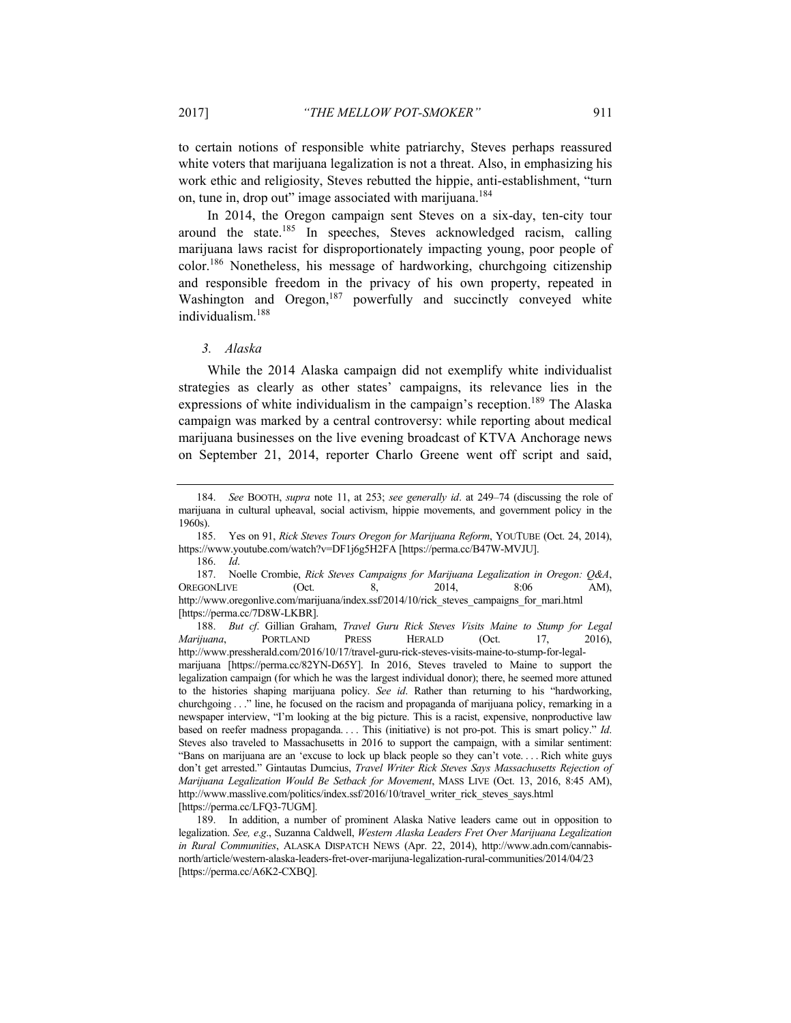to certain notions of responsible white patriarchy, Steves perhaps reassured white voters that marijuana legalization is not a threat. Also, in emphasizing his work ethic and religiosity, Steves rebutted the hippie, anti-establishment, "turn on, tune in, drop out" image associated with marijuana.<sup>184</sup>

In 2014, the Oregon campaign sent Steves on a six-day, ten-city tour around the state.<sup>185</sup> In speeches, Steves acknowledged racism, calling marijuana laws racist for disproportionately impacting young, poor people of color.186 Nonetheless, his message of hardworking, churchgoing citizenship and responsible freedom in the privacy of his own property, repeated in Washington and Oregon,<sup>187</sup> powerfully and succinctly conveyed white individualism.<sup>188</sup>

## *3. Alaska*

While the 2014 Alaska campaign did not exemplify white individualist strategies as clearly as other states' campaigns, its relevance lies in the expressions of white individualism in the campaign's reception.<sup>189</sup> The Alaska campaign was marked by a central controversy: while reporting about medical marijuana businesses on the live evening broadcast of KTVA Anchorage news on September 21, 2014, reporter Charlo Greene went off script and said,

 185. Yes on 91, *Rick Steves Tours Oregon for Marijuana Reform*, YOUTUBE (Oct. 24, 2014), https://www.youtube.com/watch?v=DF1j6g5H2FA [https://perma.cc/B47W-MVJU].

186. *Id*.

 187. Noelle Crombie, *Rick Steves Campaigns for Marijuana Legalization in Oregon: Q&A*, OREGONLIVE (Oct. 8, 2014, 8:06 AM), http://www.oregonlive.com/marijuana/index.ssf/2014/10/rick\_steves\_campaigns\_for\_mari.html [https://perma.cc/7D8W-LKBR].

188. *But cf*. Gillian Graham, *Travel Guru Rick Steves Visits Maine to Stump for Legal Marijuana*, PORTLAND PRESS HERALD (Oct. 17, 2016), http://www.pressherald.com/2016/10/17/travel-guru-rick-steves-visits-maine-to-stump-for-legalmarijuana [https://perma.cc/82YN-D65Y]. In 2016, Steves traveled to Maine to support the legalization campaign (for which he was the largest individual donor); there, he seemed more attuned to the histories shaping marijuana policy. *See id*. Rather than returning to his "hardworking, churchgoing . . ." line, he focused on the racism and propaganda of marijuana policy, remarking in a newspaper interview, "I'm looking at the big picture. This is a racist, expensive, nonproductive law based on reefer madness propaganda. . . . This (initiative) is not pro-pot. This is smart policy." *Id*. Steves also traveled to Massachusetts in 2016 to support the campaign, with a similar sentiment: "Bans on marijuana are an 'excuse to lock up black people so they can't vote. . . . Rich white guys don't get arrested." Gintautas Dumcius, *Travel Writer Rick Steves Says Massachusetts Rejection of Marijuana Legalization Would Be Setback for Movement*, MASS LIVE (Oct. 13, 2016, 8:45 AM), http://www.masslive.com/politics/index.ssf/2016/10/travel\_writer\_rick\_steves\_says.html [https://perma.cc/LFQ3-7UGM].

 189. In addition, a number of prominent Alaska Native leaders came out in opposition to legalization. *See, e*.*g*., Suzanna Caldwell, *Western Alaska Leaders Fret Over Marijuana Legalization in Rural Communities*, ALASKA DISPATCH NEWS (Apr. 22, 2014), http://www.adn.com/cannabisnorth/article/western-alaska-leaders-fret-over-marijuna-legalization-rural-communities/2014/04/23 [https://perma.cc/A6K2-CXBQ].

<sup>184.</sup> *See* BOOTH, *supra* note 11, at 253; *see generally id*. at 249–74 (discussing the role of marijuana in cultural upheaval, social activism, hippie movements, and government policy in the 1960s).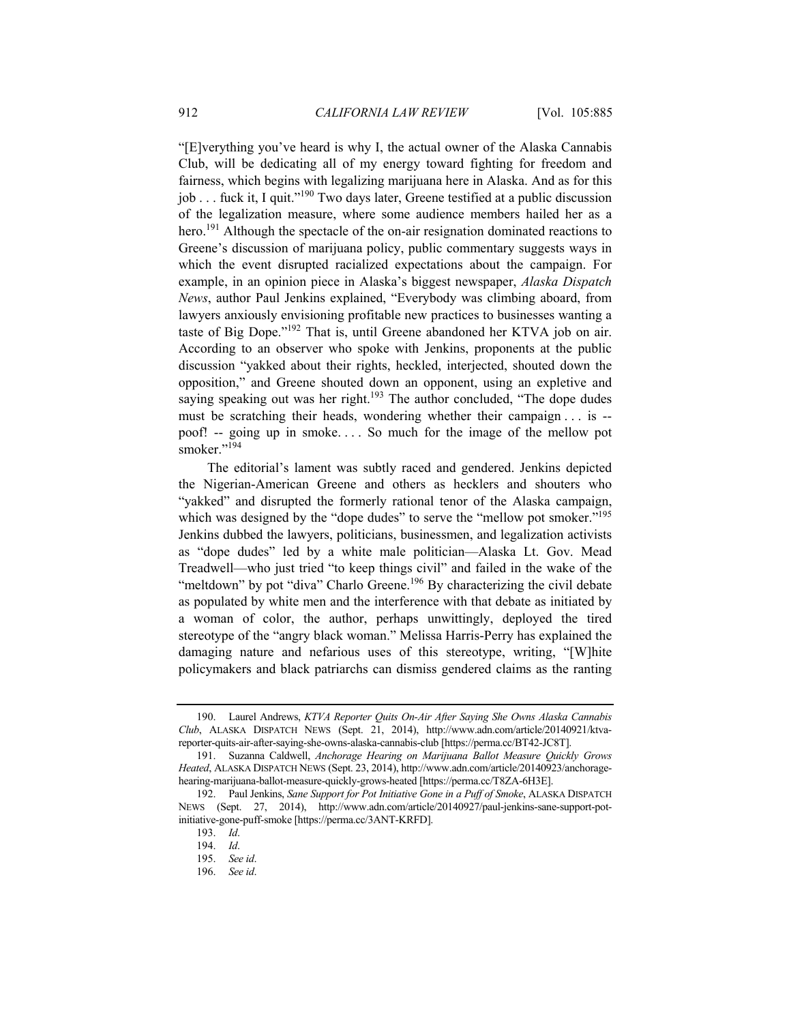"[E]verything you've heard is why I, the actual owner of the Alaska Cannabis Club, will be dedicating all of my energy toward fighting for freedom and fairness, which begins with legalizing marijuana here in Alaska. And as for this job . . . fuck it, I quit."190 Two days later, Greene testified at a public discussion of the legalization measure, where some audience members hailed her as a hero.<sup>191</sup> Although the spectacle of the on-air resignation dominated reactions to Greene's discussion of marijuana policy, public commentary suggests ways in which the event disrupted racialized expectations about the campaign. For example, in an opinion piece in Alaska's biggest newspaper, *Alaska Dispatch News*, author Paul Jenkins explained, "Everybody was climbing aboard, from lawyers anxiously envisioning profitable new practices to businesses wanting a taste of Big Dope."192 That is, until Greene abandoned her KTVA job on air. According to an observer who spoke with Jenkins, proponents at the public discussion "yakked about their rights, heckled, interjected, shouted down the opposition," and Greene shouted down an opponent, using an expletive and saying speaking out was her right.<sup>193</sup> The author concluded, "The dope dudes must be scratching their heads, wondering whether their campaign . . . is - poof! -- going up in smoke. . . . So much for the image of the mellow pot smoker."<sup>194</sup>

The editorial's lament was subtly raced and gendered. Jenkins depicted the Nigerian-American Greene and others as hecklers and shouters who "yakked" and disrupted the formerly rational tenor of the Alaska campaign, which was designed by the "dope dudes" to serve the "mellow pot smoker."<sup>195</sup> Jenkins dubbed the lawyers, politicians, businessmen, and legalization activists as "dope dudes" led by a white male politician—Alaska Lt. Gov. Mead Treadwell—who just tried "to keep things civil" and failed in the wake of the "meltdown" by pot "diva" Charlo Greene.<sup>196</sup> By characterizing the civil debate as populated by white men and the interference with that debate as initiated by a woman of color, the author, perhaps unwittingly, deployed the tired stereotype of the "angry black woman." Melissa Harris-Perry has explained the damaging nature and nefarious uses of this stereotype, writing, "[W]hite policymakers and black patriarchs can dismiss gendered claims as the ranting

 <sup>190.</sup> Laurel Andrews, *KTVA Reporter Quits On-Air After Saying She Owns Alaska Cannabis Club*, ALASKA DISPATCH NEWS (Sept. 21, 2014), http://www.adn.com/article/20140921/ktvareporter-quits-air-after-saying-she-owns-alaska-cannabis-club [https://perma.cc/BT42-JC8T].

 <sup>191.</sup> Suzanna Caldwell, *Anchorage Hearing on Marijuana Ballot Measure Quickly Grows Heated*, ALASKA DISPATCH NEWS (Sept. 23, 2014), http://www.adn.com/article/20140923/anchoragehearing-marijuana-ballot-measure-quickly-grows-heated [https://perma.cc/T8ZA-6H3E].

 <sup>192.</sup> Paul Jenkins, *Sane Support for Pot Initiative Gone in a Puff of Smoke*, ALASKA DISPATCH NEWS (Sept. 27, 2014), http://www.adn.com/article/20140927/paul-jenkins-sane-support-potinitiative-gone-puff-smoke [https://perma.cc/3ANT-KRFD].

<sup>193.</sup> *Id*.

<sup>194.</sup> *Id*.

<sup>195.</sup> *See id*.

<sup>196.</sup> *See id*.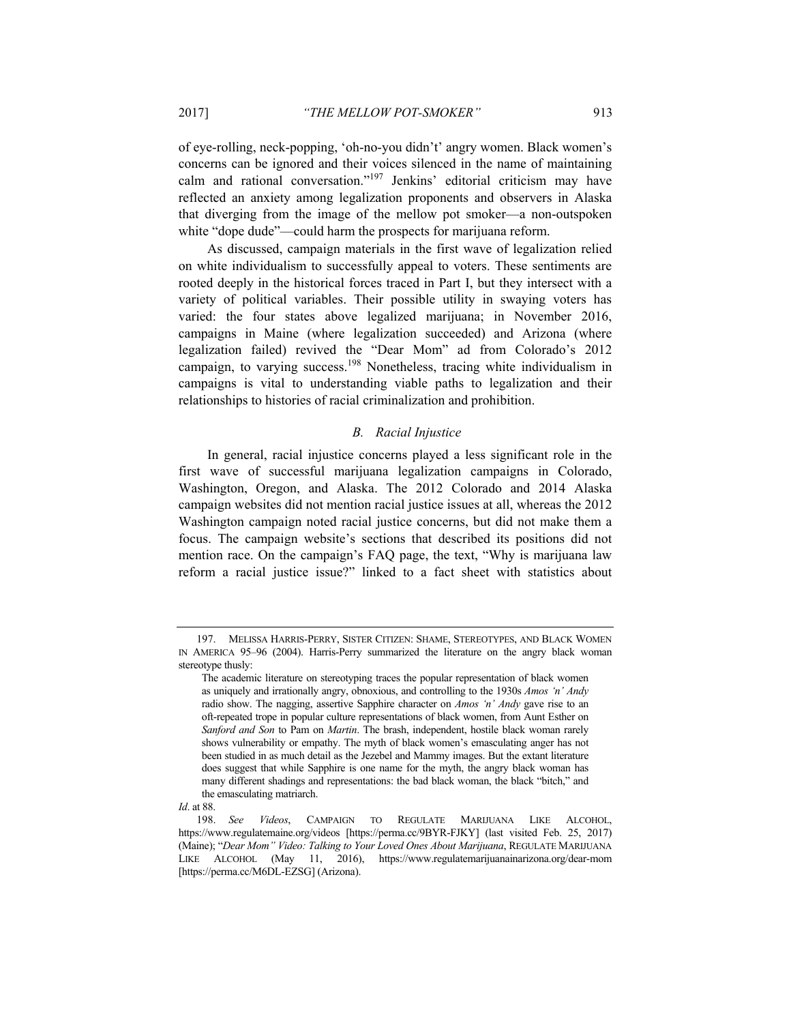of eye-rolling, neck-popping, 'oh-no-you didn't' angry women. Black women's concerns can be ignored and their voices silenced in the name of maintaining calm and rational conversation."197 Jenkins' editorial criticism may have reflected an anxiety among legalization proponents and observers in Alaska that diverging from the image of the mellow pot smoker—a non-outspoken white "dope dude"—could harm the prospects for marijuana reform.

As discussed, campaign materials in the first wave of legalization relied on white individualism to successfully appeal to voters. These sentiments are rooted deeply in the historical forces traced in Part I, but they intersect with a variety of political variables. Their possible utility in swaying voters has varied: the four states above legalized marijuana; in November 2016, campaigns in Maine (where legalization succeeded) and Arizona (where legalization failed) revived the "Dear Mom" ad from Colorado's 2012 campaign, to varying success.198 Nonetheless, tracing white individualism in campaigns is vital to understanding viable paths to legalization and their relationships to histories of racial criminalization and prohibition.

## *B. Racial Injustice*

In general, racial injustice concerns played a less significant role in the first wave of successful marijuana legalization campaigns in Colorado, Washington, Oregon, and Alaska. The 2012 Colorado and 2014 Alaska campaign websites did not mention racial justice issues at all, whereas the 2012 Washington campaign noted racial justice concerns, but did not make them a focus. The campaign website's sections that described its positions did not mention race. On the campaign's FAQ page, the text, "Why is marijuana law reform a racial justice issue?" linked to a fact sheet with statistics about

 <sup>197.</sup> MELISSA HARRIS-PERRY, SISTER CITIZEN: SHAME, STEREOTYPES, AND BLACK WOMEN IN AMERICA 95–96 (2004). Harris-Perry summarized the literature on the angry black woman stereotype thusly:

The academic literature on stereotyping traces the popular representation of black women as uniquely and irrationally angry, obnoxious, and controlling to the 1930s *Amos 'n' Andy*  radio show. The nagging, assertive Sapphire character on *Amos 'n' Andy* gave rise to an oft-repeated trope in popular culture representations of black women, from Aunt Esther on *Sanford and Son* to Pam on *Martin*. The brash, independent, hostile black woman rarely shows vulnerability or empathy. The myth of black women's emasculating anger has not been studied in as much detail as the Jezebel and Mammy images. But the extant literature does suggest that while Sapphire is one name for the myth, the angry black woman has many different shadings and representations: the bad black woman, the black "bitch," and the emasculating matriarch.

*Id*. at 88.

<sup>198.</sup> *See Videos*, CAMPAIGN TO REGULATE MARIJUANA LIKE ALCOHOL, https://www.regulatemaine.org/videos [https://perma.cc/9BYR-FJKY] (last visited Feb. 25, 2017) (Maine); "*Dear Mom" Video: Talking to Your Loved Ones About Marijuana*, REGULATE MARIJUANA LIKE ALCOHOL (May 11, 2016), https://www.regulatemarijuanainarizona.org/dear-mom [https://perma.cc/M6DL-EZSG] (Arizona).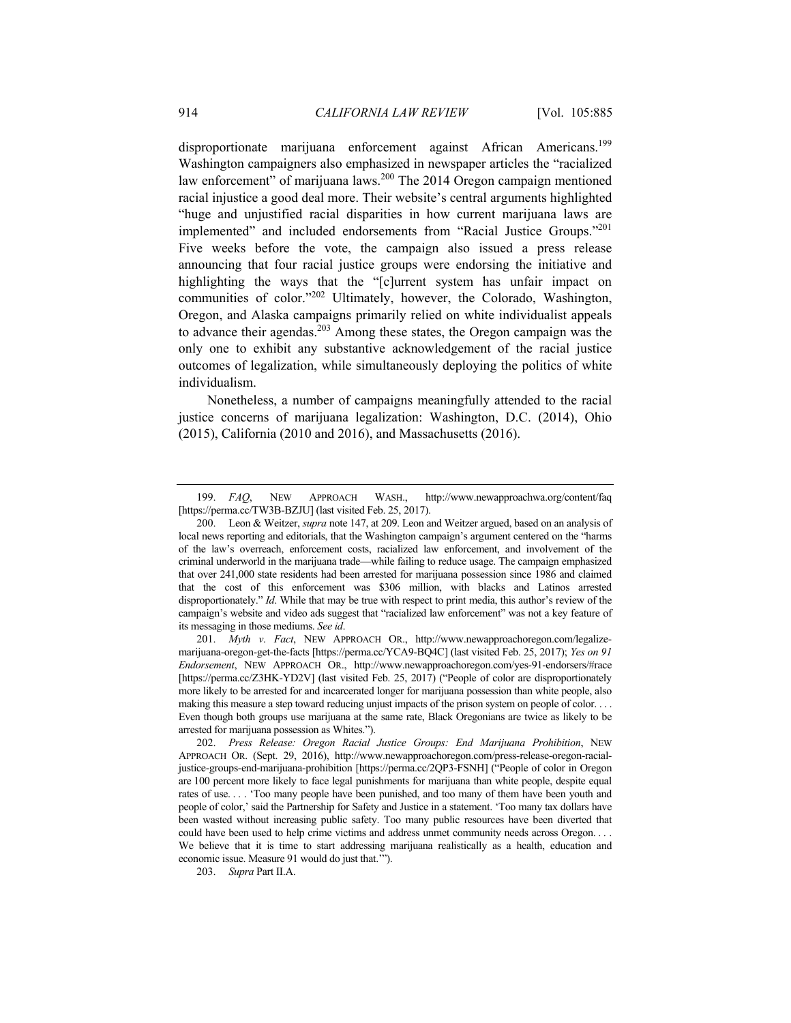disproportionate marijuana enforcement against African Americans.<sup>199</sup> Washington campaigners also emphasized in newspaper articles the "racialized law enforcement" of marijuana laws.200 The 2014 Oregon campaign mentioned racial injustice a good deal more. Their website's central arguments highlighted "huge and unjustified racial disparities in how current marijuana laws are implemented" and included endorsements from "Racial Justice Groups."201 Five weeks before the vote, the campaign also issued a press release announcing that four racial justice groups were endorsing the initiative and highlighting the ways that the "[c]urrent system has unfair impact on communities of color."<sup>202</sup> Ultimately, however, the Colorado, Washington, Oregon, and Alaska campaigns primarily relied on white individualist appeals to advance their agendas.<sup>203</sup> Among these states, the Oregon campaign was the only one to exhibit any substantive acknowledgement of the racial justice outcomes of legalization, while simultaneously deploying the politics of white individualism.

Nonetheless, a number of campaigns meaningfully attended to the racial justice concerns of marijuana legalization: Washington, D.C. (2014), Ohio (2015), California (2010 and 2016), and Massachusetts (2016).

203. *Supra* Part II.A.

<sup>199.</sup> *FAQ*, NEW APPROACH WASH., http://www.newapproachwa.org/content/faq [https://perma.cc/TW3B-BZJU] (last visited Feb. 25, 2017).

 <sup>200.</sup> Leon & Weitzer, *supra* note 147, at 209. Leon and Weitzer argued, based on an analysis of local news reporting and editorials, that the Washington campaign's argument centered on the "harms of the law's overreach, enforcement costs, racialized law enforcement, and involvement of the criminal underworld in the marijuana trade—while failing to reduce usage. The campaign emphasized that over 241,000 state residents had been arrested for marijuana possession since 1986 and claimed that the cost of this enforcement was \$306 million, with blacks and Latinos arrested disproportionately." *Id*. While that may be true with respect to print media, this author's review of the campaign's website and video ads suggest that "racialized law enforcement" was not a key feature of its messaging in those mediums. *See id*.

<sup>201.</sup> *Myth v*. *Fact*, NEW APPROACH OR., http://www.newapproachoregon.com/legalizemarijuana-oregon-get-the-facts [https://perma.cc/YCA9-BQ4C] (last visited Feb. 25, 2017); *Yes on 91 Endorsement*, NEW APPROACH OR., http://www.newapproachoregon.com/yes-91-endorsers/#race [https://perma.cc/Z3HK-YD2V] (last visited Feb. 25, 2017) ("People of color are disproportionately more likely to be arrested for and incarcerated longer for marijuana possession than white people, also making this measure a step toward reducing unjust impacts of the prison system on people of color. . . . Even though both groups use marijuana at the same rate, Black Oregonians are twice as likely to be arrested for marijuana possession as Whites.").

<sup>202.</sup> *Press Release: Oregon Racial Justice Groups: End Marijuana Prohibition*, NEW APPROACH OR. (Sept. 29, 2016), http://www.newapproachoregon.com/press-release-oregon-racialjustice-groups-end-marijuana-prohibition [https://perma.cc/2QP3-FSNH] ("People of color in Oregon are 100 percent more likely to face legal punishments for marijuana than white people, despite equal rates of use. . . . 'Too many people have been punished, and too many of them have been youth and people of color,' said the Partnership for Safety and Justice in a statement. 'Too many tax dollars have been wasted without increasing public safety. Too many public resources have been diverted that could have been used to help crime victims and address unmet community needs across Oregon. . . . We believe that it is time to start addressing marijuana realistically as a health, education and economic issue. Measure 91 would do just that.'").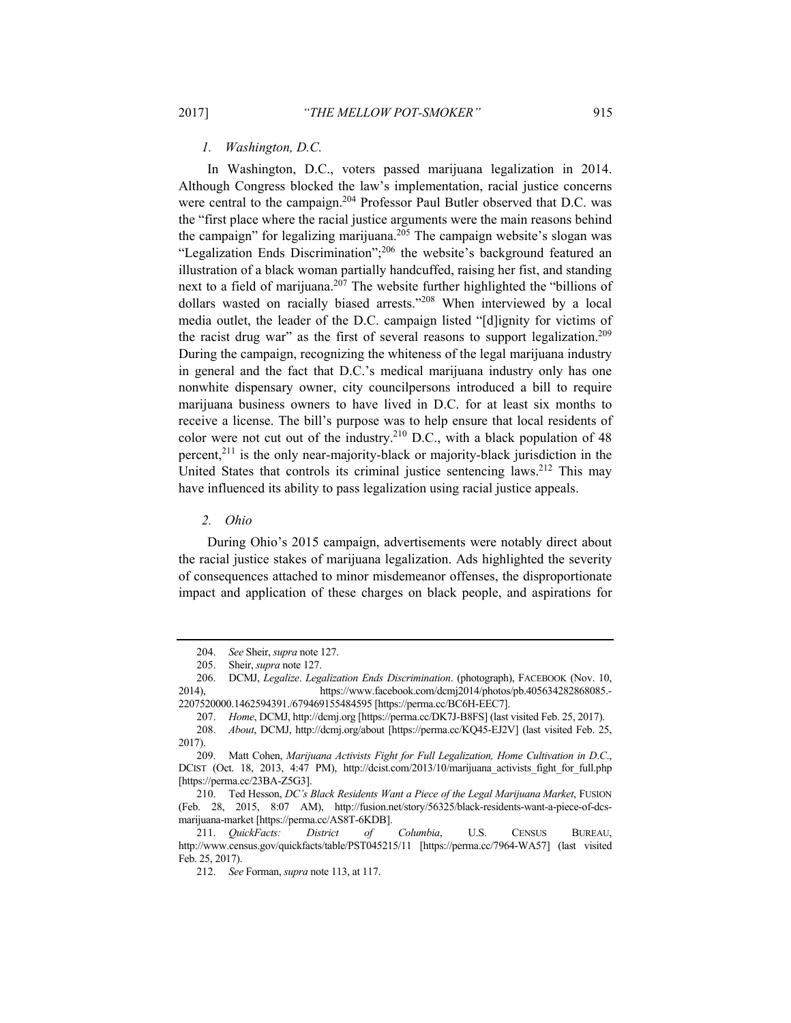*1. Washington, D.C.* 

In Washington, D.C., voters passed marijuana legalization in 2014. Although Congress blocked the law's implementation, racial justice concerns were central to the campaign.<sup>204</sup> Professor Paul Butler observed that D.C. was the "first place where the racial justice arguments were the main reasons behind the campaign" for legalizing marijuana.<sup>205</sup> The campaign website's slogan was "Legalization Ends Discrimination";206 the website's background featured an illustration of a black woman partially handcuffed, raising her fist, and standing next to a field of marijuana.<sup>207</sup> The website further highlighted the "billions of dollars wasted on racially biased arrests."<sup>208</sup> When interviewed by a local media outlet, the leader of the D.C. campaign listed "[d]ignity for victims of the racist drug war" as the first of several reasons to support legalization.<sup>209</sup> During the campaign, recognizing the whiteness of the legal marijuana industry in general and the fact that D.C.'s medical marijuana industry only has one nonwhite dispensary owner, city councilpersons introduced a bill to require marijuana business owners to have lived in D.C. for at least six months to receive a license. The bill's purpose was to help ensure that local residents of color were not cut out of the industry.210 D.C., with a black population of 48 percent, $2^{11}$  is the only near-majority-black or majority-black jurisdiction in the United States that controls its criminal justice sentencing laws.<sup>212</sup> This may have influenced its ability to pass legalization using racial justice appeals.

*2. Ohio* 

During Ohio's 2015 campaign, advertisements were notably direct about the racial justice stakes of marijuana legalization. Ads highlighted the severity of consequences attached to minor misdemeanor offenses, the disproportionate impact and application of these charges on black people, and aspirations for

<sup>204.</sup> *See* Sheir, *supra* note 127.

 <sup>205.</sup> Sheir, *supra* note 127.

 <sup>206.</sup> DCMJ, *Legalize*. *Legalization Ends Discrimination*. (photograph), FACEBOOK (Nov. 10, 2014), https://www.facebook.com/dcmj2014/photos/pb.405634282868085. 2207520000.1462594391./679469155484595 [https://perma.cc/BC6H-EEC7].

<sup>207.</sup> *Home*, DCMJ, http://dcmj.org [https://perma.cc/DK7J-B8FS] (last visited Feb. 25, 2017).

<sup>208.</sup> *About*, DCMJ, http://dcmj.org/about [https://perma.cc/KQ45-EJ2V] (last visited Feb. 25, 2017).

 <sup>209.</sup> Matt Cohen, *Marijuana Activists Fight for Full Legalization, Home Cultivation in D*.*C*., DCIST (Oct. 18, 2013, 4:47 PM), http://dcist.com/2013/10/marijuana activists fight for full.php [https://perma.cc/23BA-Z5G3].

 <sup>210.</sup> Ted Hesson, *DC's Black Residents Want a Piece of the Legal Marijuana Market*, FUSION (Feb. 28, 2015, 8:07 AM), http://fusion.net/story/56325/black-residents-want-a-piece-of-dcsmarijuana-market [https://perma.cc/AS8T-6KDB].

<sup>211.</sup> *QuickFacts: District of Columbia*, U.S. CENSUS BUREAU, http://www.census.gov/quickfacts/table/PST045215/11 [https://perma.cc/7964-WA57] (last visited Feb. 25, 2017).

<sup>212.</sup> *See* Forman, *supra* note 113, at 117.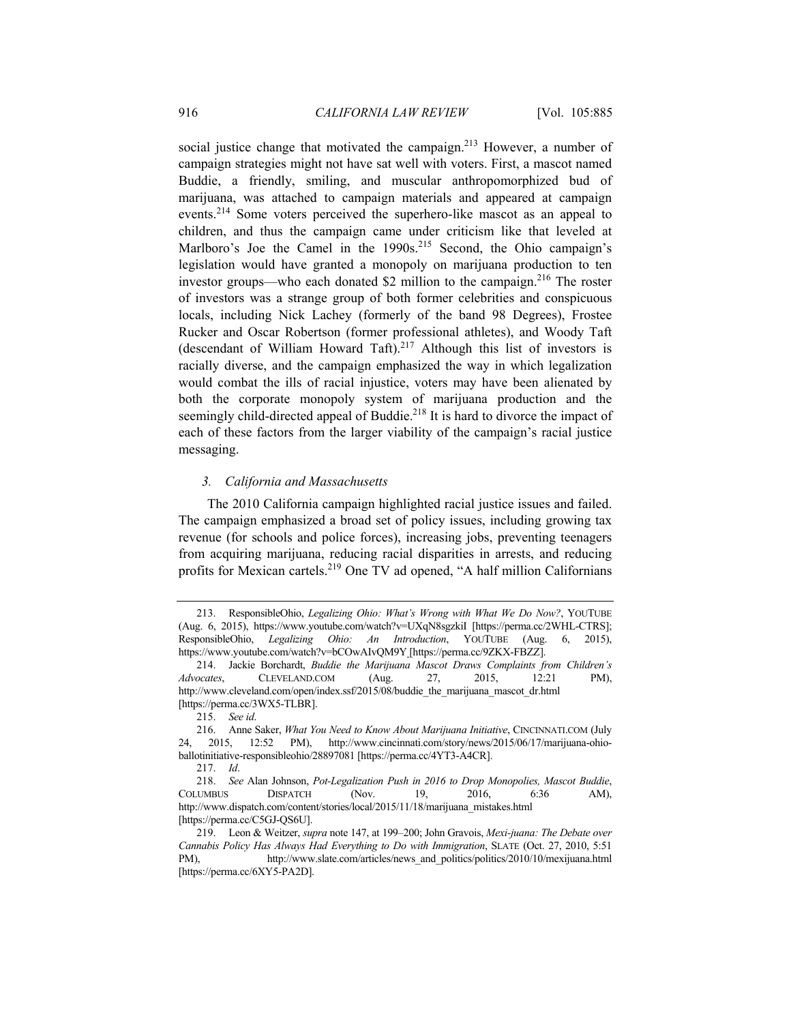social justice change that motivated the campaign.<sup>213</sup> However, a number of campaign strategies might not have sat well with voters. First, a mascot named Buddie, a friendly, smiling, and muscular anthropomorphized bud of marijuana, was attached to campaign materials and appeared at campaign events.214 Some voters perceived the superhero-like mascot as an appeal to children, and thus the campaign came under criticism like that leveled at Marlboro's Joe the Camel in the  $1990s$ <sup>215</sup> Second, the Ohio campaign's legislation would have granted a monopoly on marijuana production to ten investor groups—who each donated \$2 million to the campaign.<sup>216</sup> The roster of investors was a strange group of both former celebrities and conspicuous locals, including Nick Lachey (formerly of the band 98 Degrees), Frostee Rucker and Oscar Robertson (former professional athletes), and Woody Taft (descendant of William Howard Taft).<sup>217</sup> Although this list of investors is racially diverse, and the campaign emphasized the way in which legalization would combat the ills of racial injustice, voters may have been alienated by both the corporate monopoly system of marijuana production and the seemingly child-directed appeal of Buddie.<sup>218</sup> It is hard to divorce the impact of each of these factors from the larger viability of the campaign's racial justice messaging.

## *3. California and Massachusetts*

The 2010 California campaign highlighted racial justice issues and failed. The campaign emphasized a broad set of policy issues, including growing tax revenue (for schools and police forces), increasing jobs, preventing teenagers from acquiring marijuana, reducing racial disparities in arrests, and reducing profits for Mexican cartels.219 One TV ad opened, "A half million Californians

 <sup>213.</sup> ResponsibleOhio, *Legalizing Ohio: What's Wrong with What We Do Now?*, YOUTUBE (Aug. 6, 2015), https://www.youtube.com/watch?v=UXqN8sgzkiI [https://perma.cc/2WHL-CTRS]; ResponsibleOhio, *Legalizing Ohio: An Introduction*, YOUTUBE (Aug. 6, 2015), https://www.youtube.com/watch?v=bCOwAIvQM9Y [https://perma.cc/9ZKX-FBZZ].

 <sup>214.</sup> Jackie Borchardt, *Buddie the Marijuana Mascot Draws Complaints from Children's Advocates*, CLEVELAND.COM (Aug. 27, 2015, 12:21 PM), http://www.cleveland.com/open/index.ssf/2015/08/buddie\_the\_marijuana\_mascot\_dr.html [https://perma.cc/3WX5-TLBR].

<sup>215.</sup> *See id*.

 <sup>216.</sup> Anne Saker, *What You Need to Know About Marijuana Initiative*, CINCINNATI.COM (July 24, 2015, 12:52 PM), http://www.cincinnati.com/story/news/2015/06/17/marijuana-ohioballotinitiative-responsibleohio/28897081 [https://perma.cc/4YT3-A4CR].

<sup>217.</sup> *Id*.

<sup>218.</sup> *See* Alan Johnson, *Pot-Legalization Push in 2016 to Drop Monopolies, Mascot Buddie*, COLUMBUS DISPATCH (Nov. 19, 2016, 6:36 AM), http://www.dispatch.com/content/stories/local/2015/11/18/marijuana\_mistakes.html [https://perma.cc/C5GJ-QS6U].

 <sup>219.</sup> Leon & Weitzer, *supra* note 147, at 199–200; John Gravois, *Mexi-juana: The Debate over Cannabis Policy Has Always Had Everything to Do with Immigration*, SLATE (Oct. 27, 2010, 5:51 PM), http://www.slate.com/articles/news\_and\_politics/politics/2010/10/mexijuana.html [https://perma.cc/6XY5-PA2D].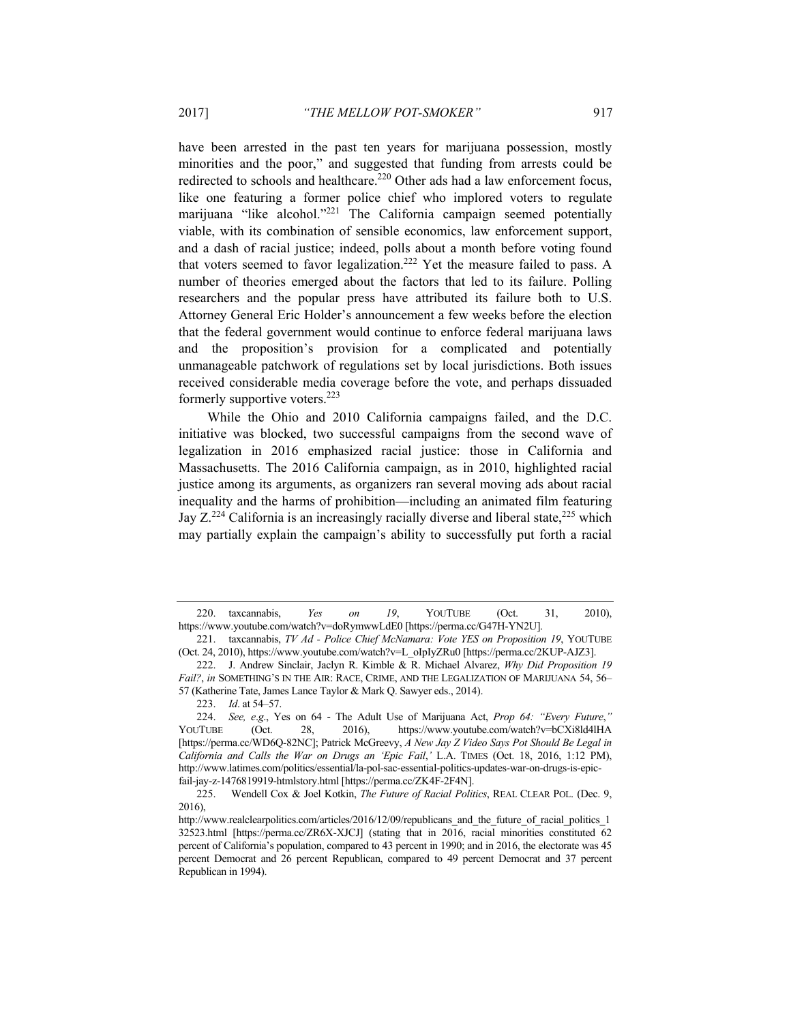have been arrested in the past ten years for marijuana possession, mostly minorities and the poor," and suggested that funding from arrests could be redirected to schools and healthcare.<sup>220</sup> Other ads had a law enforcement focus, like one featuring a former police chief who implored voters to regulate marijuana "like alcohol."<sup>221</sup> The California campaign seemed potentially viable, with its combination of sensible economics, law enforcement support, and a dash of racial justice; indeed, polls about a month before voting found that voters seemed to favor legalization.<sup>222</sup> Yet the measure failed to pass. A number of theories emerged about the factors that led to its failure. Polling researchers and the popular press have attributed its failure both to U.S. Attorney General Eric Holder's announcement a few weeks before the election that the federal government would continue to enforce federal marijuana laws and the proposition's provision for a complicated and potentially unmanageable patchwork of regulations set by local jurisdictions. Both issues received considerable media coverage before the vote, and perhaps dissuaded formerly supportive voters.223

While the Ohio and 2010 California campaigns failed, and the D.C. initiative was blocked, two successful campaigns from the second wave of legalization in 2016 emphasized racial justice: those in California and Massachusetts. The 2016 California campaign, as in 2010, highlighted racial justice among its arguments, as organizers ran several moving ads about racial inequality and the harms of prohibition—including an animated film featuring Jay  $Z^{224}$  California is an increasingly racially diverse and liberal state,  $225$  which may partially explain the campaign's ability to successfully put forth a racial

 <sup>220.</sup> taxcannabis, *Yes on 19*, YOUTUBE (Oct. 31, 2010), https://www.youtube.com/watch?v=doRymwwLdE0 [https://perma.cc/G47H-YN2U].

 <sup>221.</sup> taxcannabis, *TV Ad - Police Chief McNamara: Vote YES on Proposition 19*, YOUTUBE (Oct. 24, 2010), https://www.youtube.com/watch?v=L\_oIpIyZRu0 [https://perma.cc/2KUP-AJZ3].

 <sup>222.</sup> J. Andrew Sinclair, Jaclyn R. Kimble & R. Michael Alvarez, *Why Did Proposition 19 Fail?*, *in* SOMETHING'S IN THE AIR: RACE, CRIME, AND THE LEGALIZATION OF MARIJUANA 54, 56– 57 (Katherine Tate, James Lance Taylor & Mark Q. Sawyer eds., 2014).

<sup>223.</sup> *Id*. at 54–57.

<sup>224.</sup> *See, e*.*g*., Yes on 64 - The Adult Use of Marijuana Act, *Prop 64: "Every Future*,*"*  YOUTUBE (Oct. 28, 2016), https://www.youtube.com/watch?v=bCXi8ld4lHA [https://perma.cc/WD6Q-82NC]; Patrick McGreevy, *A New Jay Z Video Says Pot Should Be Legal in California and Calls the War on Drugs an 'Epic Fail*,*'* L.A. TIMES (Oct. 18, 2016, 1:12 PM), http://www.latimes.com/politics/essential/la-pol-sac-essential-politics-updates-war-on-drugs-is-epicfail-jay-z-1476819919-htmlstory.html [https://perma.cc/ZK4F-2F4N].

 <sup>225.</sup> Wendell Cox & Joel Kotkin, *The Future of Racial Politics*, REAL CLEAR POL. (Dec. 9, 2016),

http://www.realclearpolitics.com/articles/2016/12/09/republicans\_and\_the\_future\_of\_racial\_politics\_1 32523.html [https://perma.cc/ZR6X-XJCJ] (stating that in 2016, racial minorities constituted 62 percent of California's population, compared to 43 percent in 1990; and in 2016, the electorate was 45 percent Democrat and 26 percent Republican, compared to 49 percent Democrat and 37 percent Republican in 1994).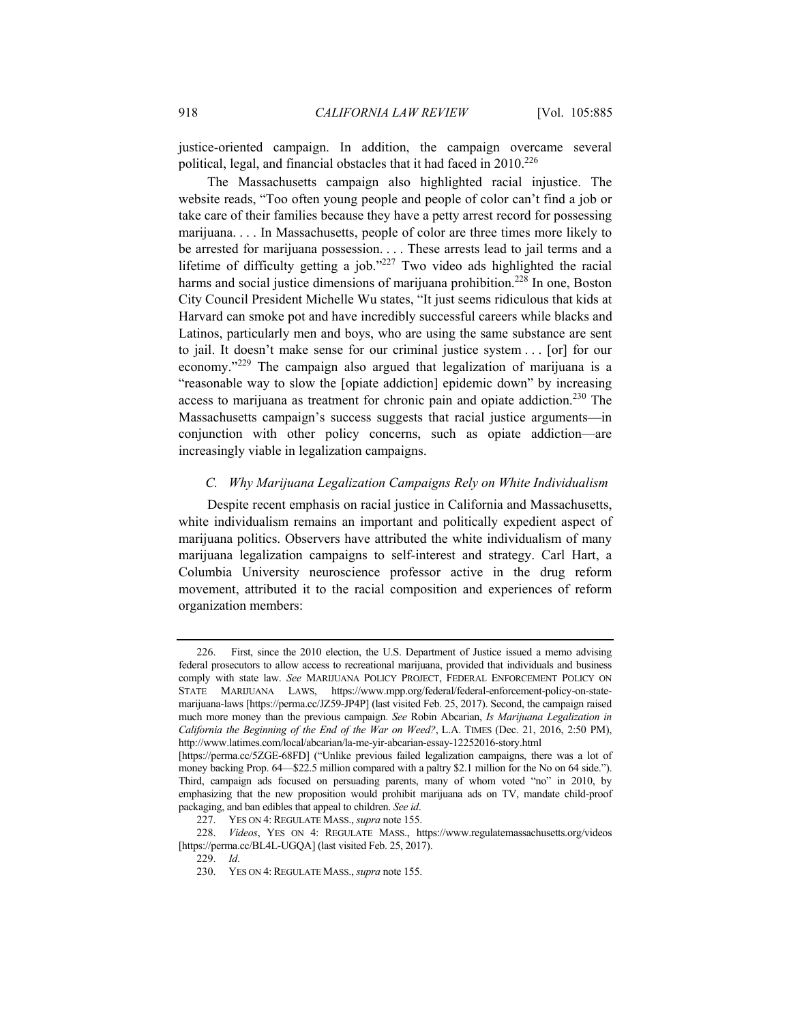justice-oriented campaign. In addition, the campaign overcame several political, legal, and financial obstacles that it had faced in 2010.<sup>226</sup>

The Massachusetts campaign also highlighted racial injustice. The website reads, "Too often young people and people of color can't find a job or take care of their families because they have a petty arrest record for possessing marijuana. . . . In Massachusetts, people of color are three times more likely to be arrested for marijuana possession. . . . These arrests lead to jail terms and a lifetime of difficulty getting a job." $227$  Two video ads highlighted the racial harms and social justice dimensions of marijuana prohibition.<sup>228</sup> In one, Boston City Council President Michelle Wu states, "It just seems ridiculous that kids at Harvard can smoke pot and have incredibly successful careers while blacks and Latinos, particularly men and boys, who are using the same substance are sent to jail. It doesn't make sense for our criminal justice system . . . [or] for our economy."229 The campaign also argued that legalization of marijuana is a "reasonable way to slow the [opiate addiction] epidemic down" by increasing access to marijuana as treatment for chronic pain and opiate addiction.<sup>230</sup> The Massachusetts campaign's success suggests that racial justice arguments—in conjunction with other policy concerns, such as opiate addiction—are increasingly viable in legalization campaigns.

## *C. Why Marijuana Legalization Campaigns Rely on White Individualism*

Despite recent emphasis on racial justice in California and Massachusetts, white individualism remains an important and politically expedient aspect of marijuana politics. Observers have attributed the white individualism of many marijuana legalization campaigns to self-interest and strategy. Carl Hart, a Columbia University neuroscience professor active in the drug reform movement, attributed it to the racial composition and experiences of reform organization members:

 <sup>226.</sup> First, since the 2010 election, the U.S. Department of Justice issued a memo advising federal prosecutors to allow access to recreational marijuana, provided that individuals and business comply with state law. *See* MARIJUANA POLICY PROJECT, FEDERAL ENFORCEMENT POLICY ON STATE MARIJUANA LAWS, https://www.mpp.org/federal/federal-enforcement-policy-on-statemarijuana-laws [https://perma.cc/JZ59-JP4P] (last visited Feb. 25, 2017). Second, the campaign raised much more money than the previous campaign. *See* Robin Abcarian, *Is Marijuana Legalization in California the Beginning of the End of the War on Weed?*, L.A. TIMES (Dec. 21, 2016, 2:50 PM), http://www.latimes.com/local/abcarian/la-me-yir-abcarian-essay-12252016-story.html

<sup>[</sup>https://perma.cc/5ZGE-68FD] ("Unlike previous failed legalization campaigns, there was a lot of money backing Prop. 64—\$22.5 million compared with a paltry \$2.1 million for the No on 64 side."). Third, campaign ads focused on persuading parents, many of whom voted "no" in 2010, by emphasizing that the new proposition would prohibit marijuana ads on TV, mandate child-proof packaging, and ban edibles that appeal to children. *See id*.

 <sup>227.</sup> YES ON 4:REGULATE MASS., *supra* note 155.

 <sup>228.</sup> *Videos*, YES ON 4: REGULATE MASS., https://www.regulatemassachusetts.org/videos [https://perma.cc/BL4L-UGQA] (last visited Feb. 25, 2017).

<sup>229.</sup> *Id*.

 <sup>230.</sup> YES ON 4:REGULATE MASS., *supra* note 155.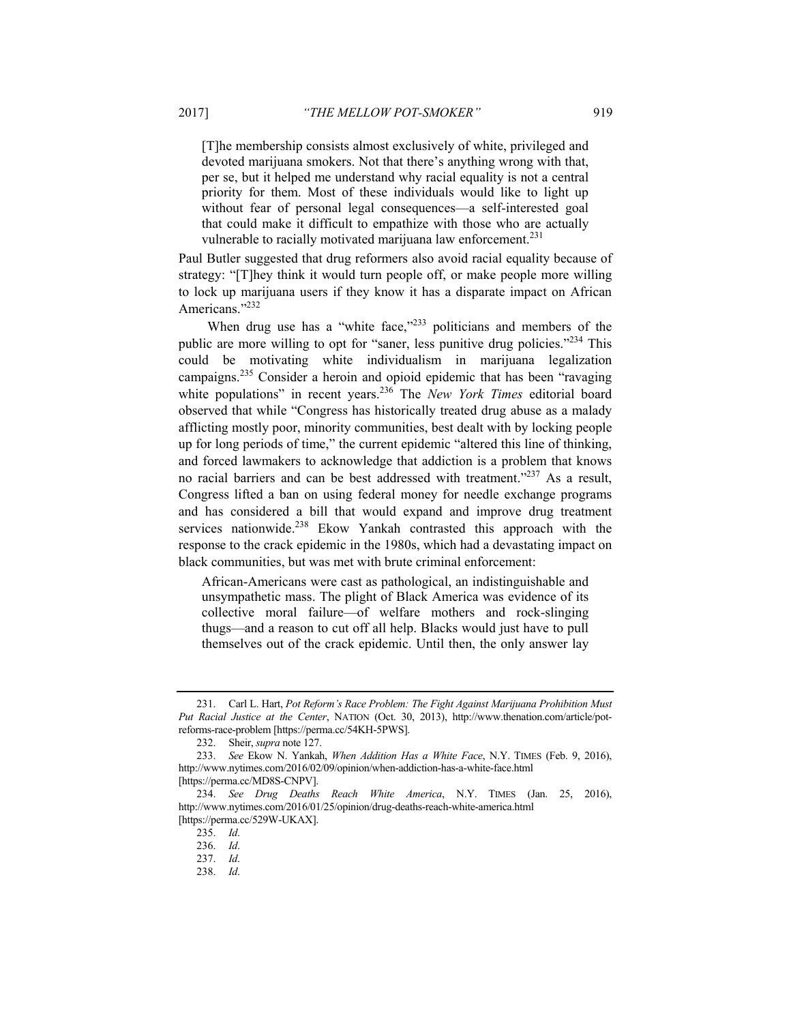[T]he membership consists almost exclusively of white, privileged and devoted marijuana smokers. Not that there's anything wrong with that, per se, but it helped me understand why racial equality is not a central priority for them. Most of these individuals would like to light up without fear of personal legal consequences—a self-interested goal that could make it difficult to empathize with those who are actually vulnerable to racially motivated marijuana law enforcement.<sup>231</sup>

Paul Butler suggested that drug reformers also avoid racial equality because of strategy: "[T]hey think it would turn people off, or make people more willing to lock up marijuana users if they know it has a disparate impact on African Americans<sup>"232</sup>

When drug use has a "white face," $233$  politicians and members of the public are more willing to opt for "saner, less punitive drug policies."234 This could be motivating white individualism in marijuana legalization campaigns.235 Consider a heroin and opioid epidemic that has been "ravaging white populations" in recent years.<sup>236</sup> The *New York Times* editorial board observed that while "Congress has historically treated drug abuse as a malady afflicting mostly poor, minority communities, best dealt with by locking people up for long periods of time," the current epidemic "altered this line of thinking, and forced lawmakers to acknowledge that addiction is a problem that knows no racial barriers and can be best addressed with treatment."<sup>237</sup> As a result, Congress lifted a ban on using federal money for needle exchange programs and has considered a bill that would expand and improve drug treatment services nationwide.<sup>238</sup> Ekow Yankah contrasted this approach with the response to the crack epidemic in the 1980s, which had a devastating impact on black communities, but was met with brute criminal enforcement:

African-Americans were cast as pathological, an indistinguishable and unsympathetic mass. The plight of Black America was evidence of its collective moral failure—of welfare mothers and rock-slinging thugs—and a reason to cut off all help. Blacks would just have to pull themselves out of the crack epidemic. Until then, the only answer lay

 <sup>231.</sup> Carl L. Hart, *Pot Reform's Race Problem: The Fight Against Marijuana Prohibition Must Put Racial Justice at the Center*, NATION (Oct. 30, 2013), http://www.thenation.com/article/potreforms-race-problem [https://perma.cc/54KH-5PWS].

 <sup>232.</sup> Sheir, *supra* note 127.

<sup>233.</sup> *See* Ekow N. Yankah, *When Addition Has a White Face*, N.Y. TIMES (Feb. 9, 2016), http://www.nytimes.com/2016/02/09/opinion/when-addiction-has-a-white-face.html [https://perma.cc/MD8S-CNPV].

<sup>234.</sup> *See Drug Deaths Reach White America*, N.Y. TIMES (Jan. 25, 2016), http://www.nytimes.com/2016/01/25/opinion/drug-deaths-reach-white-america.html [https://perma.cc/529W-UKAX].

<sup>235.</sup> *Id*.

<sup>236.</sup> *Id*.

<sup>237.</sup> *Id*.

<sup>238.</sup> *Id*.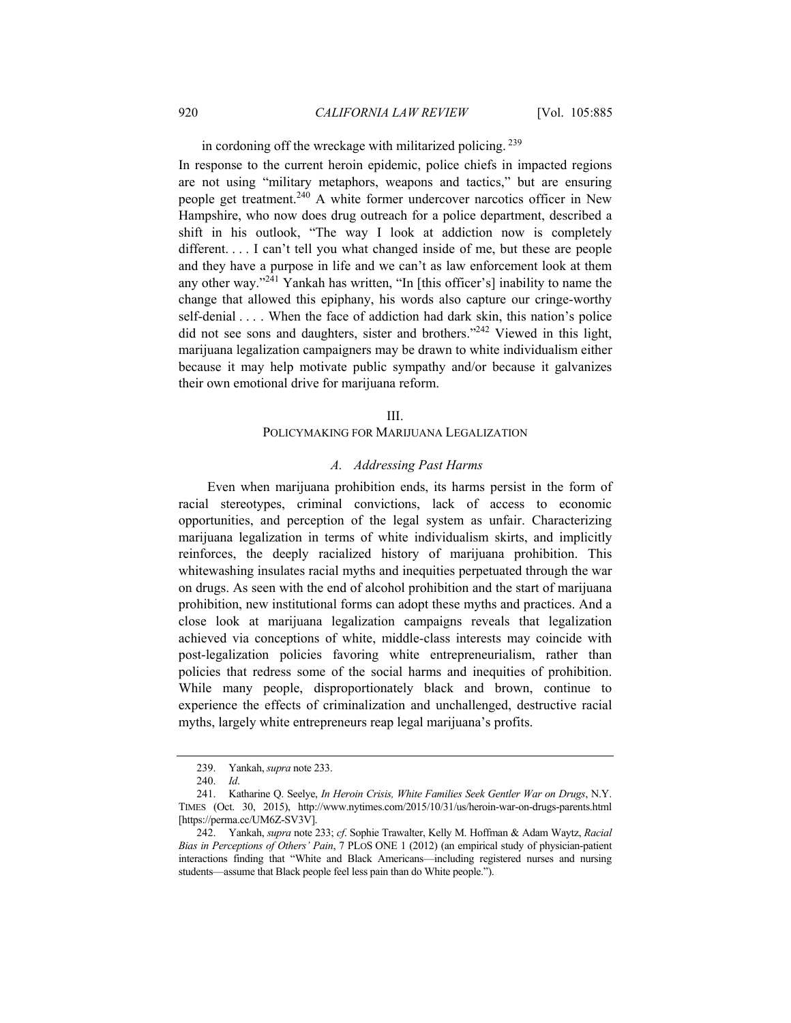in cordoning off the wreckage with militarized policing. 239

In response to the current heroin epidemic, police chiefs in impacted regions are not using "military metaphors, weapons and tactics," but are ensuring people get treatment.240 A white former undercover narcotics officer in New Hampshire, who now does drug outreach for a police department, described a shift in his outlook, "The way I look at addiction now is completely different. . . . I can't tell you what changed inside of me, but these are people and they have a purpose in life and we can't as law enforcement look at them any other way."241 Yankah has written, "In [this officer's] inability to name the change that allowed this epiphany, his words also capture our cringe-worthy self-denial . . . . When the face of addiction had dark skin, this nation's police did not see sons and daughters, sister and brothers."242 Viewed in this light, marijuana legalization campaigners may be drawn to white individualism either because it may help motivate public sympathy and/or because it galvanizes their own emotional drive for marijuana reform.

#### III.

## POLICYMAKING FOR MARIJUANA LEGALIZATION

## *A. Addressing Past Harms*

Even when marijuana prohibition ends, its harms persist in the form of racial stereotypes, criminal convictions, lack of access to economic opportunities, and perception of the legal system as unfair. Characterizing marijuana legalization in terms of white individualism skirts, and implicitly reinforces, the deeply racialized history of marijuana prohibition. This whitewashing insulates racial myths and inequities perpetuated through the war on drugs. As seen with the end of alcohol prohibition and the start of marijuana prohibition, new institutional forms can adopt these myths and practices. And a close look at marijuana legalization campaigns reveals that legalization achieved via conceptions of white, middle-class interests may coincide with post-legalization policies favoring white entrepreneurialism, rather than policies that redress some of the social harms and inequities of prohibition. While many people, disproportionately black and brown, continue to experience the effects of criminalization and unchallenged, destructive racial myths, largely white entrepreneurs reap legal marijuana's profits.

 <sup>239.</sup> Yankah, *supra* note 233.

<sup>240.</sup> *Id*.

 <sup>241.</sup> Katharine Q. Seelye, *In Heroin Crisis, White Families Seek Gentler War on Drugs*, N.Y. TIMES (Oct. 30, 2015), http://www.nytimes.com/2015/10/31/us/heroin-war-on-drugs-parents.html [https://perma.cc/UM6Z-SV3V].

 <sup>242.</sup> Yankah, *supra* note 233; *cf*. Sophie Trawalter, Kelly M. Hoffman & Adam Waytz, *Racial Bias in Perceptions of Others' Pain*, 7 PLOS ONE 1 (2012) (an empirical study of physician-patient interactions finding that "White and Black Americans—including registered nurses and nursing students—assume that Black people feel less pain than do White people.").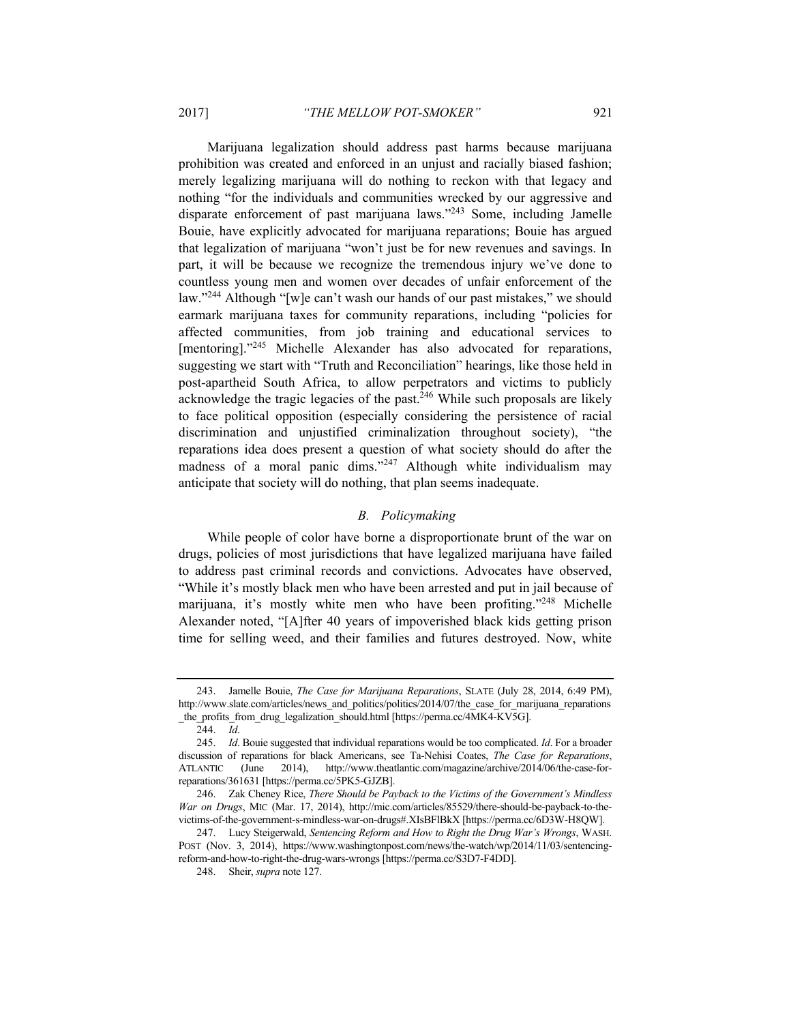Marijuana legalization should address past harms because marijuana prohibition was created and enforced in an unjust and racially biased fashion; merely legalizing marijuana will do nothing to reckon with that legacy and nothing "for the individuals and communities wrecked by our aggressive and disparate enforcement of past marijuana laws."243 Some, including Jamelle Bouie, have explicitly advocated for marijuana reparations; Bouie has argued that legalization of marijuana "won't just be for new revenues and savings. In part, it will be because we recognize the tremendous injury we've done to countless young men and women over decades of unfair enforcement of the law."244 Although "[w]e can't wash our hands of our past mistakes," we should earmark marijuana taxes for community reparations, including "policies for affected communities, from job training and educational services to [mentoring]."<sup>245</sup> Michelle Alexander has also advocated for reparations, suggesting we start with "Truth and Reconciliation" hearings, like those held in post-apartheid South Africa, to allow perpetrators and victims to publicly acknowledge the tragic legacies of the past. $246$  While such proposals are likely to face political opposition (especially considering the persistence of racial discrimination and unjustified criminalization throughout society), "the reparations idea does present a question of what society should do after the madness of a moral panic dims."<sup>247</sup> Although white individualism may anticipate that society will do nothing, that plan seems inadequate.

## *B. Policymaking*

While people of color have borne a disproportionate brunt of the war on drugs, policies of most jurisdictions that have legalized marijuana have failed to address past criminal records and convictions. Advocates have observed, "While it's mostly black men who have been arrested and put in jail because of marijuana, it's mostly white men who have been profiting."248 Michelle Alexander noted, "[A]fter 40 years of impoverished black kids getting prison time for selling weed, and their families and futures destroyed. Now, white

 <sup>243.</sup> Jamelle Bouie, *The Case for Marijuana Reparations*, SLATE (July 28, 2014, 6:49 PM), http://www.slate.com/articles/news\_and\_politics/politics/2014/07/the\_case\_for\_marijuana\_reparations \_the\_profits\_from\_drug\_legalization\_should.html [https://perma.cc/4MK4-KV5G].

<sup>244.</sup> *Id*.

<sup>245.</sup> *Id*. Bouie suggested that individual reparations would be too complicated. *Id*. For a broader discussion of reparations for black Americans, see Ta-Nehisi Coates, *The Case for Reparations*, ATLANTIC (June 2014), http://www.theatlantic.com/magazine/archive/2014/06/the-case-forreparations/361631 [https://perma.cc/5PK5-GJZB].

 <sup>246.</sup> Zak Cheney Rice, *There Should be Payback to the Victims of the Government's Mindless War on Drugs*, MIC (Mar. 17, 2014), http://mic.com/articles/85529/there-should-be-payback-to-thevictims-of-the-government-s-mindless-war-on-drugs#.XIsBFlBkX [https://perma.cc/6D3W-H8QW].

 <sup>247.</sup> Lucy Steigerwald, *Sentencing Reform and How to Right the Drug War's Wrongs*, WASH. POST (Nov. 3, 2014), https://www.washingtonpost.com/news/the-watch/wp/2014/11/03/sentencingreform-and-how-to-right-the-drug-wars-wrongs [https://perma.cc/S3D7-F4DD].

 <sup>248.</sup> Sheir, *supra* note 127.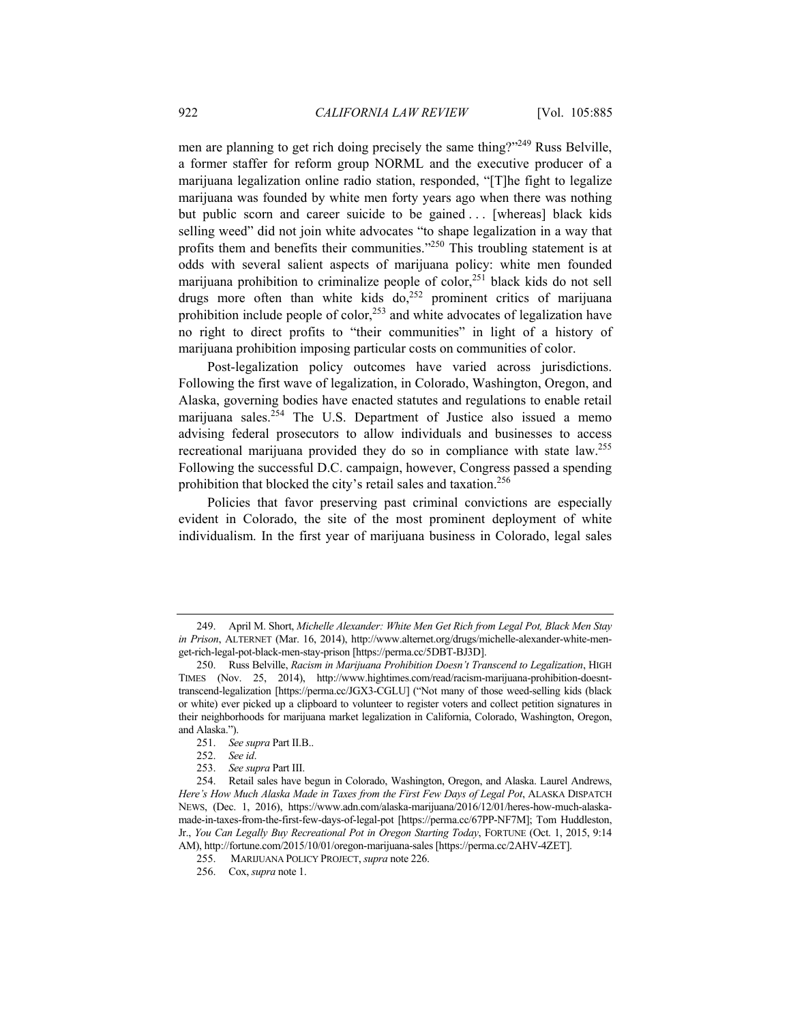men are planning to get rich doing precisely the same thing?"249 Russ Belville, a former staffer for reform group NORML and the executive producer of a marijuana legalization online radio station, responded, "[T]he fight to legalize marijuana was founded by white men forty years ago when there was nothing but public scorn and career suicide to be gained ... [whereas] black kids selling weed" did not join white advocates "to shape legalization in a way that profits them and benefits their communities."250 This troubling statement is at odds with several salient aspects of marijuana policy: white men founded marijuana prohibition to criminalize people of color,<sup>251</sup> black kids do not sell drugs more often than white kids  $do<sub>1</sub><sup>252</sup>$  prominent critics of marijuana prohibition include people of color,<sup>253</sup> and white advocates of legalization have no right to direct profits to "their communities" in light of a history of marijuana prohibition imposing particular costs on communities of color.

Post-legalization policy outcomes have varied across jurisdictions. Following the first wave of legalization, in Colorado, Washington, Oregon, and Alaska, governing bodies have enacted statutes and regulations to enable retail marijuana sales.<sup>254</sup> The U.S. Department of Justice also issued a memo advising federal prosecutors to allow individuals and businesses to access recreational marijuana provided they do so in compliance with state law.255 Following the successful D.C. campaign, however, Congress passed a spending prohibition that blocked the city's retail sales and taxation.256

Policies that favor preserving past criminal convictions are especially evident in Colorado, the site of the most prominent deployment of white individualism. In the first year of marijuana business in Colorado, legal sales

 <sup>249.</sup> April M. Short, *Michelle Alexander: White Men Get Rich from Legal Pot, Black Men Stay in Prison*, ALTERNET (Mar. 16, 2014), http://www.alternet.org/drugs/michelle-alexander-white-menget-rich-legal-pot-black-men-stay-prison [https://perma.cc/5DBT-BJ3D].

 <sup>250.</sup> Russ Belville, *Racism in Marijuana Prohibition Doesn't Transcend to Legalization*, HIGH TIMES (Nov. 25, 2014), http://www.hightimes.com/read/racism-marijuana-prohibition-doesnttranscend-legalization [https://perma.cc/JGX3-CGLU] ("Not many of those weed-selling kids (black or white) ever picked up a clipboard to volunteer to register voters and collect petition signatures in their neighborhoods for marijuana market legalization in California, Colorado, Washington, Oregon, and Alaska.").

<sup>251.</sup> *See supra* Part II.B..

<sup>252.</sup> *See id*.

<sup>253.</sup> *See supra* Part III.

 <sup>254.</sup> Retail sales have begun in Colorado, Washington, Oregon, and Alaska. Laurel Andrews, *Here's How Much Alaska Made in Taxes from the First Few Days of Legal Pot*, ALASKA DISPATCH NEWS, (Dec. 1, 2016), https://www.adn.com/alaska-marijuana/2016/12/01/heres-how-much-alaskamade-in-taxes-from-the-first-few-days-of-legal-pot [https://perma.cc/67PP-NF7M]; Tom Huddleston, Jr., *You Can Legally Buy Recreational Pot in Oregon Starting Today*, FORTUNE (Oct. 1, 2015, 9:14 AM), http://fortune.com/2015/10/01/oregon-marijuana-sales [https://perma.cc/2AHV-4ZET].

 <sup>255.</sup> MARIJUANA POLICY PROJECT, *supra* note 226.

 <sup>256.</sup> Cox, *supra* note 1.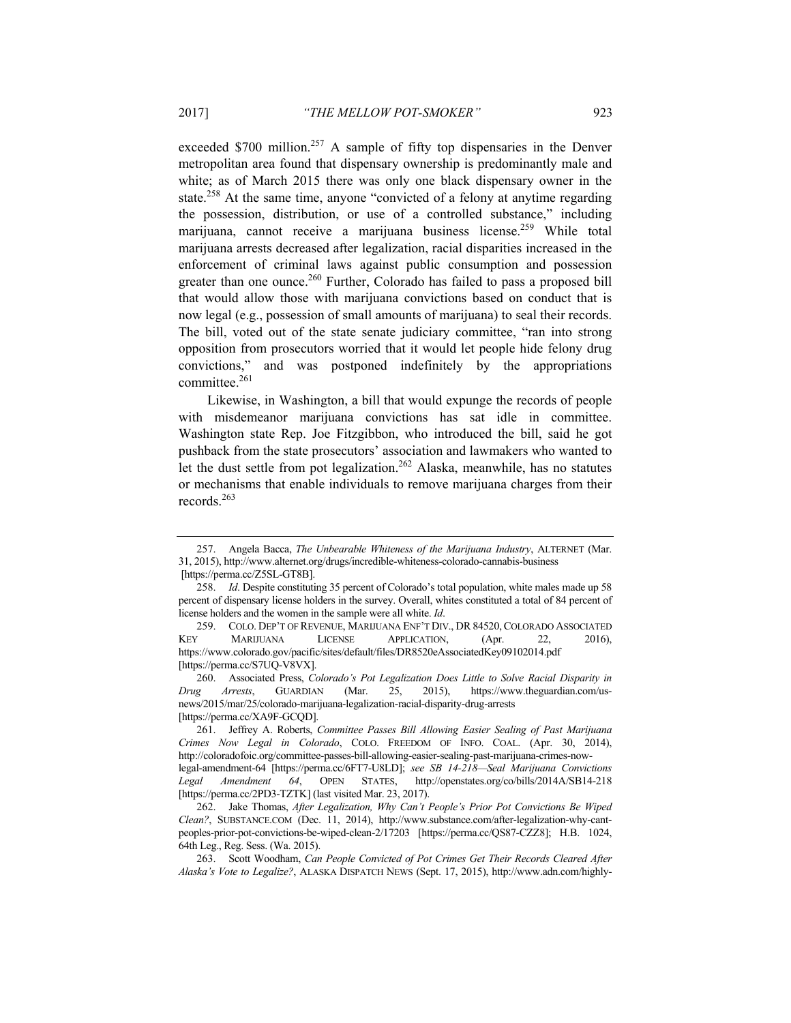exceeded  $$700$  million.<sup>257</sup> A sample of fifty top dispensaries in the Denver metropolitan area found that dispensary ownership is predominantly male and white; as of March 2015 there was only one black dispensary owner in the state.<sup>258</sup> At the same time, anyone "convicted of a felony at anytime regarding the possession, distribution, or use of a controlled substance," including marijuana, cannot receive a marijuana business license.<sup>259</sup> While total marijuana arrests decreased after legalization, racial disparities increased in the enforcement of criminal laws against public consumption and possession greater than one ounce.<sup>260</sup> Further, Colorado has failed to pass a proposed bill that would allow those with marijuana convictions based on conduct that is now legal (e.g., possession of small amounts of marijuana) to seal their records. The bill, voted out of the state senate judiciary committee, "ran into strong opposition from prosecutors worried that it would let people hide felony drug convictions," and was postponed indefinitely by the appropriations committee.261

Likewise, in Washington, a bill that would expunge the records of people with misdemeanor marijuana convictions has sat idle in committee. Washington state Rep. Joe Fitzgibbon, who introduced the bill, said he got pushback from the state prosecutors' association and lawmakers who wanted to let the dust settle from pot legalization.<sup>262</sup> Alaska, meanwhile, has no statutes or mechanisms that enable individuals to remove marijuana charges from their records.263

 260. Associated Press, *Colorado's Pot Legalization Does Little to Solve Racial Disparity in Drug Arrests*, GUARDIAN (Mar. 25, 2015), https://www.theguardian.com/usnews/2015/mar/25/colorado-marijuana-legalization-racial-disparity-drug-arrests [https://perma.cc/XA9F-GCQD].

 <sup>257.</sup> Angela Bacca, *The Unbearable Whiteness of the Marijuana Industry*, ALTERNET (Mar. 31, 2015), http://www.alternet.org/drugs/incredible-whiteness-colorado-cannabis-business [https://perma.cc/Z5SL-GT8B].

<sup>258.</sup> *Id*. Despite constituting 35 percent of Colorado's total population, white males made up 58 percent of dispensary license holders in the survey. Overall, whites constituted a total of 84 percent of license holders and the women in the sample were all white. *Id*.

 <sup>259.</sup> COLO. DEP'T OF REVENUE, MARIJUANA ENF'T DIV., DR 84520, COLORADO ASSOCIATED KEY MARIJUANA LICENSE APPLICATION, (Apr. 22, 2016), https://www.colorado.gov/pacific/sites/default/files/DR8520eAssociatedKey09102014.pdf [https://perma.cc/S7UQ-V8VX].

 <sup>261.</sup> Jeffrey A. Roberts, *Committee Passes Bill Allowing Easier Sealing of Past Marijuana Crimes Now Legal in Colorado*, COLO. FREEDOM OF INFO. COAL. (Apr. 30, 2014), http://coloradofoic.org/committee-passes-bill-allowing-easier-sealing-past-marijuana-crimes-nowlegal-amendment-64 [https://perma.cc/6FT7-U8LD]; *see SB 14-218—Seal Marijuana Convictions Legal Amendment 64*, OPEN STATES, http://openstates.org/co/bills/2014A/SB14-218 [https://perma.cc/2PD3-TZTK] (last visited Mar. 23, 2017).

 <sup>262.</sup> Jake Thomas, *After Legalization, Why Can't People's Prior Pot Convictions Be Wiped Clean?*, SUBSTANCE.COM (Dec. 11, 2014), http://www.substance.com/after-legalization-why-cantpeoples-prior-pot-convictions-be-wiped-clean-2/17203 [https://perma.cc/QS87-CZZ8]; H.B. 1024, 64th Leg., Reg. Sess. (Wa. 2015).

 <sup>263.</sup> Scott Woodham, *Can People Convicted of Pot Crimes Get Their Records Cleared After Alaska's Vote to Legalize?*, ALASKA DISPATCH NEWS (Sept. 17, 2015), http://www.adn.com/highly-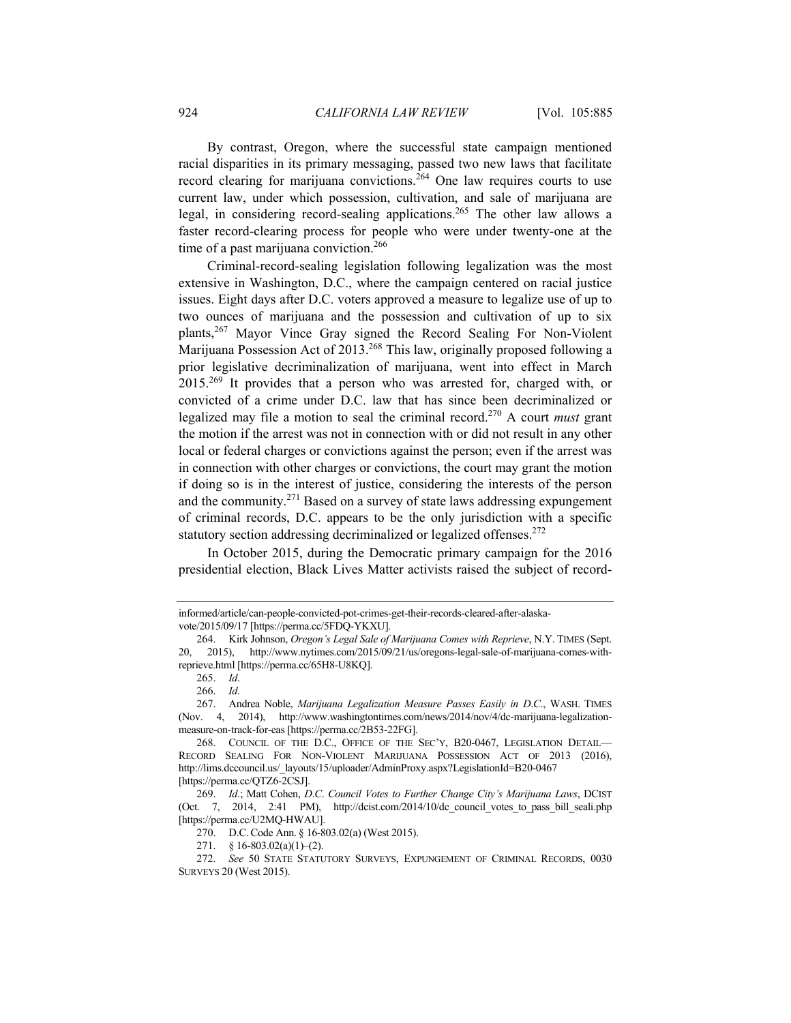By contrast, Oregon, where the successful state campaign mentioned racial disparities in its primary messaging, passed two new laws that facilitate record clearing for marijuana convictions.264 One law requires courts to use current law, under which possession, cultivation, and sale of marijuana are legal, in considering record-sealing applications.265 The other law allows a faster record-clearing process for people who were under twenty-one at the time of a past marijuana conviction.<sup>266</sup>

Criminal-record-sealing legislation following legalization was the most extensive in Washington, D.C., where the campaign centered on racial justice issues. Eight days after D.C. voters approved a measure to legalize use of up to two ounces of marijuana and the possession and cultivation of up to six plants,267 Mayor Vince Gray signed the Record Sealing For Non-Violent Marijuana Possession Act of 2013.<sup>268</sup> This law, originally proposed following a prior legislative decriminalization of marijuana, went into effect in March 2015.269 It provides that a person who was arrested for, charged with, or convicted of a crime under D.C. law that has since been decriminalized or legalized may file a motion to seal the criminal record.270 A court *must* grant the motion if the arrest was not in connection with or did not result in any other local or federal charges or convictions against the person; even if the arrest was in connection with other charges or convictions, the court may grant the motion if doing so is in the interest of justice, considering the interests of the person and the community.271 Based on a survey of state laws addressing expungement of criminal records, D.C. appears to be the only jurisdiction with a specific statutory section addressing decriminalized or legalized offenses.<sup>272</sup>

In October 2015, during the Democratic primary campaign for the 2016 presidential election, Black Lives Matter activists raised the subject of record-

informed/article/can-people-convicted-pot-crimes-get-their-records-cleared-after-alaskavote/2015/09/17 [https://perma.cc/5FDQ-YKXU].

 <sup>264.</sup> Kirk Johnson, *Oregon's Legal Sale of Marijuana Comes with Reprieve*, N.Y. TIMES (Sept. 20, 2015), http://www.nytimes.com/2015/09/21/us/oregons-legal-sale-of-marijuana-comes-withreprieve.html [https://perma.cc/65H8-U8KQ].

<sup>265.</sup> *Id*.

<sup>266.</sup> *Id*.

 <sup>267.</sup> Andrea Noble, *Marijuana Legalization Measure Passes Easily in D*.*C*., WASH. TIMES (Nov. 4, 2014), http://www.washingtontimes.com/news/2014/nov/4/dc-marijuana-legalizationmeasure-on-track-for-eas [https://perma.cc/2B53-22FG].

 <sup>268.</sup> COUNCIL OF THE D.C., OFFICE OF THE SEC'Y, B20-0467, LEGISLATION DETAIL— RECORD SEALING FOR NON-VIOLENT MARIJUANA POSSESSION ACT OF 2013 (2016), http://lims.dccouncil.us/\_layouts/15/uploader/AdminProxy.aspx?LegislationId=B20-0467 [https://perma.cc/QTZ6-2CSJ].

<sup>269.</sup> *Id*.; Matt Cohen, *D*.*C*. *Council Votes to Further Change City's Marijuana Laws*, DCIST (Oct. 7, 2014, 2:41 PM), http://dcist.com/2014/10/dc council votes to pass bill seali.php [https://perma.cc/U2MQ-HWAU].

 <sup>270.</sup> D.C.Code Ann. § 16-803.02(a) (West 2015).

<sup>271.</sup>  $§ 16-803.02(a)(1)-(2)$ .

<sup>272.</sup> *See* 50 STATE STATUTORY SURVEYS, EXPUNGEMENT OF CRIMINAL RECORDS, 0030 SURVEYS 20 (West 2015).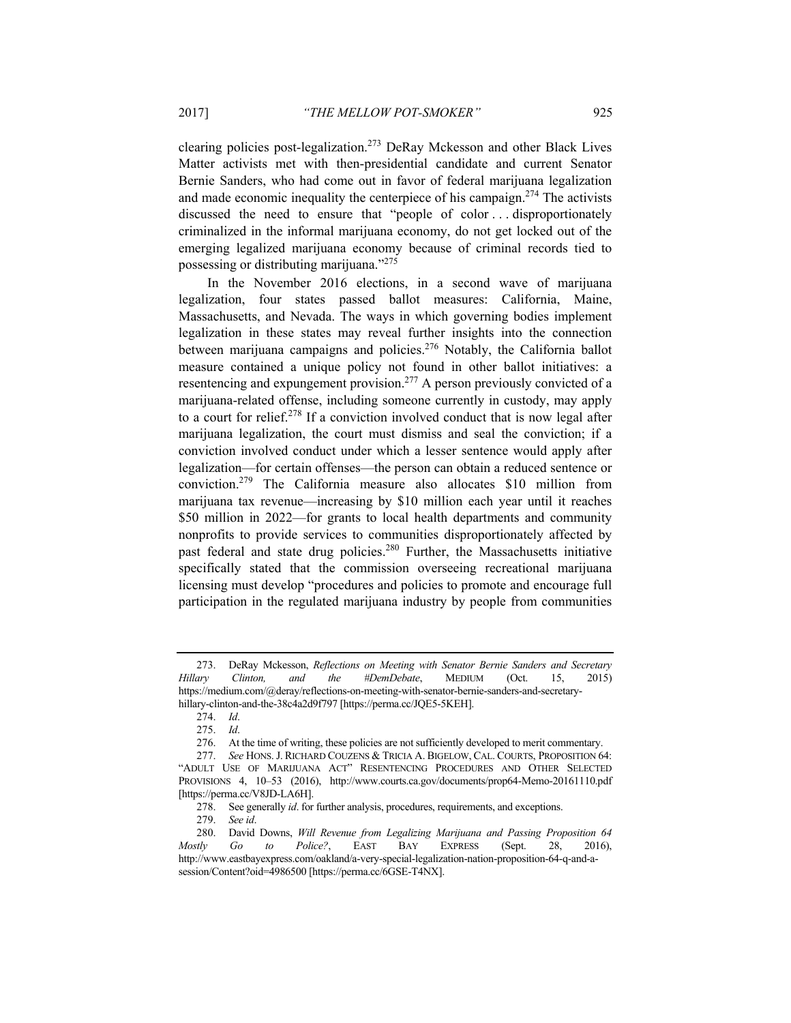clearing policies post-legalization.<sup>273</sup> DeRay Mckesson and other Black Lives Matter activists met with then-presidential candidate and current Senator Bernie Sanders, who had come out in favor of federal marijuana legalization and made economic inequality the centerpiece of his campaign.<sup>274</sup> The activists discussed the need to ensure that "people of color . . . disproportionately criminalized in the informal marijuana economy, do not get locked out of the emerging legalized marijuana economy because of criminal records tied to possessing or distributing marijuana."275

In the November 2016 elections, in a second wave of marijuana legalization, four states passed ballot measures: California, Maine, Massachusetts, and Nevada. The ways in which governing bodies implement legalization in these states may reveal further insights into the connection between marijuana campaigns and policies.<sup>276</sup> Notably, the California ballot measure contained a unique policy not found in other ballot initiatives: a resentencing and expungement provision.<sup>277</sup> A person previously convicted of a marijuana-related offense, including someone currently in custody, may apply to a court for relief.278 If a conviction involved conduct that is now legal after marijuana legalization, the court must dismiss and seal the conviction; if a conviction involved conduct under which a lesser sentence would apply after legalization—for certain offenses—the person can obtain a reduced sentence or conviction.279 The California measure also allocates \$10 million from marijuana tax revenue—increasing by \$10 million each year until it reaches \$50 million in 2022—for grants to local health departments and community nonprofits to provide services to communities disproportionately affected by past federal and state drug policies.<sup>280</sup> Further, the Massachusetts initiative specifically stated that the commission overseeing recreational marijuana licensing must develop "procedures and policies to promote and encourage full participation in the regulated marijuana industry by people from communities

 <sup>273.</sup> DeRay Mckesson, *Reflections on Meeting with Senator Bernie Sanders and Secretary Hillary Clinton, and the #DemDebate*, MEDIUM (Oct. 15, 2015) https://medium.com/@deray/reflections-on-meeting-with-senator-bernie-sanders-and-secretaryhillary-clinton-and-the-38c4a2d9f797 [https://perma.cc/JQE5-5KEH].

<sup>274.</sup> *Id*.

<sup>275.</sup> *Id*.

 <sup>276.</sup> At the time of writing, these policies are not sufficiently developed to merit commentary.

<sup>277.</sup> *See* HONS.J. RICHARD COUZENS & TRICIA A. BIGELOW, CAL. COURTS, PROPOSITION 64: "ADULT USE OF MARIJUANA ACT" RESENTENCING PROCEDURES AND OTHER SELECTED PROVISIONS 4, 10–53 (2016), http://www.courts.ca.gov/documents/prop64-Memo-20161110.pdf [https://perma.cc/V8JD-LA6H].

<sup>278.</sup> See generally *id*. for further analysis, procedures, requirements, and exceptions.

<sup>279.</sup> *See id*.

 <sup>280.</sup> David Downs, *Will Revenue from Legalizing Marijuana and Passing Proposition 64 Mostly Go to Police?*, EAST BAY EXPRESS (Sept. 28, 2016), http://www.eastbayexpress.com/oakland/a-very-special-legalization-nation-proposition-64-q-and-asession/Content?oid=4986500 [https://perma.cc/6GSE-T4NX].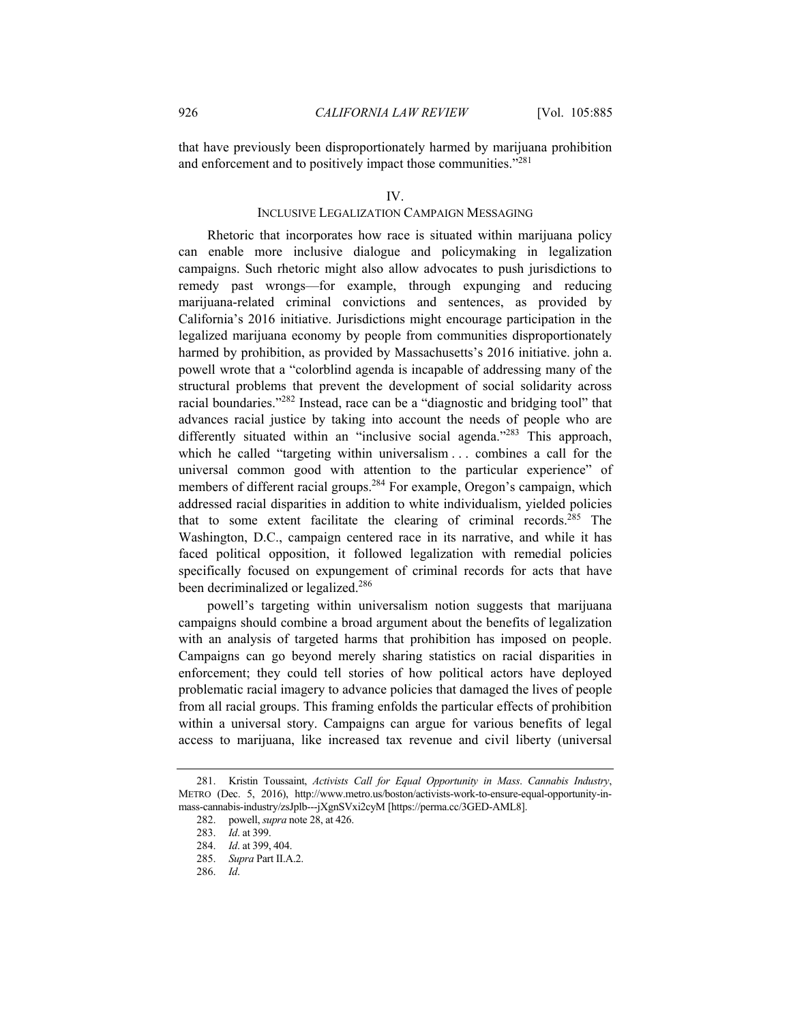that have previously been disproportionately harmed by marijuana prohibition and enforcement and to positively impact those communities."<sup>281</sup>

#### IV.

## INCLUSIVE LEGALIZATION CAMPAIGN MESSAGING

Rhetoric that incorporates how race is situated within marijuana policy can enable more inclusive dialogue and policymaking in legalization campaigns. Such rhetoric might also allow advocates to push jurisdictions to remedy past wrongs—for example, through expunging and reducing marijuana-related criminal convictions and sentences, as provided by California's 2016 initiative. Jurisdictions might encourage participation in the legalized marijuana economy by people from communities disproportionately harmed by prohibition, as provided by Massachusetts's 2016 initiative. john a. powell wrote that a "colorblind agenda is incapable of addressing many of the structural problems that prevent the development of social solidarity across racial boundaries."282 Instead, race can be a "diagnostic and bridging tool" that advances racial justice by taking into account the needs of people who are differently situated within an "inclusive social agenda."<sup>283</sup> This approach, which he called "targeting within universalism ... combines a call for the universal common good with attention to the particular experience" of members of different racial groups.<sup>284</sup> For example, Oregon's campaign, which addressed racial disparities in addition to white individualism, yielded policies that to some extent facilitate the clearing of criminal records.<sup>285</sup> The Washington, D.C., campaign centered race in its narrative, and while it has faced political opposition, it followed legalization with remedial policies specifically focused on expungement of criminal records for acts that have been decriminalized or legalized.<sup>286</sup>

powell's targeting within universalism notion suggests that marijuana campaigns should combine a broad argument about the benefits of legalization with an analysis of targeted harms that prohibition has imposed on people. Campaigns can go beyond merely sharing statistics on racial disparities in enforcement; they could tell stories of how political actors have deployed problematic racial imagery to advance policies that damaged the lives of people from all racial groups. This framing enfolds the particular effects of prohibition within a universal story. Campaigns can argue for various benefits of legal access to marijuana, like increased tax revenue and civil liberty (universal

 <sup>281.</sup> Kristin Toussaint, *Activists Call for Equal Opportunity in Mass*. *Cannabis Industry*, METRO (Dec. 5, 2016), http://www.metro.us/boston/activists-work-to-ensure-equal-opportunity-inmass-cannabis-industry/zsJplb---jXgnSVxi2cyM [https://perma.cc/3GED-AML8].

 <sup>282.</sup> powell, *supra* note 28, at 426.

<sup>283.</sup> *Id*. at 399.

<sup>284.</sup> *Id*. at 399, 404.

<sup>285.</sup> *Supra* Part II.A.2.

<sup>286.</sup> *Id*.